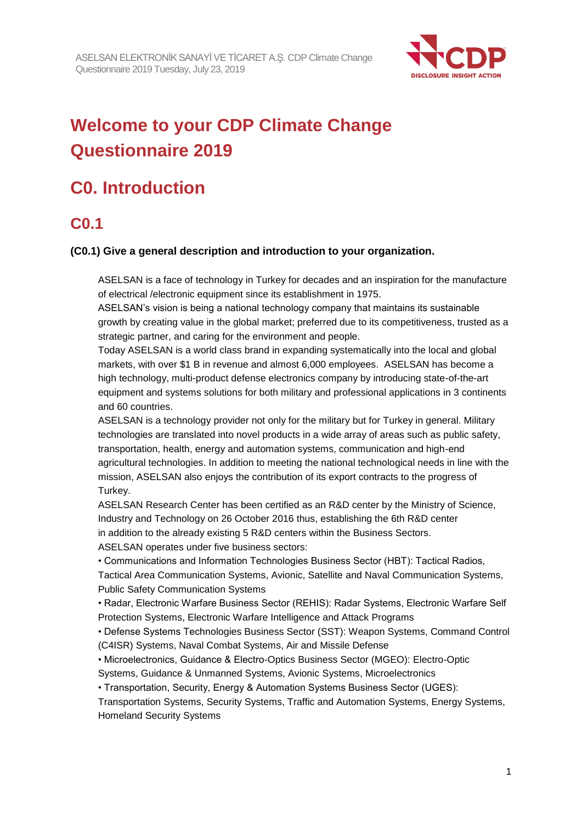

# **Welcome to your CDP Climate Change Questionnaire 2019**

# **C0. Introduction**

## **C0.1**

### **(C0.1) Give a general description and introduction to your organization.**

ASELSAN is a face of technology in Turkey for decades and an inspiration for the manufacture of electrical /electronic equipment since its establishment in 1975.

ASELSAN's vision is being a national technology company that maintains its sustainable growth by creating value in the global market; preferred due to its competitiveness, trusted as a strategic partner, and caring for the environment and people.

Today ASELSAN is a world class brand in expanding systematically into the local and global markets, with over \$1 B in revenue and almost 6,000 employees. ASELSAN has become a high technology, multi-product defense electronics company by introducing state-of-the-art equipment and systems solutions for both military and professional applications in 3 continents and 60 countries.

ASELSAN is a technology provider not only for the military but for Turkey in general. Military technologies are translated into novel products in a wide array of areas such as public safety, transportation, health, energy and automation systems, communication and high-end agricultural technologies. In addition to meeting the national technological needs in line with the mission, ASELSAN also enjoys the contribution of its export contracts to the progress of Turkey.

ASELSAN Research Center has been certified as an R&D center by the Ministry of Science, Industry and Technology on 26 October 2016 thus, establishing the 6th R&D center in addition to the already existing 5 R&D centers within the Business Sectors. ASELSAN operates under five business sectors:

• Communications and Information Technologies Business Sector (HBT): Tactical Radios,

Tactical Area Communication Systems, Avionic, Satellite and Naval Communication Systems, Public Safety Communication Systems

• Radar, Electronic Warfare Business Sector (REHIS): Radar Systems, Electronic Warfare Self Protection Systems, Electronic Warfare Intelligence and Attack Programs

• Defense Systems Technologies Business Sector (SST): Weapon Systems, Command Control (C4ISR) Systems, Naval Combat Systems, Air and Missile Defense

• Microelectronics, Guidance & Electro-Optics Business Sector (MGEO): Electro-Optic

Systems, Guidance & Unmanned Systems, Avionic Systems, Microelectronics

• Transportation, Security, Energy & Automation Systems Business Sector (UGES):

Transportation Systems, Security Systems, Traffic and Automation Systems, Energy Systems, Homeland Security Systems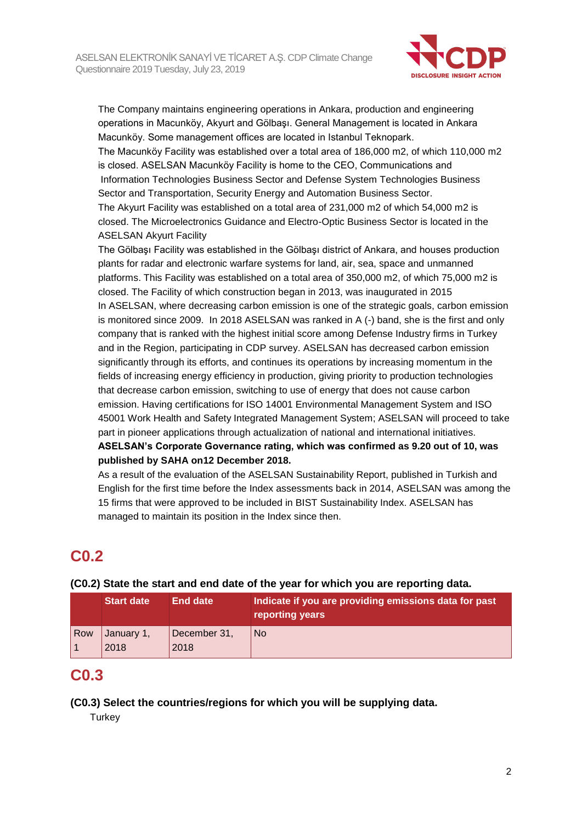

The Company maintains engineering operations in Ankara, production and engineering operations in Macunköy, Akyurt and Gölbaşı. General Management is located in Ankara Macunköy. Some management offices are located in Istanbul Teknopark.

The Macunköy Facility was established over a total area of 186,000 m2, of which 110,000 m2 is closed. ASELSAN Macunköy Facility is home to the CEO, Communications and Information Technologies Business Sector and Defense System Technologies Business Sector and Transportation, Security Energy and Automation Business Sector. The Akyurt Facility was established on a total area of 231,000 m2 of which 54,000 m2 is closed. The Microelectronics Guidance and Electro-Optic Business Sector is located in the ASELSAN Akyurt Facility

The Gölbaşı Facility was established in the Gölbaşı district of Ankara, and houses production plants for radar and electronic warfare systems for land, air, sea, space and unmanned platforms. This Facility was established on a total area of 350,000 m2, of which 75,000 m2 is closed. The Facility of which construction began in 2013, was inaugurated in 2015 In ASELSAN, where decreasing carbon emission is one of the strategic goals, carbon emission is monitored since 2009. In 2018 ASELSAN was ranked in A (-) band, she is the first and only company that is ranked with the highest initial score among Defense Industry firms in Turkey and in the Region, participating in CDP survey. ASELSAN has decreased carbon emission significantly through its efforts, and continues its operations by increasing momentum in the fields of increasing energy efficiency in production, giving priority to production technologies that decrease carbon emission, switching to use of energy that does not cause carbon emission. Having certifications for ISO 14001 Environmental Management System and ISO 45001 Work Health and Safety Integrated Management System; ASELSAN will proceed to take part in pioneer applications through actualization of national and international initiatives. **ASELSAN's Corporate Governance rating, which was confirmed as 9.20 out of 10, was published by SAHA on12 December 2018.** 

As a result of the evaluation of the ASELSAN Sustainability Report, published in Turkish and English for the first time before the Index assessments back in 2014, ASELSAN was among the 15 firms that were approved to be included in BIST Sustainability Index. ASELSAN has managed to maintain its position in the Index since then.

## **C0.2**

|     | <b>Start date</b>  | <b>End date</b>      | Indicate if you are providing emissions data for past<br>reporting years |
|-----|--------------------|----------------------|--------------------------------------------------------------------------|
| Row | January 1,<br>2018 | December 31,<br>2018 | <b>No</b>                                                                |
|     |                    |                      |                                                                          |

**(C0.2) State the start and end date of the year for which you are reporting data.**

## **C0.3**

### **(C0.3) Select the countries/regions for which you will be supplying data.**

**Turkey**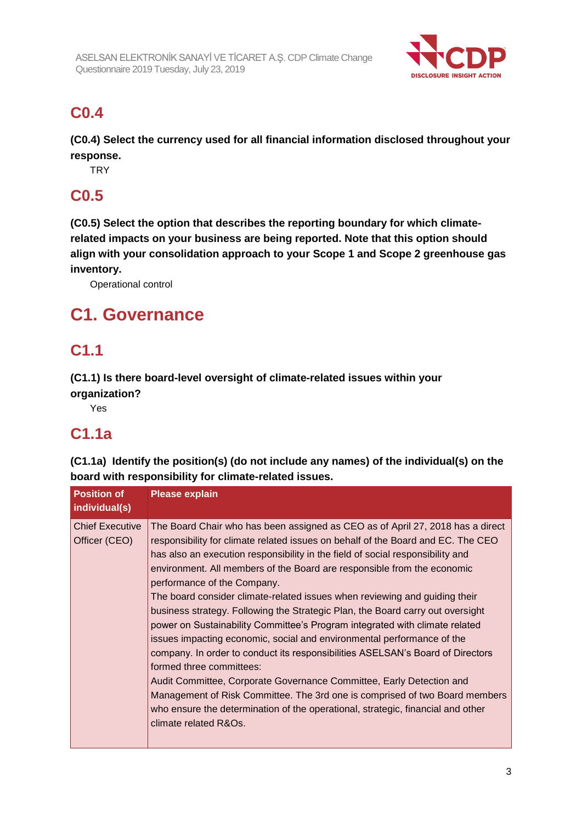

## **C0.4**

**(C0.4) Select the currency used for all financial information disclosed throughout your response.**

**TRY** 

## **C0.5**

**(C0.5) Select the option that describes the reporting boundary for which climaterelated impacts on your business are being reported. Note that this option should align with your consolidation approach to your Scope 1 and Scope 2 greenhouse gas inventory.**

Operational control

# **C1. Governance**

## **C1.1**

**(C1.1) Is there board-level oversight of climate-related issues within your organization?**

Yes

# **C1.1a**

**(C1.1a) Identify the position(s) (do not include any names) of the individual(s) on the board with responsibility for climate-related issues.**

| <b>Position of</b><br>individual(s)     | <b>Please explain</b>                                                                                                                                                                                                                                                                                                                                                                                                                                                                                                                                                                                                                                                                                                                                                                                                                                                                                                                                                                                                                                                    |
|-----------------------------------------|--------------------------------------------------------------------------------------------------------------------------------------------------------------------------------------------------------------------------------------------------------------------------------------------------------------------------------------------------------------------------------------------------------------------------------------------------------------------------------------------------------------------------------------------------------------------------------------------------------------------------------------------------------------------------------------------------------------------------------------------------------------------------------------------------------------------------------------------------------------------------------------------------------------------------------------------------------------------------------------------------------------------------------------------------------------------------|
| <b>Chief Executive</b><br>Officer (CEO) | The Board Chair who has been assigned as CEO as of April 27, 2018 has a direct<br>responsibility for climate related issues on behalf of the Board and EC. The CEO<br>has also an execution responsibility in the field of social responsibility and<br>environment. All members of the Board are responsible from the economic<br>performance of the Company.<br>The board consider climate-related issues when reviewing and guiding their<br>business strategy. Following the Strategic Plan, the Board carry out oversight<br>power on Sustainability Committee's Program integrated with climate related<br>issues impacting economic, social and environmental performance of the<br>company. In order to conduct its responsibilities ASELSAN's Board of Directors<br>formed three committees:<br>Audit Committee, Corporate Governance Committee, Early Detection and<br>Management of Risk Committee. The 3rd one is comprised of two Board members<br>who ensure the determination of the operational, strategic, financial and other<br>climate related R&Os. |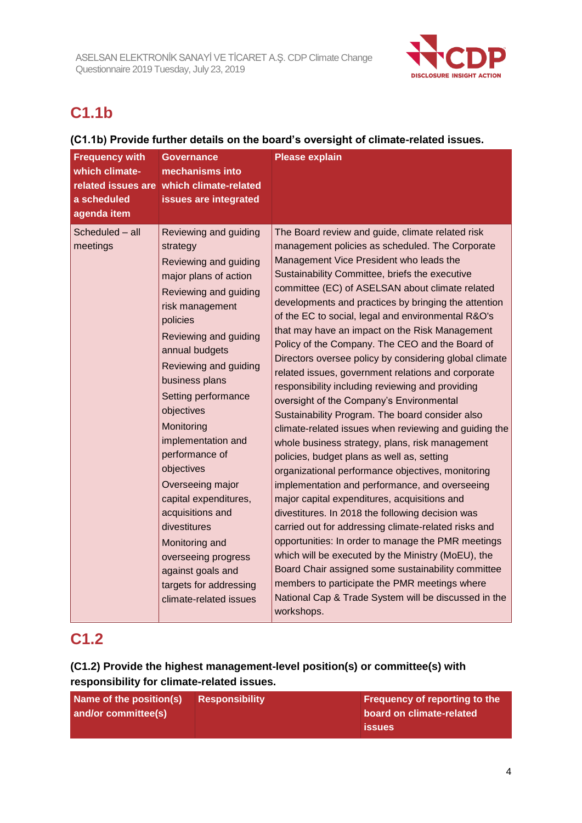

# **C1.1b**

### **(C1.1b) Provide further details on the board's oversight of climate-related issues.**

| <b>Frequency with</b><br>which climate-<br>a scheduled<br>agenda item | Governance<br>mechanisms into<br>related issues are which climate-related<br>issues are integrated                                                                                                                                                                                                                                                                                                                                                                                                                                            | <b>Please explain</b>                                                                                                                                                                                                                                                                                                                                                                                                                                                                                                                                                                                                                                                                                                                                                                                                                                                                                                                                                                                                                                                                                                                                                                                                                                                                                                                                                                                                                                           |
|-----------------------------------------------------------------------|-----------------------------------------------------------------------------------------------------------------------------------------------------------------------------------------------------------------------------------------------------------------------------------------------------------------------------------------------------------------------------------------------------------------------------------------------------------------------------------------------------------------------------------------------|-----------------------------------------------------------------------------------------------------------------------------------------------------------------------------------------------------------------------------------------------------------------------------------------------------------------------------------------------------------------------------------------------------------------------------------------------------------------------------------------------------------------------------------------------------------------------------------------------------------------------------------------------------------------------------------------------------------------------------------------------------------------------------------------------------------------------------------------------------------------------------------------------------------------------------------------------------------------------------------------------------------------------------------------------------------------------------------------------------------------------------------------------------------------------------------------------------------------------------------------------------------------------------------------------------------------------------------------------------------------------------------------------------------------------------------------------------------------|
| Scheduled - all<br>meetings                                           | Reviewing and guiding<br>strategy<br>Reviewing and guiding<br>major plans of action<br>Reviewing and guiding<br>risk management<br>policies<br>Reviewing and guiding<br>annual budgets<br>Reviewing and guiding<br>business plans<br>Setting performance<br>objectives<br>Monitoring<br>implementation and<br>performance of<br>objectives<br>Overseeing major<br>capital expenditures,<br>acquisitions and<br>divestitures<br>Monitoring and<br>overseeing progress<br>against goals and<br>targets for addressing<br>climate-related issues | The Board review and guide, climate related risk<br>management policies as scheduled. The Corporate<br>Management Vice President who leads the<br>Sustainability Committee, briefs the executive<br>committee (EC) of ASELSAN about climate related<br>developments and practices by bringing the attention<br>of the EC to social, legal and environmental R&O's<br>that may have an impact on the Risk Management<br>Policy of the Company. The CEO and the Board of<br>Directors oversee policy by considering global climate<br>related issues, government relations and corporate<br>responsibility including reviewing and providing<br>oversight of the Company's Environmental<br>Sustainability Program. The board consider also<br>climate-related issues when reviewing and guiding the<br>whole business strategy, plans, risk management<br>policies, budget plans as well as, setting<br>organizational performance objectives, monitoring<br>implementation and performance, and overseeing<br>major capital expenditures, acquisitions and<br>divestitures. In 2018 the following decision was<br>carried out for addressing climate-related risks and<br>opportunities: In order to manage the PMR meetings<br>which will be executed by the Ministry (MoEU), the<br>Board Chair assigned some sustainability committee<br>members to participate the PMR meetings where<br>National Cap & Trade System will be discussed in the<br>workshops. |

## **C1.2**

## **(C1.2) Provide the highest management-level position(s) or committee(s) with responsibility for climate-related issues.**

| Name of the position(s) | <b>Responsibility</b> | <b>Frequency of reporting to the</b> |
|-------------------------|-----------------------|--------------------------------------|
| and/or committee(s)     |                       | board on climate-related             |
|                         |                       | <b>issues</b>                        |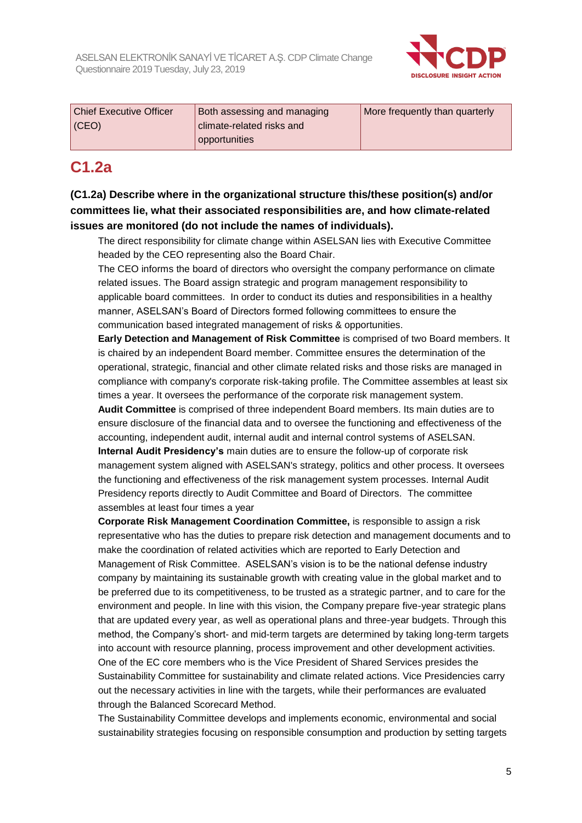

| <b>Chief Executive Officer</b> | Both assessing and managing | More frequently than quarterly |
|--------------------------------|-----------------------------|--------------------------------|
| $ $ (CEO)                      | climate-related risks and   |                                |
|                                | opportunities               |                                |

## **C1.2a**

**(C1.2a) Describe where in the organizational structure this/these position(s) and/or committees lie, what their associated responsibilities are, and how climate-related issues are monitored (do not include the names of individuals).**

The direct responsibility for climate change within ASELSAN lies with Executive Committee headed by the CEO representing also the Board Chair.

The CEO informs the board of directors who oversight the company performance on climate related issues. The Board assign strategic and program management responsibility to applicable board committees. In order to conduct its duties and responsibilities in a healthy manner, ASELSAN's Board of Directors formed following committees to ensure the communication based integrated management of risks & opportunities.

**Early Detection and Management of Risk Committee** is comprised of two Board members. It is chaired by an independent Board member. Committee ensures the determination of the operational, strategic, financial and other climate related risks and those risks are managed in compliance with company's corporate risk-taking profile. The Committee assembles at least six times a year. It oversees the performance of the corporate risk management system.

**Audit Committee** is comprised of three independent Board members. Its main duties are to ensure disclosure of the financial data and to oversee the functioning and effectiveness of the accounting, independent audit, internal audit and internal control systems of ASELSAN. **Internal Audit Presidency's** main duties are to ensure the follow-up of corporate risk management system aligned with ASELSAN's strategy, politics and other process. It oversees the functioning and effectiveness of the risk management system processes. Internal Audit Presidency reports directly to Audit Committee and Board of Directors. The committee assembles at least four times a year

**Corporate Risk Management Coordination Committee,** is responsible to assign a risk representative who has the duties to prepare risk detection and management documents and to make the coordination of related activities which are reported to Early Detection and Management of Risk Committee. ASELSAN's vision is to be the national defense industry company by maintaining its sustainable growth with creating value in the global market and to be preferred due to its competitiveness, to be trusted as a strategic partner, and to care for the environment and people. In line with this vision, the Company prepare five-year strategic plans that are updated every year, as well as operational plans and three-year budgets. Through this method, the Company's short- and mid-term targets are determined by taking long-term targets into account with resource planning, process improvement and other development activities. One of the EC core members who is the Vice President of Shared Services presides the Sustainability Committee for sustainability and climate related actions. Vice Presidencies carry out the necessary activities in line with the targets, while their performances are evaluated through the Balanced Scorecard Method.

The Sustainability Committee develops and implements economic, environmental and social sustainability strategies focusing on responsible consumption and production by setting targets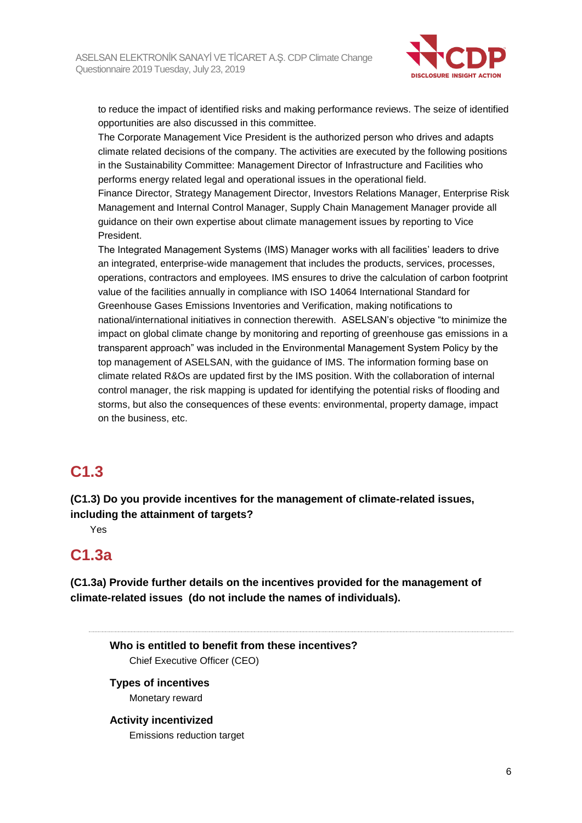

to reduce the impact of identified risks and making performance reviews. The seize of identified opportunities are also discussed in this committee.

The Corporate Management Vice President is the authorized person who drives and adapts climate related decisions of the company. The activities are executed by the following positions in the Sustainability Committee: Management Director of Infrastructure and Facilities who performs energy related legal and operational issues in the operational field.

Finance Director, Strategy Management Director, Investors Relations Manager, Enterprise Risk Management and Internal Control Manager, Supply Chain Management Manager provide all guidance on their own expertise about climate management issues by reporting to Vice President.

The Integrated Management Systems (IMS) Manager works with all facilities' leaders to drive an integrated, enterprise-wide management that includes the products, services, processes, operations, contractors and employees. IMS ensures to drive the calculation of carbon footprint value of the facilities annually in compliance with ISO 14064 International Standard for Greenhouse Gases Emissions Inventories and Verification, making notifications to national/international initiatives in connection therewith. ASELSAN's objective "to minimize the impact on global climate change by monitoring and reporting of greenhouse gas emissions in a transparent approach" was included in the Environmental Management System Policy by the top management of ASELSAN, with the guidance of IMS. The information forming base on climate related R&Os are updated first by the IMS position. With the collaboration of internal control manager, the risk mapping is updated for identifying the potential risks of flooding and storms, but also the consequences of these events: environmental, property damage, impact on the business, etc.

## **C1.3**

**(C1.3) Do you provide incentives for the management of climate-related issues, including the attainment of targets?**

Yes

## **C1.3a**

**(C1.3a) Provide further details on the incentives provided for the management of climate-related issues (do not include the names of individuals).**

**Who is entitled to benefit from these incentives?** Chief Executive Officer (CEO)

#### **Types of incentives** Monetary reward

### **Activity incentivized**

Emissions reduction target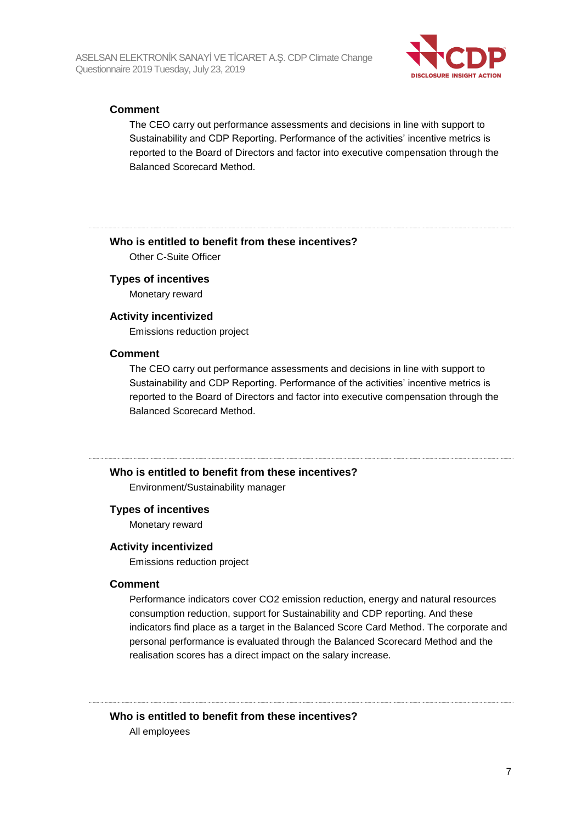

#### **Comment**

The CEO carry out performance assessments and decisions in line with support to Sustainability and CDP Reporting. Performance of the activities' incentive metrics is reported to the Board of Directors and factor into executive compensation through the Balanced Scorecard Method.

#### **Who is entitled to benefit from these incentives?**

Other C-Suite Officer

#### **Types of incentives**

Monetary reward

#### **Activity incentivized**

Emissions reduction project

#### **Comment**

The CEO carry out performance assessments and decisions in line with support to Sustainability and CDP Reporting. Performance of the activities' incentive metrics is reported to the Board of Directors and factor into executive compensation through the Balanced Scorecard Method.

#### **Who is entitled to benefit from these incentives?**

Environment/Sustainability manager

#### **Types of incentives**

Monetary reward

#### **Activity incentivized**

Emissions reduction project

#### **Comment**

Performance indicators cover CO2 emission reduction, energy and natural resources consumption reduction, support for Sustainability and CDP reporting. And these indicators find place as a target in the Balanced Score Card Method. The corporate and personal performance is evaluated through the Balanced Scorecard Method and the realisation scores has a direct impact on the salary increase.

## **Who is entitled to benefit from these incentives?**

All employees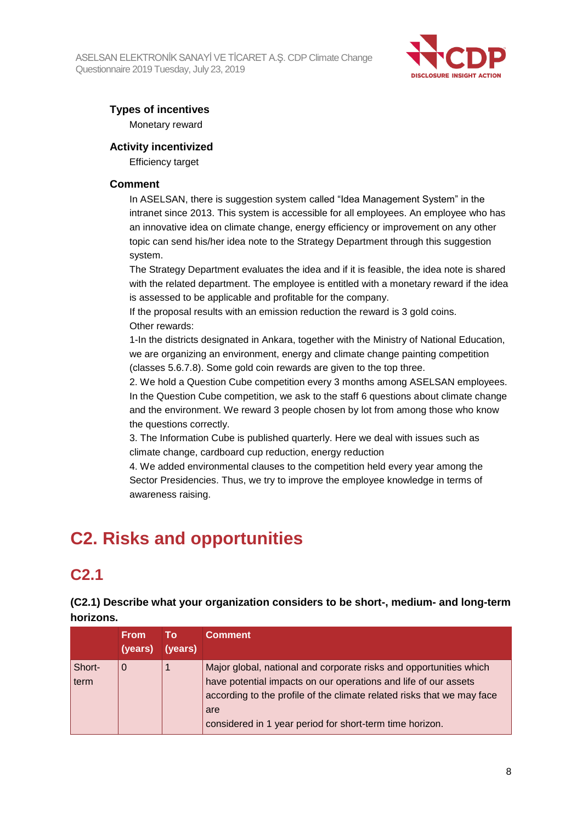

## **Types of incentives**

Monetary reward

### **Activity incentivized**

Efficiency target

#### **Comment**

In ASELSAN, there is suggestion system called "Idea Management System" in the intranet since 2013. This system is accessible for all employees. An employee who has an innovative idea on climate change, energy efficiency or improvement on any other topic can send his/her idea note to the Strategy Department through this suggestion system.

The Strategy Department evaluates the idea and if it is feasible, the idea note is shared with the related department. The employee is entitled with a monetary reward if the idea is assessed to be applicable and profitable for the company.

If the proposal results with an emission reduction the reward is 3 gold coins. Other rewards:

1-In the districts designated in Ankara, together with the Ministry of National Education, we are organizing an environment, energy and climate change painting competition (classes 5.6.7.8). Some gold coin rewards are given to the top three.

2. We hold a Question Cube competition every 3 months among ASELSAN employees. In the Question Cube competition, we ask to the staff 6 questions about climate change and the environment. We reward 3 people chosen by lot from among those who know the questions correctly.

3. The Information Cube is published quarterly. Here we deal with issues such as climate change, cardboard cup reduction, energy reduction

4. We added environmental clauses to the competition held every year among the Sector Presidencies. Thus, we try to improve the employee knowledge in terms of awareness raising.

# **C2. Risks and opportunities**

## **C2.1**

**(C2.1) Describe what your organization considers to be short-, medium- and long-term horizons.**

|                | <b>From</b><br>(years) | Т٥<br>(years) | <b>Comment</b>                                                                                                                                                                                                                                                                     |
|----------------|------------------------|---------------|------------------------------------------------------------------------------------------------------------------------------------------------------------------------------------------------------------------------------------------------------------------------------------|
| Short-<br>term | 0                      |               | Major global, national and corporate risks and opportunities which<br>have potential impacts on our operations and life of our assets<br>according to the profile of the climate related risks that we may face<br>are<br>considered in 1 year period for short-term time horizon. |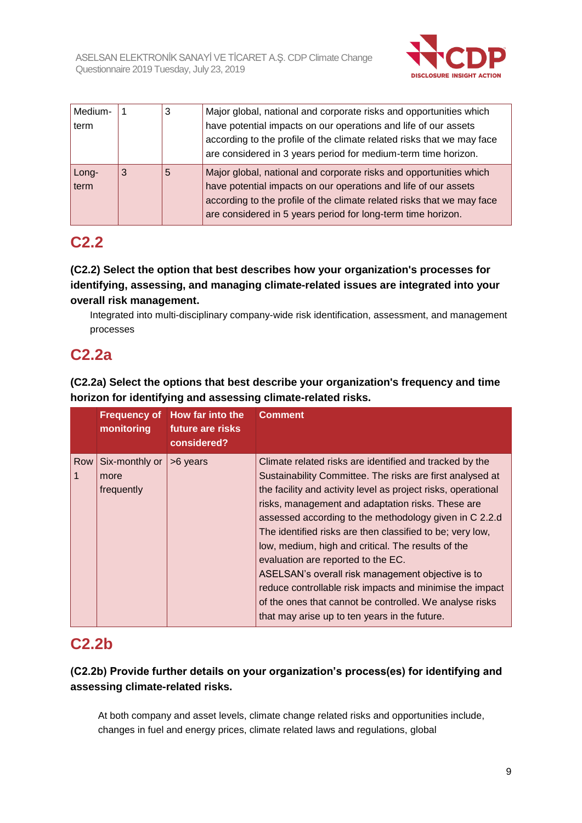

| Medium-<br>term |   | 3 | Major global, national and corporate risks and opportunities which<br>have potential impacts on our operations and life of our assets<br>according to the profile of the climate related risks that we may face<br>are considered in 3 years period for medium-term time horizon. |
|-----------------|---|---|-----------------------------------------------------------------------------------------------------------------------------------------------------------------------------------------------------------------------------------------------------------------------------------|
| Long-<br>term   | 3 | 5 | Major global, national and corporate risks and opportunities which<br>have potential impacts on our operations and life of our assets<br>according to the profile of the climate related risks that we may face<br>are considered in 5 years period for long-term time horizon.   |

## **C2.2**

**(C2.2) Select the option that best describes how your organization's processes for identifying, assessing, and managing climate-related issues are integrated into your overall risk management.**

Integrated into multi-disciplinary company-wide risk identification, assessment, and management processes

## **C2.2a**

**(C2.2a) Select the options that best describe your organization's frequency and time horizon for identifying and assessing climate-related risks.**

|                     | monitoring                           | Frequency of How far into the<br>future are risks<br>considered? | <b>Comment</b>                                                                                                                                                                                                                                                                                                                                                                                                                                                                                                                                                                                                                                                                             |
|---------------------|--------------------------------------|------------------------------------------------------------------|--------------------------------------------------------------------------------------------------------------------------------------------------------------------------------------------------------------------------------------------------------------------------------------------------------------------------------------------------------------------------------------------------------------------------------------------------------------------------------------------------------------------------------------------------------------------------------------------------------------------------------------------------------------------------------------------|
| Row<br>$\mathbf{1}$ | Six-monthly or<br>more<br>frequently | >6 years                                                         | Climate related risks are identified and tracked by the<br>Sustainability Committee. The risks are first analysed at<br>the facility and activity level as project risks, operational<br>risks, management and adaptation risks. These are<br>assessed according to the methodology given in C 2.2.d<br>The identified risks are then classified to be; very low,<br>low, medium, high and critical. The results of the<br>evaluation are reported to the EC.<br>ASELSAN's overall risk management objective is to<br>reduce controllable risk impacts and minimise the impact<br>of the ones that cannot be controlled. We analyse risks<br>that may arise up to ten years in the future. |

## **C2.2b**

## **(C2.2b) Provide further details on your organization's process(es) for identifying and assessing climate-related risks.**

At both company and asset levels, climate change related risks and opportunities include, changes in fuel and energy prices, climate related laws and regulations, global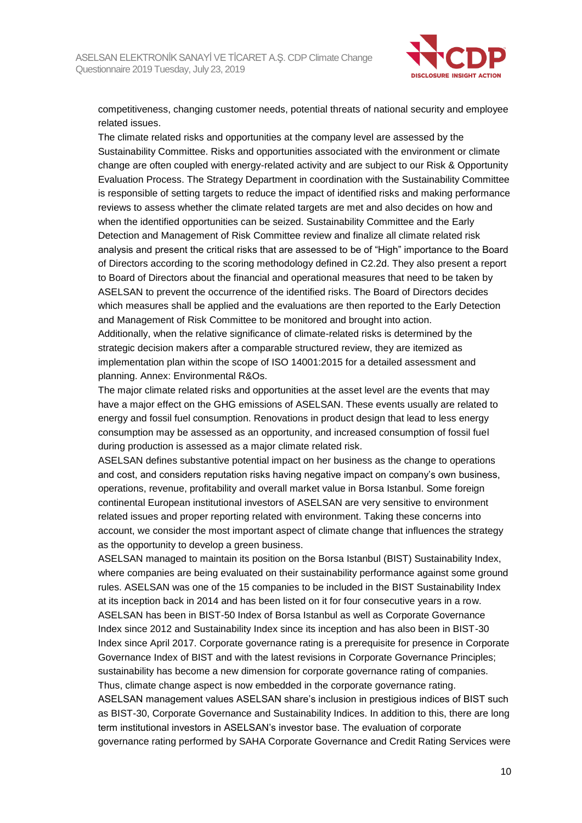

competitiveness, changing customer needs, potential threats of national security and employee related issues.

The climate related risks and opportunities at the company level are assessed by the Sustainability Committee. Risks and opportunities associated with the environment or climate change are often coupled with energy-related activity and are subject to our Risk & Opportunity Evaluation Process. The Strategy Department in coordination with the Sustainability Committee is responsible of setting targets to reduce the impact of identified risks and making performance reviews to assess whether the climate related targets are met and also decides on how and when the identified opportunities can be seized. Sustainability Committee and the Early Detection and Management of Risk Committee review and finalize all climate related risk analysis and present the critical risks that are assessed to be of "High" importance to the Board of Directors according to the scoring methodology defined in C2.2d. They also present a report to Board of Directors about the financial and operational measures that need to be taken by ASELSAN to prevent the occurrence of the identified risks. The Board of Directors decides which measures shall be applied and the evaluations are then reported to the Early Detection and Management of Risk Committee to be monitored and brought into action. Additionally, when the relative significance of climate-related risks is determined by the strategic decision makers after a comparable structured review, they are itemized as implementation plan within the scope of ISO 14001:2015 for a detailed assessment and

planning. Annex: Environmental R&Os. The major climate related risks and opportunities at the asset level are the events that may

have a major effect on the GHG emissions of ASELSAN. These events usually are related to energy and fossil fuel consumption. Renovations in product design that lead to less energy consumption may be assessed as an opportunity, and increased consumption of fossil fuel during production is assessed as a major climate related risk.

ASELSAN defines substantive potential impact on her business as the change to operations and cost, and considers reputation risks having negative impact on company's own business, operations, revenue, profitability and overall market value in Borsa Istanbul. Some foreign continental European institutional investors of ASELSAN are very sensitive to environment related issues and proper reporting related with environment. Taking these concerns into account, we consider the most important aspect of climate change that influences the strategy as the opportunity to develop a green business.

ASELSAN managed to maintain its position on the Borsa Istanbul (BIST) Sustainability Index, where companies are being evaluated on their sustainability performance against some ground rules. ASELSAN was one of the 15 companies to be included in the BIST Sustainability Index at its inception back in 2014 and has been listed on it for four consecutive years in a row. ASELSAN has been in BIST-50 Index of Borsa Istanbul as well as Corporate Governance Index since 2012 and Sustainability Index since its inception and has also been in BIST-30 Index since April 2017. Corporate governance rating is a prerequisite for presence in Corporate Governance Index of BIST and with the latest revisions in Corporate Governance Principles; sustainability has become a new dimension for corporate governance rating of companies. Thus, climate change aspect is now embedded in the corporate governance rating.

ASELSAN management values ASELSAN share's inclusion in prestigious indices of BIST such as BIST-30, Corporate Governance and Sustainability Indices. In addition to this, there are long term institutional investors in ASELSAN's investor base. The evaluation of corporate governance rating performed by SAHA Corporate Governance and Credit Rating Services were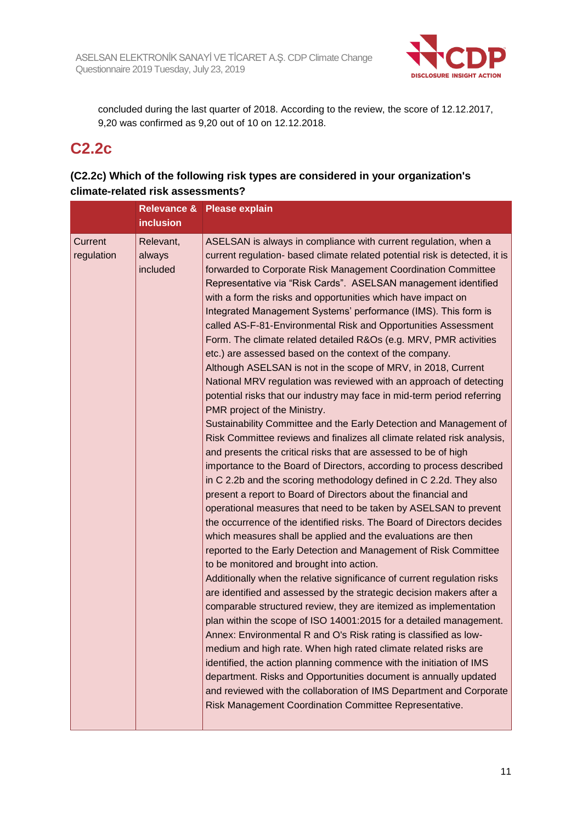

concluded during the last quarter of 2018. According to the review, the score of 12.12.2017, 9,20 was confirmed as 9,20 out of 10 on 12.12.2018.

## **C2.2c**

### **(C2.2c) Which of the following risk types are considered in your organization's climate-related risk assessments?**

|                       | <b>inclusion</b>                | Relevance & Please explain                                                                                                                                                                                                                                                                                                                                                                                                                                                                                                                                                                                                                                                                                                                                                                                                                                                                                                                                                                                                                                                                                                                                                                                                                                                                                                                                                                                                                                                                                                                                                                                                                                                                                                                                                                                                                                                                                                                                                                                                                                                                                                                                                                                                                                                                                                                                 |
|-----------------------|---------------------------------|------------------------------------------------------------------------------------------------------------------------------------------------------------------------------------------------------------------------------------------------------------------------------------------------------------------------------------------------------------------------------------------------------------------------------------------------------------------------------------------------------------------------------------------------------------------------------------------------------------------------------------------------------------------------------------------------------------------------------------------------------------------------------------------------------------------------------------------------------------------------------------------------------------------------------------------------------------------------------------------------------------------------------------------------------------------------------------------------------------------------------------------------------------------------------------------------------------------------------------------------------------------------------------------------------------------------------------------------------------------------------------------------------------------------------------------------------------------------------------------------------------------------------------------------------------------------------------------------------------------------------------------------------------------------------------------------------------------------------------------------------------------------------------------------------------------------------------------------------------------------------------------------------------------------------------------------------------------------------------------------------------------------------------------------------------------------------------------------------------------------------------------------------------------------------------------------------------------------------------------------------------------------------------------------------------------------------------------------------------|
| Current<br>regulation | Relevant,<br>always<br>included | ASELSAN is always in compliance with current regulation, when a<br>current regulation- based climate related potential risk is detected, it is<br>forwarded to Corporate Risk Management Coordination Committee<br>Representative via "Risk Cards". ASELSAN management identified<br>with a form the risks and opportunities which have impact on<br>Integrated Management Systems' performance (IMS). This form is<br>called AS-F-81-Environmental Risk and Opportunities Assessment<br>Form. The climate related detailed R&Os (e.g. MRV, PMR activities<br>etc.) are assessed based on the context of the company.<br>Although ASELSAN is not in the scope of MRV, in 2018, Current<br>National MRV regulation was reviewed with an approach of detecting<br>potential risks that our industry may face in mid-term period referring<br>PMR project of the Ministry.<br>Sustainability Committee and the Early Detection and Management of<br>Risk Committee reviews and finalizes all climate related risk analysis,<br>and presents the critical risks that are assessed to be of high<br>importance to the Board of Directors, according to process described<br>in C 2.2b and the scoring methodology defined in C 2.2d. They also<br>present a report to Board of Directors about the financial and<br>operational measures that need to be taken by ASELSAN to prevent<br>the occurrence of the identified risks. The Board of Directors decides<br>which measures shall be applied and the evaluations are then<br>reported to the Early Detection and Management of Risk Committee<br>to be monitored and brought into action.<br>Additionally when the relative significance of current regulation risks<br>are identified and assessed by the strategic decision makers after a<br>comparable structured review, they are itemized as implementation<br>plan within the scope of ISO 14001:2015 for a detailed management.<br>Annex: Environmental R and O's Risk rating is classified as low-<br>medium and high rate. When high rated climate related risks are<br>identified, the action planning commence with the initiation of IMS<br>department. Risks and Opportunities document is annually updated<br>and reviewed with the collaboration of IMS Department and Corporate<br>Risk Management Coordination Committee Representative. |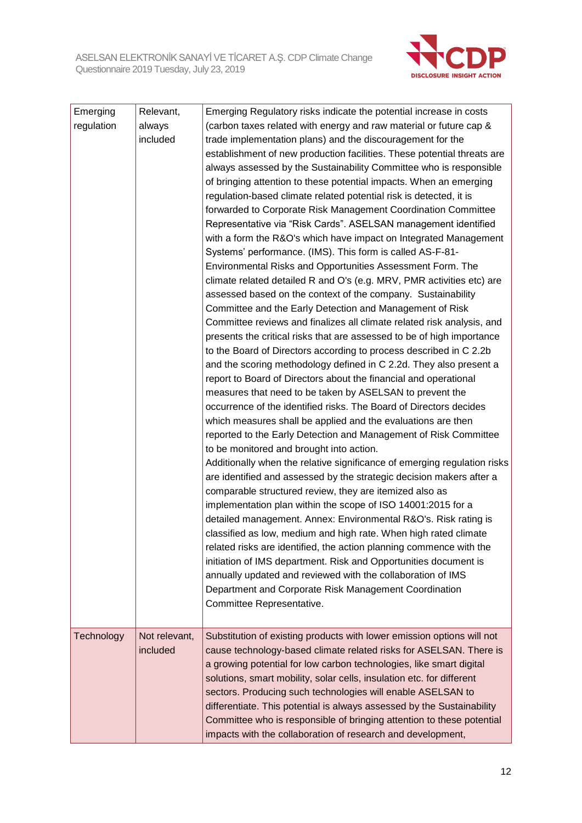

| Emerging   | Relevant,     | Emerging Regulatory risks indicate the potential increase in costs                                                            |
|------------|---------------|-------------------------------------------------------------------------------------------------------------------------------|
| regulation | always        | (carbon taxes related with energy and raw material or future cap &                                                            |
|            | included      | trade implementation plans) and the discouragement for the                                                                    |
|            |               | establishment of new production facilities. These potential threats are                                                       |
|            |               | always assessed by the Sustainability Committee who is responsible                                                            |
|            |               | of bringing attention to these potential impacts. When an emerging                                                            |
|            |               | regulation-based climate related potential risk is detected, it is                                                            |
|            |               | forwarded to Corporate Risk Management Coordination Committee                                                                 |
|            |               | Representative via "Risk Cards". ASELSAN management identified                                                                |
|            |               | with a form the R&O's which have impact on Integrated Management<br>Systems' performance. (IMS). This form is called AS-F-81- |
|            |               | Environmental Risks and Opportunities Assessment Form. The                                                                    |
|            |               | climate related detailed R and O's (e.g. MRV, PMR activities etc) are                                                         |
|            |               | assessed based on the context of the company. Sustainability                                                                  |
|            |               | Committee and the Early Detection and Management of Risk                                                                      |
|            |               | Committee reviews and finalizes all climate related risk analysis, and                                                        |
|            |               | presents the critical risks that are assessed to be of high importance                                                        |
|            |               | to the Board of Directors according to process described in C 2.2b                                                            |
|            |               | and the scoring methodology defined in C 2.2d. They also present a                                                            |
|            |               | report to Board of Directors about the financial and operational                                                              |
|            |               | measures that need to be taken by ASELSAN to prevent the                                                                      |
|            |               | occurrence of the identified risks. The Board of Directors decides                                                            |
|            |               | which measures shall be applied and the evaluations are then                                                                  |
|            |               | reported to the Early Detection and Management of Risk Committee                                                              |
|            |               | to be monitored and brought into action.                                                                                      |
|            |               | Additionally when the relative significance of emerging regulation risks                                                      |
|            |               | are identified and assessed by the strategic decision makers after a                                                          |
|            |               | comparable structured review, they are itemized also as                                                                       |
|            |               | implementation plan within the scope of ISO 14001:2015 for a                                                                  |
|            |               | detailed management. Annex: Environmental R&O's. Risk rating is                                                               |
|            |               | classified as low, medium and high rate. When high rated climate                                                              |
|            |               | related risks are identified, the action planning commence with the                                                           |
|            |               | initiation of IMS department. Risk and Opportunities document is                                                              |
|            |               | annually updated and reviewed with the collaboration of IMS                                                                   |
|            |               | Department and Corporate Risk Management Coordination                                                                         |
|            |               | Committee Representative.                                                                                                     |
| Technology | Not relevant, | Substitution of existing products with lower emission options will not                                                        |
|            | included      | cause technology-based climate related risks for ASELSAN. There is                                                            |
|            |               | a growing potential for low carbon technologies, like smart digital                                                           |
|            |               | solutions, smart mobility, solar cells, insulation etc. for different                                                         |
|            |               | sectors. Producing such technologies will enable ASELSAN to                                                                   |
|            |               | differentiate. This potential is always assessed by the Sustainability                                                        |
|            |               | Committee who is responsible of bringing attention to these potential                                                         |
|            |               | impacts with the collaboration of research and development,                                                                   |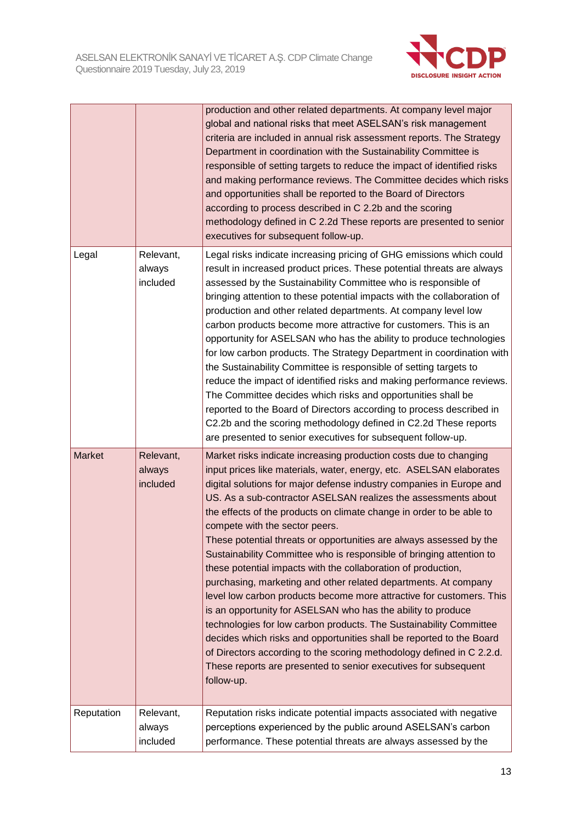

|               |                                 | production and other related departments. At company level major<br>global and national risks that meet ASELSAN's risk management<br>criteria are included in annual risk assessment reports. The Strategy<br>Department in coordination with the Sustainability Committee is<br>responsible of setting targets to reduce the impact of identified risks<br>and making performance reviews. The Committee decides which risks<br>and opportunities shall be reported to the Board of Directors<br>according to process described in C 2.2b and the scoring<br>methodology defined in C 2.2d These reports are presented to senior<br>executives for subsequent follow-up.                                                                                                                                                                                                                                                                                                                                                                                                                                                       |
|---------------|---------------------------------|---------------------------------------------------------------------------------------------------------------------------------------------------------------------------------------------------------------------------------------------------------------------------------------------------------------------------------------------------------------------------------------------------------------------------------------------------------------------------------------------------------------------------------------------------------------------------------------------------------------------------------------------------------------------------------------------------------------------------------------------------------------------------------------------------------------------------------------------------------------------------------------------------------------------------------------------------------------------------------------------------------------------------------------------------------------------------------------------------------------------------------|
| Legal         | Relevant,<br>always<br>included | Legal risks indicate increasing pricing of GHG emissions which could<br>result in increased product prices. These potential threats are always<br>assessed by the Sustainability Committee who is responsible of<br>bringing attention to these potential impacts with the collaboration of<br>production and other related departments. At company level low<br>carbon products become more attractive for customers. This is an<br>opportunity for ASELSAN who has the ability to produce technologies<br>for low carbon products. The Strategy Department in coordination with<br>the Sustainability Committee is responsible of setting targets to<br>reduce the impact of identified risks and making performance reviews.<br>The Committee decides which risks and opportunities shall be<br>reported to the Board of Directors according to process described in<br>C2.2b and the scoring methodology defined in C2.2d These reports<br>are presented to senior executives for subsequent follow-up.                                                                                                                     |
| <b>Market</b> | Relevant,<br>always<br>included | Market risks indicate increasing production costs due to changing<br>input prices like materials, water, energy, etc. ASELSAN elaborates<br>digital solutions for major defense industry companies in Europe and<br>US. As a sub-contractor ASELSAN realizes the assessments about<br>the effects of the products on climate change in order to be able to<br>compete with the sector peers.<br>These potential threats or opportunities are always assessed by the<br>Sustainability Committee who is responsible of bringing attention to<br>these potential impacts with the collaboration of production,<br>purchasing, marketing and other related departments. At company<br>level low carbon products become more attractive for customers. This<br>is an opportunity for ASELSAN who has the ability to produce<br>technologies for low carbon products. The Sustainability Committee<br>decides which risks and opportunities shall be reported to the Board<br>of Directors according to the scoring methodology defined in C 2.2.d.<br>These reports are presented to senior executives for subsequent<br>follow-up. |
| Reputation    | Relevant,<br>always<br>included | Reputation risks indicate potential impacts associated with negative<br>perceptions experienced by the public around ASELSAN's carbon<br>performance. These potential threats are always assessed by the                                                                                                                                                                                                                                                                                                                                                                                                                                                                                                                                                                                                                                                                                                                                                                                                                                                                                                                        |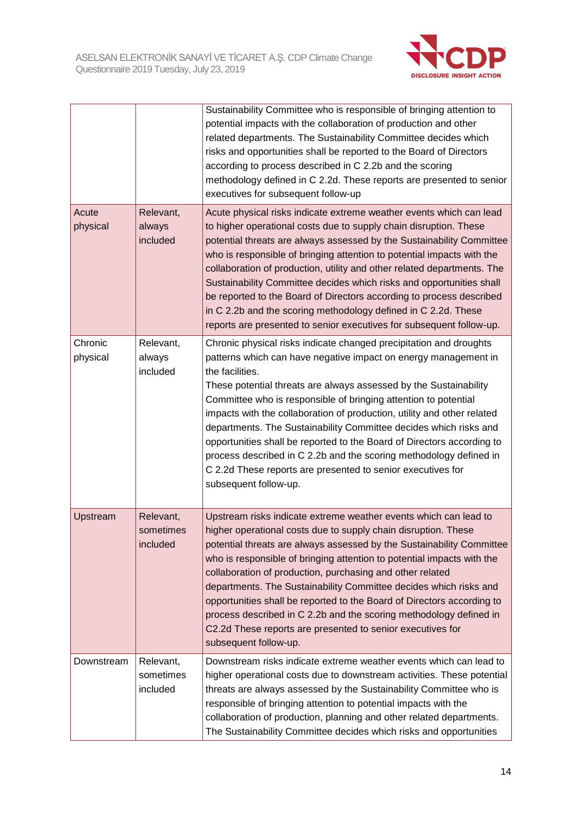

|                     |                                    | Sustainability Committee who is responsible of bringing attention to<br>potential impacts with the collaboration of production and other<br>related departments. The Sustainability Committee decides which<br>risks and opportunities shall be reported to the Board of Directors<br>according to process described in C 2.2b and the scoring<br>methodology defined in C 2.2d. These reports are presented to senior<br>executives for subsequent follow-up                                                                                                                                                                                                                            |
|---------------------|------------------------------------|------------------------------------------------------------------------------------------------------------------------------------------------------------------------------------------------------------------------------------------------------------------------------------------------------------------------------------------------------------------------------------------------------------------------------------------------------------------------------------------------------------------------------------------------------------------------------------------------------------------------------------------------------------------------------------------|
| Acute<br>physical   | Relevant,<br>always<br>included    | Acute physical risks indicate extreme weather events which can lead<br>to higher operational costs due to supply chain disruption. These<br>potential threats are always assessed by the Sustainability Committee<br>who is responsible of bringing attention to potential impacts with the<br>collaboration of production, utility and other related departments. The<br>Sustainability Committee decides which risks and opportunities shall<br>be reported to the Board of Directors according to process described<br>in C 2.2b and the scoring methodology defined in C 2.2d. These<br>reports are presented to senior executives for subsequent follow-up.                         |
| Chronic<br>physical | Relevant,<br>always<br>included    | Chronic physical risks indicate changed precipitation and droughts<br>patterns which can have negative impact on energy management in<br>the facilities.<br>These potential threats are always assessed by the Sustainability<br>Committee who is responsible of bringing attention to potential<br>impacts with the collaboration of production, utility and other related<br>departments. The Sustainability Committee decides which risks and<br>opportunities shall be reported to the Board of Directors according to<br>process described in C 2.2b and the scoring methodology defined in<br>C 2.2d These reports are presented to senior executives for<br>subsequent follow-up. |
| Upstream            | Relevant,<br>sometimes<br>included | Upstream risks indicate extreme weather events which can lead to<br>higher operational costs due to supply chain disruption. These<br>potential threats are always assessed by the Sustainability Committee<br>who is responsible of bringing attention to potential impacts with the<br>collaboration of production, purchasing and other related<br>departments. The Sustainability Committee decides which risks and<br>opportunities shall be reported to the Board of Directors according to<br>process described in C 2.2b and the scoring methodology defined in<br>C2.2d These reports are presented to senior executives for<br>subsequent follow-up.                           |
| Downstream          | Relevant,<br>sometimes<br>included | Downstream risks indicate extreme weather events which can lead to<br>higher operational costs due to downstream activities. These potential<br>threats are always assessed by the Sustainability Committee who is<br>responsible of bringing attention to potential impacts with the<br>collaboration of production, planning and other related departments.<br>The Sustainability Committee decides which risks and opportunities                                                                                                                                                                                                                                                      |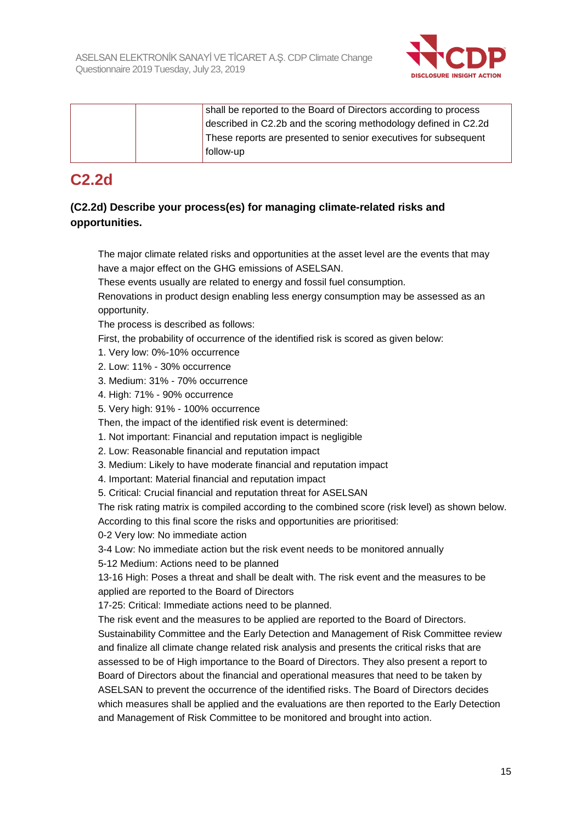

| shall be reported to the Board of Directors according to process |
|------------------------------------------------------------------|
| described in C2.2b and the scoring methodology defined in C2.2d  |
| These reports are presented to senior executives for subsequent  |
| follow-up                                                        |

## **C2.2d**

### **(C2.2d) Describe your process(es) for managing climate-related risks and opportunities.**

The major climate related risks and opportunities at the asset level are the events that may have a major effect on the GHG emissions of ASELSAN.

These events usually are related to energy and fossil fuel consumption.

Renovations in product design enabling less energy consumption may be assessed as an opportunity.

The process is described as follows:

First, the probability of occurrence of the identified risk is scored as given below:

- 1. Very low: 0%-10% occurrence
- 2. Low: 11% 30% occurrence

3. Medium: 31% - 70% occurrence

4. High: 71% - 90% occurrence

5. Very high: 91% - 100% occurrence

Then, the impact of the identified risk event is determined:

- 1. Not important: Financial and reputation impact is negligible
- 2. Low: Reasonable financial and reputation impact
- 3. Medium: Likely to have moderate financial and reputation impact
- 4. Important: Material financial and reputation impact
- 5. Critical: Crucial financial and reputation threat for ASELSAN

The risk rating matrix is compiled according to the combined score (risk level) as shown below. According to this final score the risks and opportunities are prioritised:

0-2 Very low: No immediate action

3-4 Low: No immediate action but the risk event needs to be monitored annually

5-12 Medium: Actions need to be planned

13-16 High: Poses a threat and shall be dealt with. The risk event and the measures to be applied are reported to the Board of Directors

17-25: Critical: Immediate actions need to be planned.

The risk event and the measures to be applied are reported to the Board of Directors. Sustainability Committee and the Early Detection and Management of Risk Committee review and finalize all climate change related risk analysis and presents the critical risks that are assessed to be of High importance to the Board of Directors. They also present a report to Board of Directors about the financial and operational measures that need to be taken by ASELSAN to prevent the occurrence of the identified risks. The Board of Directors decides which measures shall be applied and the evaluations are then reported to the Early Detection and Management of Risk Committee to be monitored and brought into action.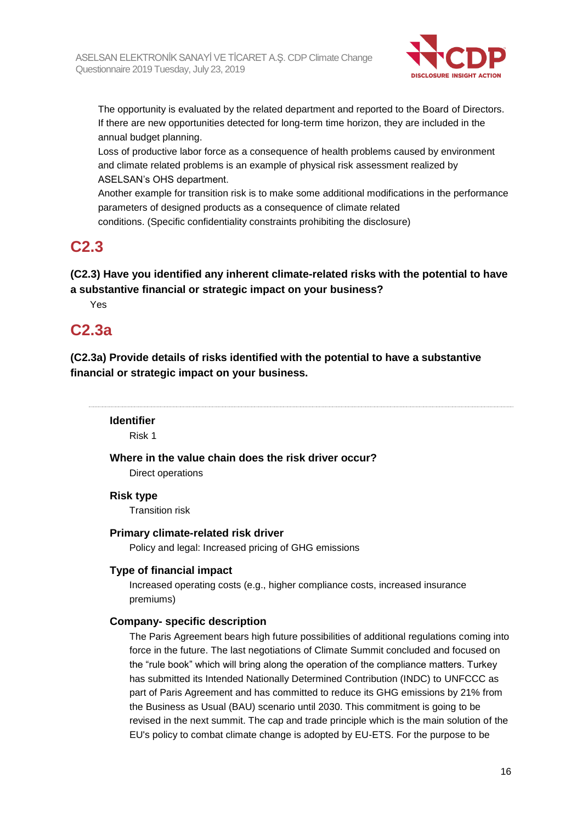

The opportunity is evaluated by the related department and reported to the Board of Directors. If there are new opportunities detected for long-term time horizon, they are included in the annual budget planning.

Loss of productive labor force as a consequence of health problems caused by environment and climate related problems is an example of physical risk assessment realized by ASELSAN's OHS department.

Another example for transition risk is to make some additional modifications in the performance parameters of designed products as a consequence of climate related conditions. (Specific confidentiality constraints prohibiting the disclosure)

## **C2.3**

**(C2.3) Have you identified any inherent climate-related risks with the potential to have a substantive financial or strategic impact on your business?**

Yes

## **C2.3a**

**(C2.3a) Provide details of risks identified with the potential to have a substantive financial or strategic impact on your business.**

#### **Identifier**

Risk 1

**Where in the value chain does the risk driver occur?**

Direct operations

#### **Risk type**

Transition risk

#### **Primary climate-related risk driver**

Policy and legal: Increased pricing of GHG emissions

#### **Type of financial impact**

Increased operating costs (e.g., higher compliance costs, increased insurance premiums)

### **Company- specific description**

The Paris Agreement bears high future possibilities of additional regulations coming into force in the future. The last negotiations of Climate Summit concluded and focused on the "rule book" which will bring along the operation of the compliance matters. Turkey has submitted its Intended Nationally Determined Contribution (INDC) to UNFCCC as part of Paris Agreement and has committed to reduce its GHG emissions by 21% from the Business as Usual (BAU) scenario until 2030. This commitment is going to be revised in the next summit. The cap and trade principle which is the main solution of the EU's policy to combat climate change is adopted by EU-ETS. For the purpose to be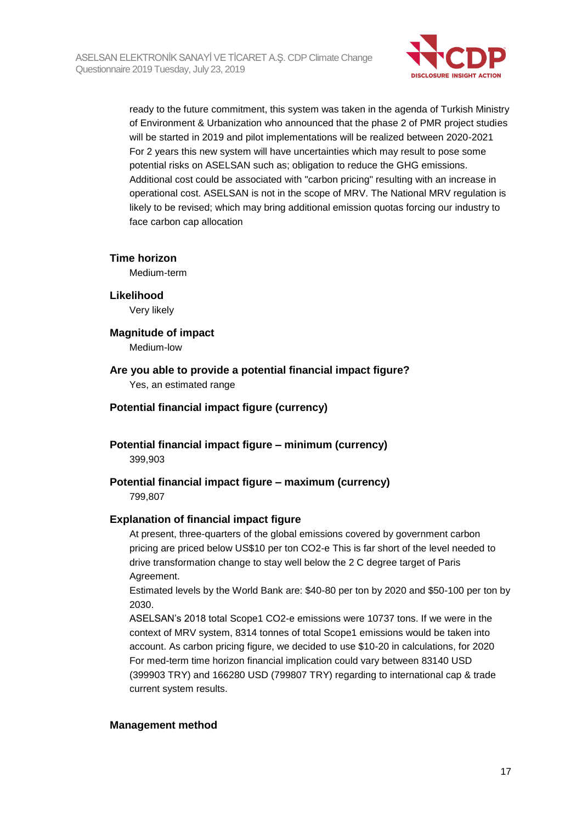

ready to the future commitment, this system was taken in the agenda of Turkish Ministry of Environment & Urbanization who announced that the phase 2 of PMR project studies will be started in 2019 and pilot implementations will be realized between 2020-2021 For 2 years this new system will have uncertainties which may result to pose some potential risks on ASELSAN such as; obligation to reduce the GHG emissions. Additional cost could be associated with "carbon pricing" resulting with an increase in operational cost. ASELSAN is not in the scope of MRV. The National MRV regulation is likely to be revised; which may bring additional emission quotas forcing our industry to face carbon cap allocation

#### **Time horizon**

Medium-term

#### **Likelihood**

Very likely

## **Magnitude of impact**

Medium-low

## **Are you able to provide a potential financial impact figure?**

Yes, an estimated range

#### **Potential financial impact figure (currency)**

**Potential financial impact figure – minimum (currency)** 399,903

## **Potential financial impact figure – maximum (currency)**

799,807

#### **Explanation of financial impact figure**

At present, three-quarters of the global emissions covered by government carbon pricing are priced below US\$10 per ton CO2-e This is far short of the level needed to drive transformation change to stay well below the 2 C degree target of Paris Agreement.

Estimated levels by the World Bank are: \$40-80 per ton by 2020 and \$50-100 per ton by 2030.

ASELSAN's 2018 total Scope1 CO2-e emissions were 10737 tons. If we were in the context of MRV system, 8314 tonnes of total Scope1 emissions would be taken into account. As carbon pricing figure, we decided to use \$10-20 in calculations, for 2020 For med-term time horizon financial implication could vary between 83140 USD (399903 TRY) and 166280 USD (799807 TRY) regarding to international cap & trade current system results.

#### **Management method**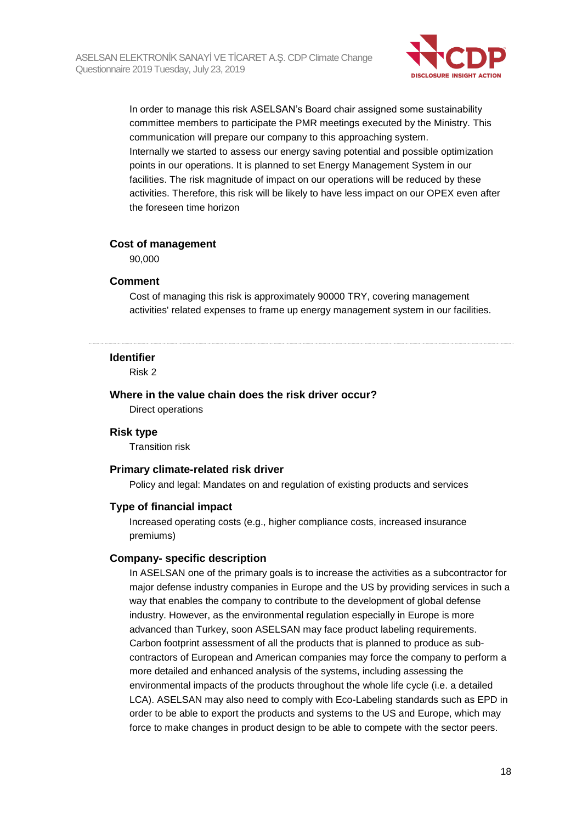

In order to manage this risk ASELSAN's Board chair assigned some sustainability committee members to participate the PMR meetings executed by the Ministry. This communication will prepare our company to this approaching system. Internally we started to assess our energy saving potential and possible optimization points in our operations. It is planned to set Energy Management System in our facilities. The risk magnitude of impact on our operations will be reduced by these activities. Therefore, this risk will be likely to have less impact on our OPEX even after the foreseen time horizon

#### **Cost of management**

90,000

#### **Comment**

Cost of managing this risk is approximately 90000 TRY, covering management activities' related expenses to frame up energy management system in our facilities.

#### **Identifier**

Risk 2

#### **Where in the value chain does the risk driver occur?**

Direct operations

#### **Risk type**

Transition risk

#### **Primary climate-related risk driver**

Policy and legal: Mandates on and regulation of existing products and services

#### **Type of financial impact**

Increased operating costs (e.g., higher compliance costs, increased insurance premiums)

#### **Company- specific description**

In ASELSAN one of the primary goals is to increase the activities as a subcontractor for major defense industry companies in Europe and the US by providing services in such a way that enables the company to contribute to the development of global defense industry. However, as the environmental regulation especially in Europe is more advanced than Turkey, soon ASELSAN may face product labeling requirements. Carbon footprint assessment of all the products that is planned to produce as subcontractors of European and American companies may force the company to perform a more detailed and enhanced analysis of the systems, including assessing the environmental impacts of the products throughout the whole life cycle (i.e. a detailed LCA). ASELSAN may also need to comply with Eco-Labeling standards such as EPD in order to be able to export the products and systems to the US and Europe, which may force to make changes in product design to be able to compete with the sector peers.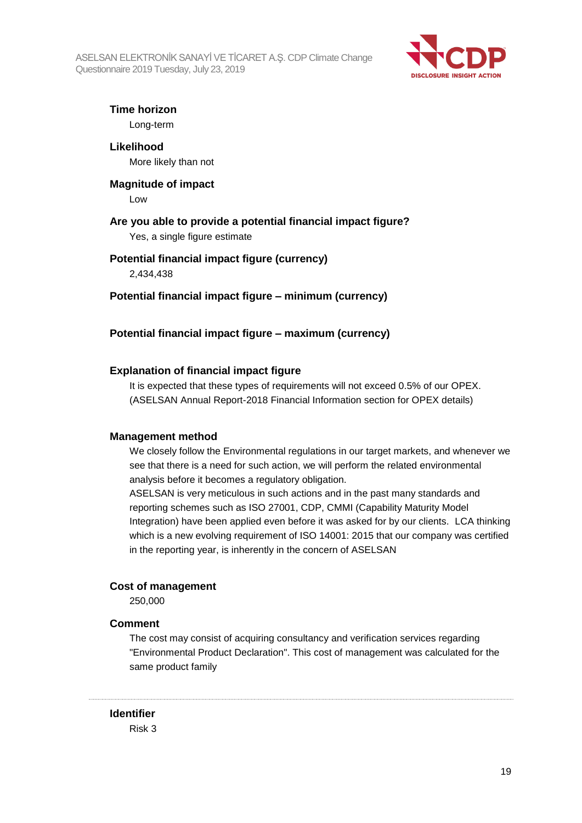

**Time horizon**

Long-term

**Likelihood** More likely than not

**Magnitude of impact** Low

### **Are you able to provide a potential financial impact figure?**

Yes, a single figure estimate

### **Potential financial impact figure (currency)**

2,434,438

**Potential financial impact figure – minimum (currency)**

### **Potential financial impact figure – maximum (currency)**

### **Explanation of financial impact figure**

It is expected that these types of requirements will not exceed 0.5% of our OPEX. (ASELSAN Annual Report-2018 Financial Information section for OPEX details)

#### **Management method**

We closely follow the Environmental regulations in our target markets, and whenever we see that there is a need for such action, we will perform the related environmental analysis before it becomes a regulatory obligation.

ASELSAN is very meticulous in such actions and in the past many standards and reporting schemes such as ISO 27001, CDP, CMMI (Capability Maturity Model Integration) have been applied even before it was asked for by our clients. LCA thinking which is a new evolving requirement of ISO 14001: 2015 that our company was certified in the reporting year, is inherently in the concern of ASELSAN

### **Cost of management**

250,000

#### **Comment**

The cost may consist of acquiring consultancy and verification services regarding "Environmental Product Declaration". This cost of management was calculated for the same product family

#### **Identifier**

Risk 3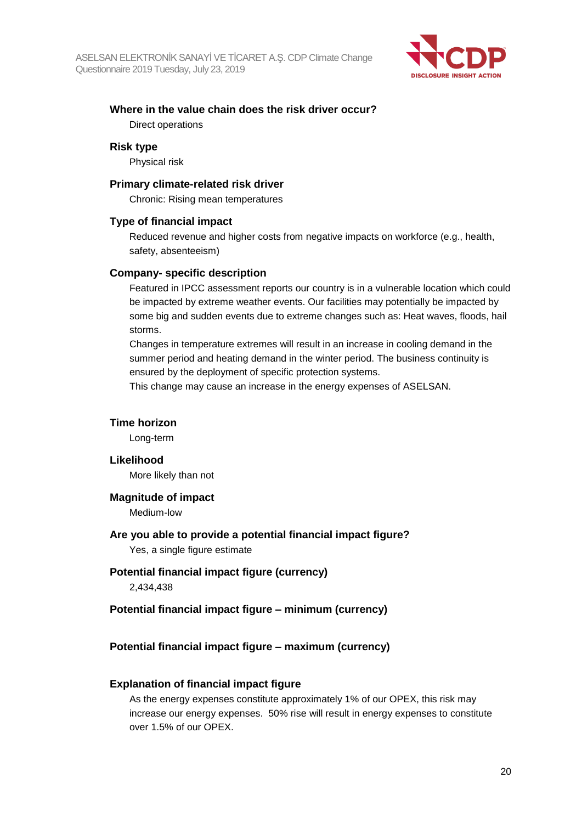

### **Where in the value chain does the risk driver occur?** Direct operations

#### **Risk type**

Physical risk

#### **Primary climate-related risk driver**

Chronic: Rising mean temperatures

#### **Type of financial impact**

Reduced revenue and higher costs from negative impacts on workforce (e.g., health, safety, absenteeism)

#### **Company- specific description**

Featured in IPCC assessment reports our country is in a vulnerable location which could be impacted by extreme weather events. Our facilities may potentially be impacted by some big and sudden events due to extreme changes such as: Heat waves, floods, hail storms.

Changes in temperature extremes will result in an increase in cooling demand in the summer period and heating demand in the winter period. The business continuity is ensured by the deployment of specific protection systems.

This change may cause an increase in the energy expenses of ASELSAN.

#### **Time horizon**

Long-term

#### **Likelihood**

More likely than not

#### **Magnitude of impact**

Medium-low

#### **Are you able to provide a potential financial impact figure?**

Yes, a single figure estimate

## **Potential financial impact figure (currency)**

2,434,438

#### **Potential financial impact figure – minimum (currency)**

#### **Potential financial impact figure – maximum (currency)**

#### **Explanation of financial impact figure**

As the energy expenses constitute approximately 1% of our OPEX, this risk may increase our energy expenses. 50% rise will result in energy expenses to constitute over 1.5% of our OPEX.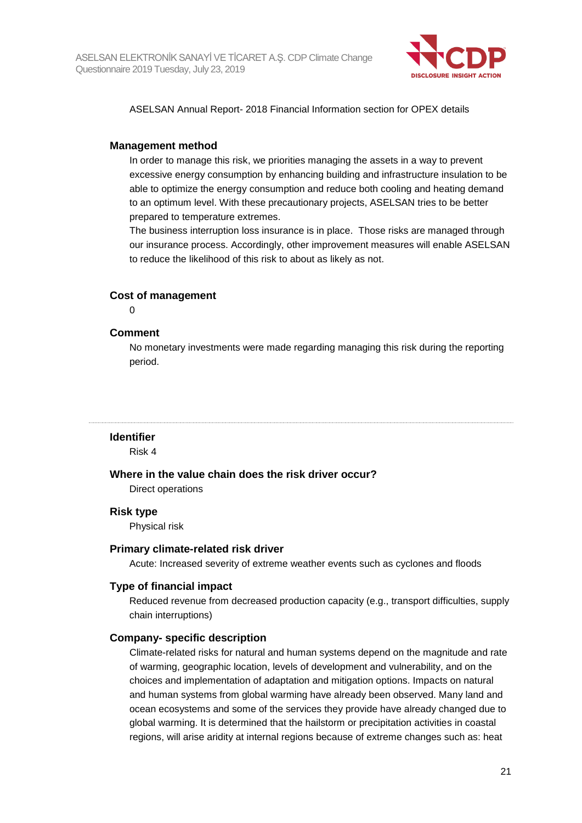

ASELSAN Annual Report- 2018 Financial Information section for OPEX details

#### **Management method**

In order to manage this risk, we priorities managing the assets in a way to prevent excessive energy consumption by enhancing building and infrastructure insulation to be able to optimize the energy consumption and reduce both cooling and heating demand to an optimum level. With these precautionary projects, ASELSAN tries to be better prepared to temperature extremes.

The business interruption loss insurance is in place. Those risks are managed through our insurance process. Accordingly, other improvement measures will enable ASELSAN to reduce the likelihood of this risk to about as likely as not.

#### **Cost of management**

 $\Omega$ 

#### **Comment**

No monetary investments were made regarding managing this risk during the reporting period.

#### **Identifier**

Risk 4

#### **Where in the value chain does the risk driver occur?**

Direct operations

#### **Risk type**

Physical risk

#### **Primary climate-related risk driver**

Acute: Increased severity of extreme weather events such as cyclones and floods

#### **Type of financial impact**

Reduced revenue from decreased production capacity (e.g., transport difficulties, supply chain interruptions)

#### **Company- specific description**

Climate-related risks for natural and human systems depend on the magnitude and rate of warming, geographic location, levels of development and vulnerability, and on the choices and implementation of adaptation and mitigation options. Impacts on natural and human systems from global warming have already been observed. Many land and ocean ecosystems and some of the services they provide have already changed due to global warming. It is determined that the hailstorm or precipitation activities in coastal regions, will arise aridity at internal regions because of extreme changes such as: heat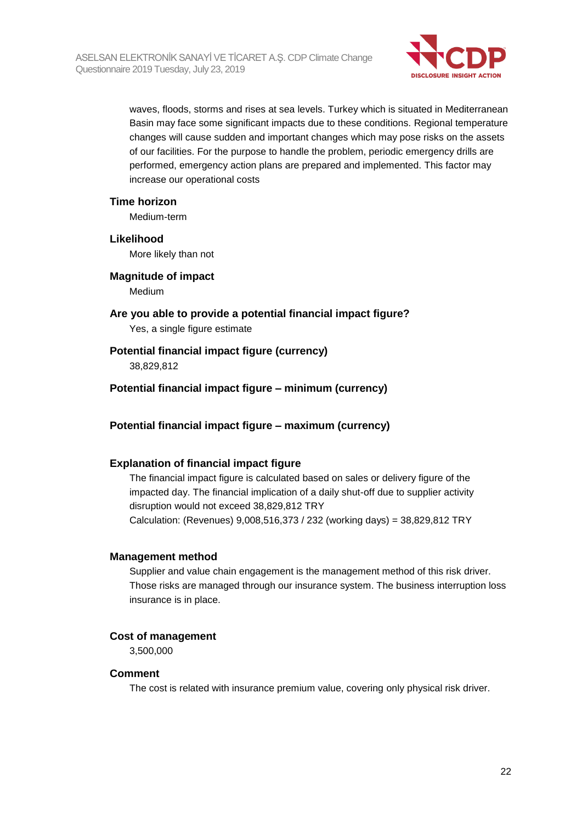

waves, floods, storms and rises at sea levels. Turkey which is situated in Mediterranean Basin may face some significant impacts due to these conditions. Regional temperature changes will cause sudden and important changes which may pose risks on the assets of our facilities. For the purpose to handle the problem, periodic emergency drills are performed, emergency action plans are prepared and implemented. This factor may increase our operational costs

#### **Time horizon**

Medium-term

**Likelihood** More likely than not

**Magnitude of impact**

Medium

- **Are you able to provide a potential financial impact figure?** Yes, a single figure estimate
- **Potential financial impact figure (currency)**

38,829,812

**Potential financial impact figure – minimum (currency)**

**Potential financial impact figure – maximum (currency)**

#### **Explanation of financial impact figure**

The financial impact figure is calculated based on sales or delivery figure of the impacted day. The financial implication of a daily shut-off due to supplier activity disruption would not exceed 38,829,812 TRY Calculation: (Revenues) 9,008,516,373 / 232 (working days) = 38,829,812 TRY

#### **Management method**

Supplier and value chain engagement is the management method of this risk driver. Those risks are managed through our insurance system. The business interruption loss insurance is in place.

#### **Cost of management**

3,500,000

#### **Comment**

The cost is related with insurance premium value, covering only physical risk driver.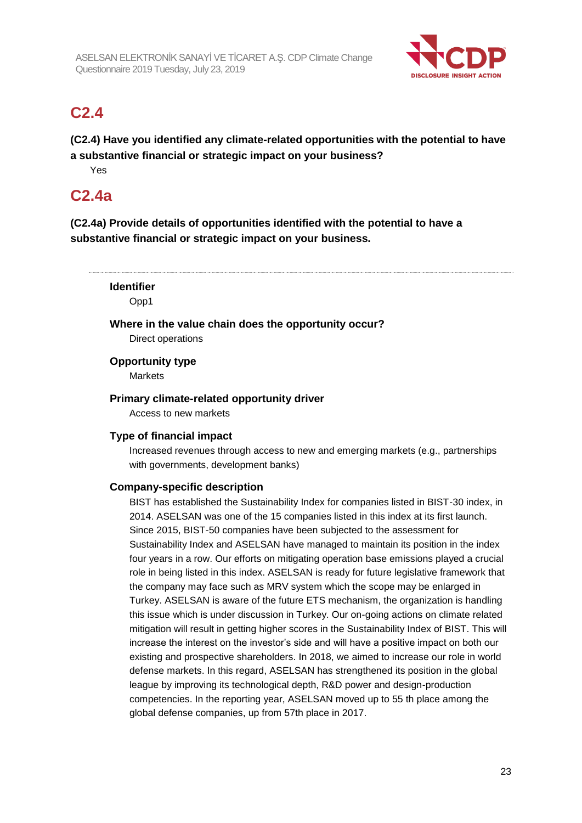

## **C2.4**

**(C2.4) Have you identified any climate-related opportunities with the potential to have a substantive financial or strategic impact on your business?**

Yes

## **C2.4a**

**(C2.4a) Provide details of opportunities identified with the potential to have a substantive financial or strategic impact on your business.**

**Identifier** Opp1 **Where in the value chain does the opportunity occur?** Direct operations **Opportunity type Markets Primary climate-related opportunity driver** Access to new markets

### **Type of financial impact**

Increased revenues through access to new and emerging markets (e.g., partnerships with governments, development banks)

### **Company-specific description**

BIST has established the Sustainability Index for companies listed in BIST-30 index, in 2014. ASELSAN was one of the 15 companies listed in this index at its first launch. Since 2015, BIST-50 companies have been subjected to the assessment for Sustainability Index and ASELSAN have managed to maintain its position in the index four years in a row. Our efforts on mitigating operation base emissions played a crucial role in being listed in this index. ASELSAN is ready for future legislative framework that the company may face such as MRV system which the scope may be enlarged in Turkey. ASELSAN is aware of the future ETS mechanism, the organization is handling this issue which is under discussion in Turkey. Our on-going actions on climate related mitigation will result in getting higher scores in the Sustainability Index of BIST. This will increase the interest on the investor's side and will have a positive impact on both our existing and prospective shareholders. In 2018, we aimed to increase our role in world defense markets. In this regard, ASELSAN has strengthened its position in the global league by improving its technological depth, R&D power and design-production competencies. In the reporting year, ASELSAN moved up to 55 th place among the global defense companies, up from 57th place in 2017.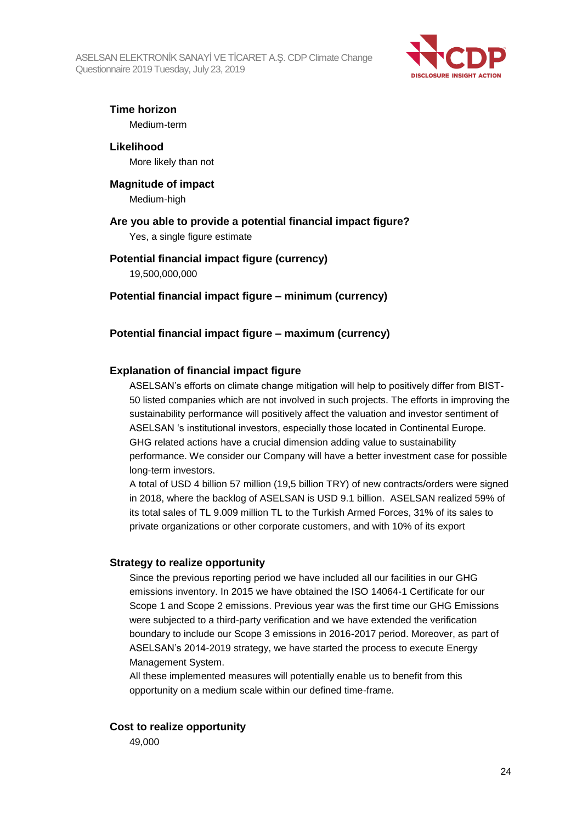ASELSAN ELEKTRONİK SANAYİ VE TİCARET A.Ş. CDP Climate Change Questionnaire 2019 Tuesday, July 23, 2019



**Time horizon**

Medium-term

**Likelihood** More likely than not

**Magnitude of impact** Medium-high

#### **Are you able to provide a potential financial impact figure?**

Yes, a single figure estimate

## **Potential financial impact figure (currency)**

19,500,000,000

### **Potential financial impact figure – minimum (currency)**

### **Potential financial impact figure – maximum (currency)**

### **Explanation of financial impact figure**

ASELSAN's efforts on climate change mitigation will help to positively differ from BIST-50 listed companies which are not involved in such projects. The efforts in improving the sustainability performance will positively affect the valuation and investor sentiment of ASELSAN 's institutional investors, especially those located in Continental Europe. GHG related actions have a crucial dimension adding value to sustainability performance. We consider our Company will have a better investment case for possible long-term investors.

A total of USD 4 billion 57 million (19,5 billion TRY) of new contracts/orders were signed in 2018, where the backlog of ASELSAN is USD 9.1 billion. ASELSAN realized 59% of its total sales of TL 9.009 million TL to the Turkish Armed Forces, 31% of its sales to private organizations or other corporate customers, and with 10% of its export

#### **Strategy to realize opportunity**

Since the previous reporting period we have included all our facilities in our GHG emissions inventory. In 2015 we have obtained the ISO 14064-1 Certificate for our Scope 1 and Scope 2 emissions. Previous year was the first time our GHG Emissions were subjected to a third-party verification and we have extended the verification boundary to include our Scope 3 emissions in 2016-2017 period. Moreover, as part of ASELSAN's 2014-2019 strategy, we have started the process to execute Energy Management System.

All these implemented measures will potentially enable us to benefit from this opportunity on a medium scale within our defined time-frame.

#### **Cost to realize opportunity**

49,000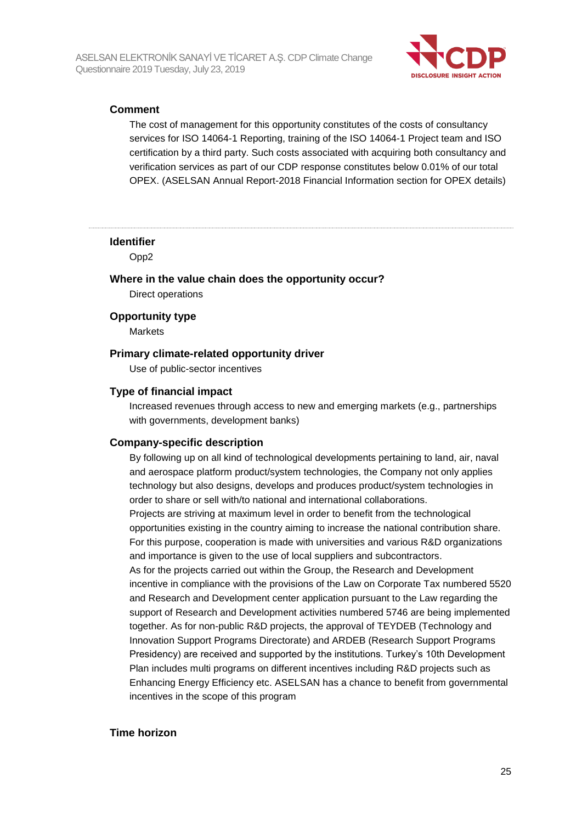

#### **Comment**

The cost of management for this opportunity constitutes of the costs of consultancy services for ISO 14064-1 Reporting, training of the ISO 14064-1 Project team and ISO certification by a third party. Such costs associated with acquiring both consultancy and verification services as part of our CDP response constitutes below 0.01% of our total OPEX. (ASELSAN Annual Report-2018 Financial Information section for OPEX details)

#### **Identifier**

Opp2

## **Where in the value chain does the opportunity occur?**

Direct operations

#### **Opportunity type**

Markets

#### **Primary climate-related opportunity driver**

Use of public-sector incentives

#### **Type of financial impact**

Increased revenues through access to new and emerging markets (e.g., partnerships with governments, development banks)

#### **Company-specific description**

By following up on all kind of technological developments pertaining to land, air, naval and aerospace platform product/system technologies, the Company not only applies technology but also designs, develops and produces product/system technologies in order to share or sell with/to national and international collaborations. Projects are striving at maximum level in order to benefit from the technological

opportunities existing in the country aiming to increase the national contribution share. For this purpose, cooperation is made with universities and various R&D organizations and importance is given to the use of local suppliers and subcontractors.

As for the projects carried out within the Group, the Research and Development incentive in compliance with the provisions of the Law on Corporate Tax numbered 5520 and Research and Development center application pursuant to the Law regarding the support of Research and Development activities numbered 5746 are being implemented together. As for non-public R&D projects, the approval of TEYDEB (Technology and Innovation Support Programs Directorate) and ARDEB (Research Support Programs Presidency) are received and supported by the institutions. Turkey's 10th Development Plan includes multi programs on different incentives including R&D projects such as Enhancing Energy Efficiency etc. ASELSAN has a chance to benefit from governmental incentives in the scope of this program

#### **Time horizon**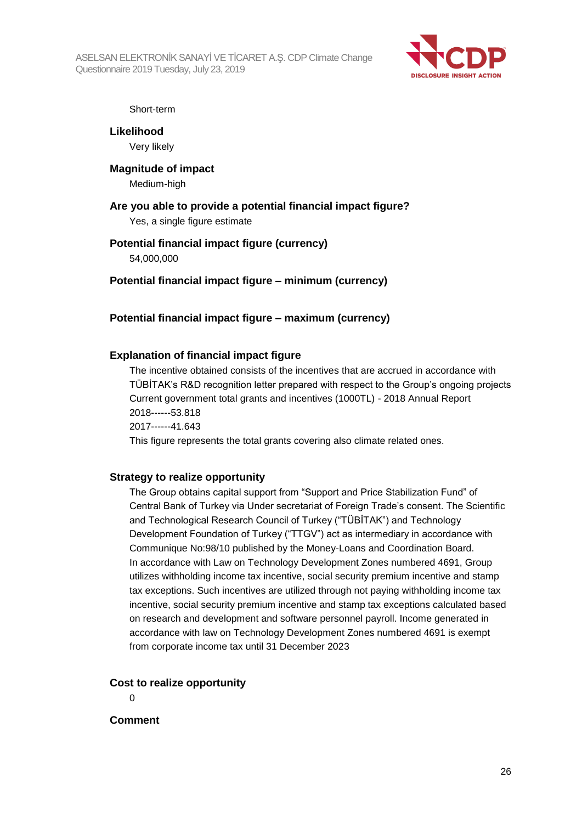ASELSAN ELEKTRONİK SANAYİ VE TİCARET A.Ş. CDP Climate Change Questionnaire 2019 Tuesday, July 23, 2019



Short-term

**Likelihood** Very likely

**Magnitude of impact** Medium-high

**Are you able to provide a potential financial impact figure?** Yes, a single figure estimate

#### **Potential financial impact figure (currency)**

54,000,000

**Potential financial impact figure – minimum (currency)**

**Potential financial impact figure – maximum (currency)**

#### **Explanation of financial impact figure**

The incentive obtained consists of the incentives that are accrued in accordance with TÜBİTAK's R&D recognition letter prepared with respect to the Group's ongoing projects Current government total grants and incentives (1000TL) - 2018 Annual Report 2018------53.818 2017------41.643

This figure represents the total grants covering also climate related ones.

#### **Strategy to realize opportunity**

The Group obtains capital support from "Support and Price Stabilization Fund" of Central Bank of Turkey via Under secretariat of Foreign Trade's consent. The Scientific and Technological Research Council of Turkey ("TÜBİTAK") and Technology Development Foundation of Turkey ("TTGV") act as intermediary in accordance with Communique No:98/10 published by the Money-Loans and Coordination Board. In accordance with Law on Technology Development Zones numbered 4691, Group utilizes withholding income tax incentive, social security premium incentive and stamp tax exceptions. Such incentives are utilized through not paying withholding income tax incentive, social security premium incentive and stamp tax exceptions calculated based on research and development and software personnel payroll. Income generated in accordance with law on Technology Development Zones numbered 4691 is exempt from corporate income tax until 31 December 2023

#### **Cost to realize opportunity**

 $\Omega$ 

#### **Comment**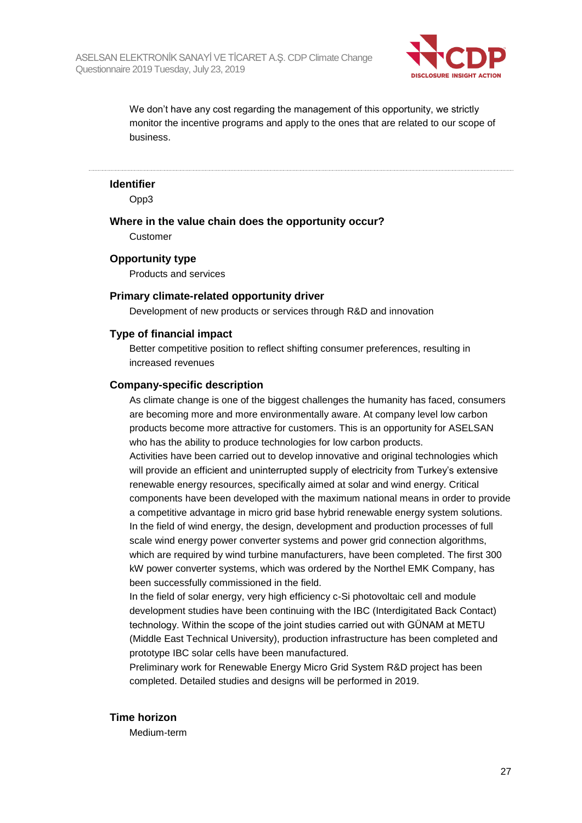

We don't have any cost regarding the management of this opportunity, we strictly monitor the incentive programs and apply to the ones that are related to our scope of business.

#### **Identifier**

Opp3

**Where in the value chain does the opportunity occur?**

Customer

#### **Opportunity type**

Products and services

#### **Primary climate-related opportunity driver**

Development of new products or services through R&D and innovation

#### **Type of financial impact**

Better competitive position to reflect shifting consumer preferences, resulting in increased revenues

#### **Company-specific description**

As climate change is one of the biggest challenges the humanity has faced, consumers are becoming more and more environmentally aware. At company level low carbon products become more attractive for customers. This is an opportunity for ASELSAN who has the ability to produce technologies for low carbon products.

Activities have been carried out to develop innovative and original technologies which will provide an efficient and uninterrupted supply of electricity from Turkey's extensive renewable energy resources, specifically aimed at solar and wind energy. Critical components have been developed with the maximum national means in order to provide a competitive advantage in micro grid base hybrid renewable energy system solutions. In the field of wind energy, the design, development and production processes of full scale wind energy power converter systems and power grid connection algorithms, which are required by wind turbine manufacturers, have been completed. The first 300 kW power converter systems, which was ordered by the Northel EMK Company, has been successfully commissioned in the field.

In the field of solar energy, very high efficiency c-Si photovoltaic cell and module development studies have been continuing with the IBC (Interdigitated Back Contact) technology. Within the scope of the joint studies carried out with GÜNAM at METU (Middle East Technical University), production infrastructure has been completed and prototype IBC solar cells have been manufactured.

Preliminary work for Renewable Energy Micro Grid System R&D project has been completed. Detailed studies and designs will be performed in 2019.

#### **Time horizon**

Medium-term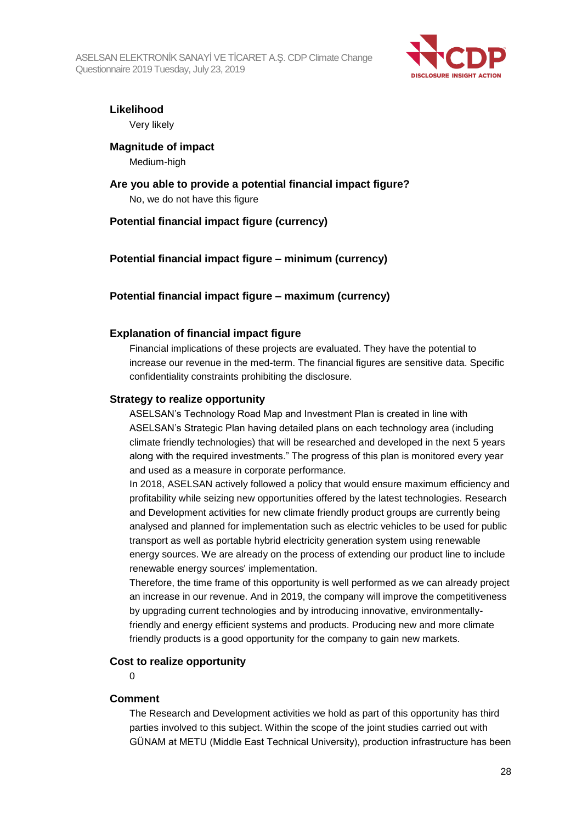

**Likelihood**

Very likely

**Magnitude of impact** Medium-high

## **Are you able to provide a potential financial impact figure?** No, we do not have this figure

### **Potential financial impact figure (currency)**

### **Potential financial impact figure – minimum (currency)**

### **Potential financial impact figure – maximum (currency)**

### **Explanation of financial impact figure**

Financial implications of these projects are evaluated. They have the potential to increase our revenue in the med-term. The financial figures are sensitive data. Specific confidentiality constraints prohibiting the disclosure.

#### **Strategy to realize opportunity**

ASELSAN's Technology Road Map and Investment Plan is created in line with ASELSAN's Strategic Plan having detailed plans on each technology area (including climate friendly technologies) that will be researched and developed in the next 5 years along with the required investments." The progress of this plan is monitored every year and used as a measure in corporate performance.

In 2018, ASELSAN actively followed a policy that would ensure maximum efficiency and profitability while seizing new opportunities offered by the latest technologies. Research and Development activities for new climate friendly product groups are currently being analysed and planned for implementation such as electric vehicles to be used for public transport as well as portable hybrid electricity generation system using renewable energy sources. We are already on the process of extending our product line to include renewable energy sources' implementation.

Therefore, the time frame of this opportunity is well performed as we can already project an increase in our revenue. And in 2019, the company will improve the competitiveness by upgrading current technologies and by introducing innovative, environmentallyfriendly and energy efficient systems and products. Producing new and more climate friendly products is a good opportunity for the company to gain new markets.

#### **Cost to realize opportunity**

 $\Omega$ 

#### **Comment**

The Research and Development activities we hold as part of this opportunity has third parties involved to this subject. Within the scope of the joint studies carried out with GÜNAM at METU (Middle East Technical University), production infrastructure has been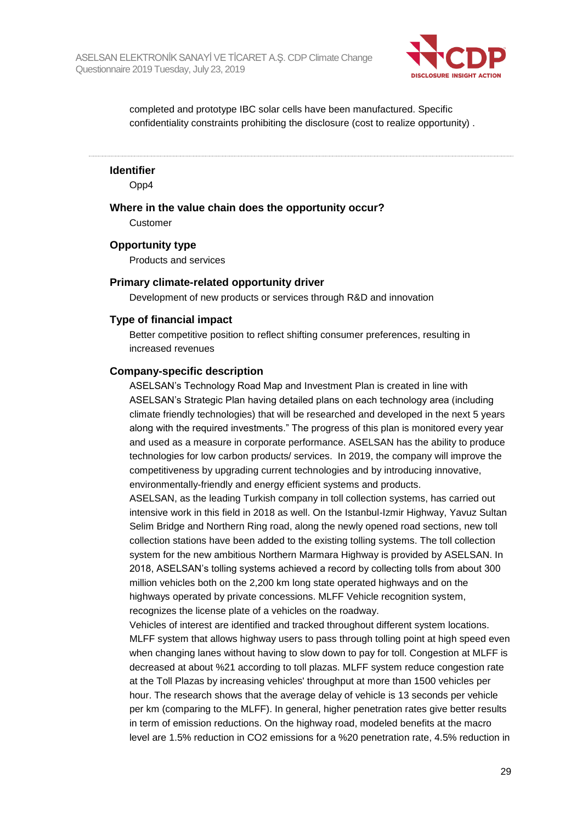

completed and prototype IBC solar cells have been manufactured. Specific confidentiality constraints prohibiting the disclosure (cost to realize opportunity) .

**Identifier**

Opp4

**Where in the value chain does the opportunity occur?**

Customer

#### **Opportunity type**

Products and services

#### **Primary climate-related opportunity driver**

Development of new products or services through R&D and innovation

#### **Type of financial impact**

Better competitive position to reflect shifting consumer preferences, resulting in increased revenues

#### **Company-specific description**

ASELSAN's Technology Road Map and Investment Plan is created in line with ASELSAN's Strategic Plan having detailed plans on each technology area (including climate friendly technologies) that will be researched and developed in the next 5 years along with the required investments." The progress of this plan is monitored every year and used as a measure in corporate performance. ASELSAN has the ability to produce technologies for low carbon products/ services. In 2019, the company will improve the competitiveness by upgrading current technologies and by introducing innovative, environmentally-friendly and energy efficient systems and products.

ASELSAN, as the leading Turkish company in toll collection systems, has carried out intensive work in this field in 2018 as well. On the Istanbul-Izmir Highway, Yavuz Sultan Selim Bridge and Northern Ring road, along the newly opened road sections, new toll collection stations have been added to the existing tolling systems. The toll collection system for the new ambitious Northern Marmara Highway is provided by ASELSAN. In 2018, ASELSAN's tolling systems achieved a record by collecting tolls from about 300 million vehicles both on the 2,200 km long state operated highways and on the highways operated by private concessions. MLFF Vehicle recognition system, recognizes the license plate of a vehicles on the roadway.

Vehicles of interest are identified and tracked throughout different system locations. MLFF system that allows highway users to pass through tolling point at high speed even when changing lanes without having to slow down to pay for toll. Congestion at MLFF is decreased at about %21 according to toll plazas. MLFF system reduce congestion rate at the Toll Plazas by increasing vehicles' throughput at more than 1500 vehicles per hour. The research shows that the average delay of vehicle is 13 seconds per vehicle per km (comparing to the MLFF). In general, higher penetration rates give better results in term of emission reductions. On the highway road, modeled benefits at the macro level are 1.5% reduction in CO2 emissions for a %20 penetration rate, 4.5% reduction in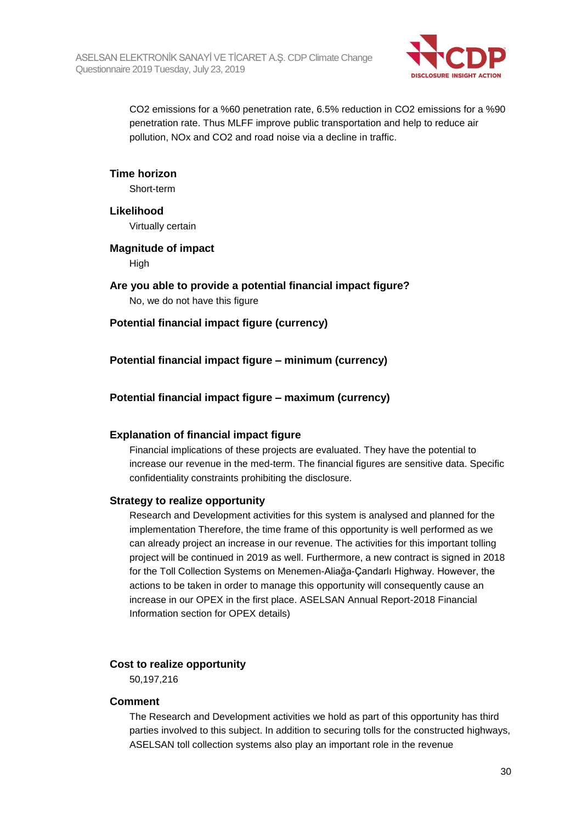

CO2 emissions for a %60 penetration rate, 6.5% reduction in CO2 emissions for a %90 penetration rate. Thus MLFF improve public transportation and help to reduce air pollution, NOx and CO2 and road noise via a decline in traffic.

#### **Time horizon**

Short-term

#### **Likelihood**

Virtually certain

#### **Magnitude of impact High**

**Are you able to provide a potential financial impact figure?** No, we do not have this figure

### **Potential financial impact figure (currency)**

**Potential financial impact figure – minimum (currency)**

### **Potential financial impact figure – maximum (currency)**

#### **Explanation of financial impact figure**

Financial implications of these projects are evaluated. They have the potential to increase our revenue in the med-term. The financial figures are sensitive data. Specific confidentiality constraints prohibiting the disclosure.

#### **Strategy to realize opportunity**

Research and Development activities for this system is analysed and planned for the implementation Therefore, the time frame of this opportunity is well performed as we can already project an increase in our revenue. The activities for this important tolling project will be continued in 2019 as well. Furthermore, a new contract is signed in 2018 for the Toll Collection Systems on Menemen-Aliağa-Çandarlı Highway. However, the actions to be taken in order to manage this opportunity will consequently cause an increase in our OPEX in the first place. ASELSAN Annual Report-2018 Financial Information section for OPEX details)

#### **Cost to realize opportunity**

50,197,216

#### **Comment**

The Research and Development activities we hold as part of this opportunity has third parties involved to this subject. In addition to securing tolls for the constructed highways, ASELSAN toll collection systems also play an important role in the revenue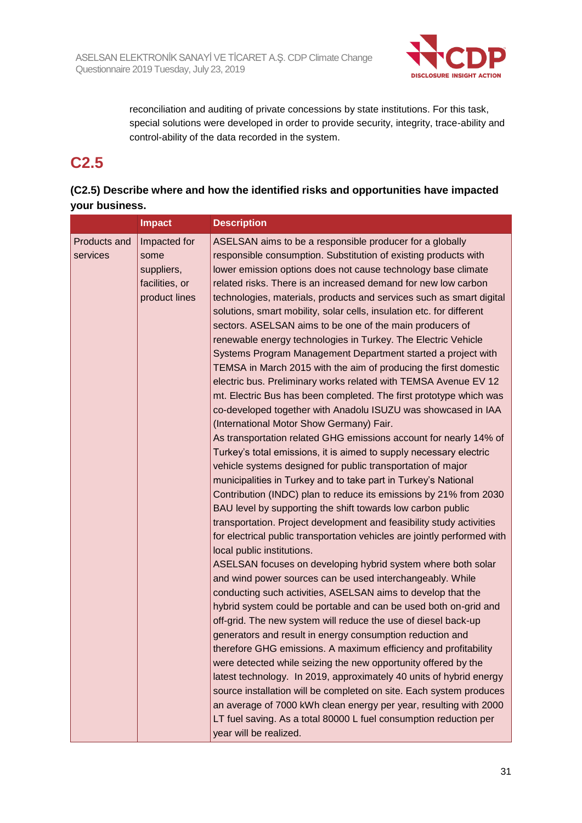

reconciliation and auditing of private concessions by state institutions. For this task, special solutions were developed in order to provide security, integrity, trace-ability and control-ability of the data recorded in the system.

## **C2.5**

### **(C2.5) Describe where and how the identified risks and opportunities have impacted your business.**

|                          | <b>Impact</b>                                                         | <b>Description</b>                                                                                                                                                                                                                                                                                                                                                                                                                                                                                                                                                                                                                                                                                                                                                                                                                                                                                                                                                                                                                                                                                                                                                                                                                                                                                                                                                                                                                                                                                                                                                                                                                                                                                                                                                                                                                                                                                                                                                                                                                                                                                                                                                                                                                                                                                                                                                                              |
|--------------------------|-----------------------------------------------------------------------|-------------------------------------------------------------------------------------------------------------------------------------------------------------------------------------------------------------------------------------------------------------------------------------------------------------------------------------------------------------------------------------------------------------------------------------------------------------------------------------------------------------------------------------------------------------------------------------------------------------------------------------------------------------------------------------------------------------------------------------------------------------------------------------------------------------------------------------------------------------------------------------------------------------------------------------------------------------------------------------------------------------------------------------------------------------------------------------------------------------------------------------------------------------------------------------------------------------------------------------------------------------------------------------------------------------------------------------------------------------------------------------------------------------------------------------------------------------------------------------------------------------------------------------------------------------------------------------------------------------------------------------------------------------------------------------------------------------------------------------------------------------------------------------------------------------------------------------------------------------------------------------------------------------------------------------------------------------------------------------------------------------------------------------------------------------------------------------------------------------------------------------------------------------------------------------------------------------------------------------------------------------------------------------------------------------------------------------------------------------------------------------------------|
| Products and<br>services | Impacted for<br>some<br>suppliers,<br>facilities, or<br>product lines | ASELSAN aims to be a responsible producer for a globally<br>responsible consumption. Substitution of existing products with<br>lower emission options does not cause technology base climate<br>related risks. There is an increased demand for new low carbon<br>technologies, materials, products and services such as smart digital<br>solutions, smart mobility, solar cells, insulation etc. for different<br>sectors. ASELSAN aims to be one of the main producers of<br>renewable energy technologies in Turkey. The Electric Vehicle<br>Systems Program Management Department started a project with<br>TEMSA in March 2015 with the aim of producing the first domestic<br>electric bus. Preliminary works related with TEMSA Avenue EV 12<br>mt. Electric Bus has been completed. The first prototype which was<br>co-developed together with Anadolu ISUZU was showcased in IAA<br>(International Motor Show Germany) Fair.<br>As transportation related GHG emissions account for nearly 14% of<br>Turkey's total emissions, it is aimed to supply necessary electric<br>vehicle systems designed for public transportation of major<br>municipalities in Turkey and to take part in Turkey's National<br>Contribution (INDC) plan to reduce its emissions by 21% from 2030<br>BAU level by supporting the shift towards low carbon public<br>transportation. Project development and feasibility study activities<br>for electrical public transportation vehicles are jointly performed with<br>local public institutions.<br>ASELSAN focuses on developing hybrid system where both solar<br>and wind power sources can be used interchangeably. While<br>conducting such activities, ASELSAN aims to develop that the<br>hybrid system could be portable and can be used both on-grid and<br>off-grid. The new system will reduce the use of diesel back-up<br>generators and result in energy consumption reduction and<br>therefore GHG emissions. A maximum efficiency and profitability<br>were detected while seizing the new opportunity offered by the<br>latest technology. In 2019, approximately 40 units of hybrid energy<br>source installation will be completed on site. Each system produces<br>an average of 7000 kWh clean energy per year, resulting with 2000<br>LT fuel saving. As a total 80000 L fuel consumption reduction per<br>year will be realized. |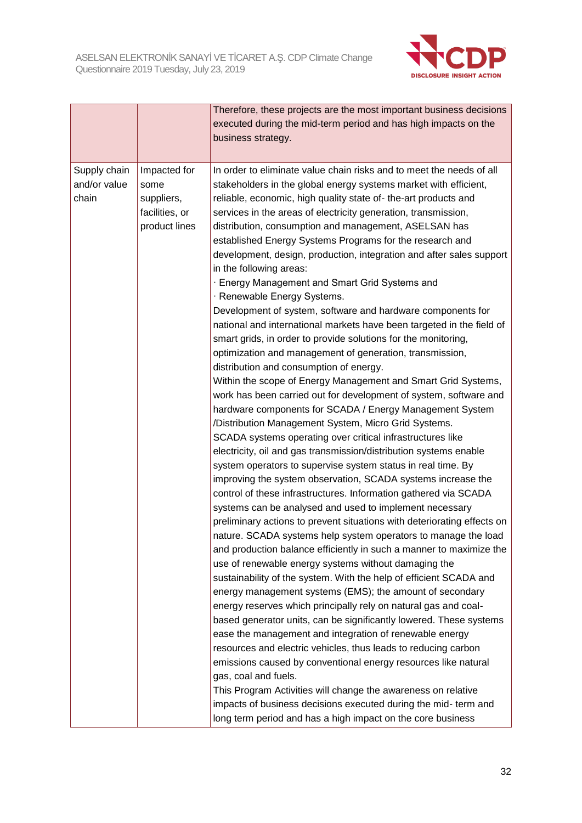

|                                       |                                                                       | Therefore, these projects are the most important business decisions<br>executed during the mid-term period and has high impacts on the                                                                                                                                                                                                                                                                                                                                                                                                                                                                                                                                                                                                                                                                                                                                                                                                                                                                                                                                                                                                                                                                                                                                                                                                                                                                                                                                                                                                                                                                                                                                                                                                                                                                                                                                                                                                                                           |
|---------------------------------------|-----------------------------------------------------------------------|----------------------------------------------------------------------------------------------------------------------------------------------------------------------------------------------------------------------------------------------------------------------------------------------------------------------------------------------------------------------------------------------------------------------------------------------------------------------------------------------------------------------------------------------------------------------------------------------------------------------------------------------------------------------------------------------------------------------------------------------------------------------------------------------------------------------------------------------------------------------------------------------------------------------------------------------------------------------------------------------------------------------------------------------------------------------------------------------------------------------------------------------------------------------------------------------------------------------------------------------------------------------------------------------------------------------------------------------------------------------------------------------------------------------------------------------------------------------------------------------------------------------------------------------------------------------------------------------------------------------------------------------------------------------------------------------------------------------------------------------------------------------------------------------------------------------------------------------------------------------------------------------------------------------------------------------------------------------------------|
|                                       |                                                                       | business strategy.                                                                                                                                                                                                                                                                                                                                                                                                                                                                                                                                                                                                                                                                                                                                                                                                                                                                                                                                                                                                                                                                                                                                                                                                                                                                                                                                                                                                                                                                                                                                                                                                                                                                                                                                                                                                                                                                                                                                                               |
| Supply chain<br>and/or value<br>chain | Impacted for<br>some<br>suppliers,<br>facilities, or<br>product lines | In order to eliminate value chain risks and to meet the needs of all<br>stakeholders in the global energy systems market with efficient,<br>reliable, economic, high quality state of-the-art products and<br>services in the areas of electricity generation, transmission,<br>distribution, consumption and management, ASELSAN has<br>established Energy Systems Programs for the research and<br>development, design, production, integration and after sales support<br>in the following areas:<br>· Energy Management and Smart Grid Systems and<br>· Renewable Energy Systems.<br>Development of system, software and hardware components for<br>national and international markets have been targeted in the field of<br>smart grids, in order to provide solutions for the monitoring,<br>optimization and management of generation, transmission,<br>distribution and consumption of energy.<br>Within the scope of Energy Management and Smart Grid Systems,<br>work has been carried out for development of system, software and<br>hardware components for SCADA / Energy Management System<br>/Distribution Management System, Micro Grid Systems.<br>SCADA systems operating over critical infrastructures like<br>electricity, oil and gas transmission/distribution systems enable<br>system operators to supervise system status in real time. By<br>improving the system observation, SCADA systems increase the<br>control of these infrastructures. Information gathered via SCADA<br>systems can be analysed and used to implement necessary<br>preliminary actions to prevent situations with deteriorating effects on<br>nature. SCADA systems help system operators to manage the load<br>and production balance efficiently in such a manner to maximize the<br>use of renewable energy systems without damaging the<br>sustainability of the system. With the help of efficient SCADA and<br>energy management systems (EMS); the amount of secondary |
|                                       |                                                                       | energy reserves which principally rely on natural gas and coal-<br>based generator units, can be significantly lowered. These systems                                                                                                                                                                                                                                                                                                                                                                                                                                                                                                                                                                                                                                                                                                                                                                                                                                                                                                                                                                                                                                                                                                                                                                                                                                                                                                                                                                                                                                                                                                                                                                                                                                                                                                                                                                                                                                            |
|                                       |                                                                       | ease the management and integration of renewable energy<br>resources and electric vehicles, thus leads to reducing carbon                                                                                                                                                                                                                                                                                                                                                                                                                                                                                                                                                                                                                                                                                                                                                                                                                                                                                                                                                                                                                                                                                                                                                                                                                                                                                                                                                                                                                                                                                                                                                                                                                                                                                                                                                                                                                                                        |
|                                       |                                                                       | emissions caused by conventional energy resources like natural                                                                                                                                                                                                                                                                                                                                                                                                                                                                                                                                                                                                                                                                                                                                                                                                                                                                                                                                                                                                                                                                                                                                                                                                                                                                                                                                                                                                                                                                                                                                                                                                                                                                                                                                                                                                                                                                                                                   |
|                                       |                                                                       | gas, coal and fuels.<br>This Program Activities will change the awareness on relative                                                                                                                                                                                                                                                                                                                                                                                                                                                                                                                                                                                                                                                                                                                                                                                                                                                                                                                                                                                                                                                                                                                                                                                                                                                                                                                                                                                                                                                                                                                                                                                                                                                                                                                                                                                                                                                                                            |
|                                       |                                                                       | impacts of business decisions executed during the mid- term and<br>long term period and has a high impact on the core business                                                                                                                                                                                                                                                                                                                                                                                                                                                                                                                                                                                                                                                                                                                                                                                                                                                                                                                                                                                                                                                                                                                                                                                                                                                                                                                                                                                                                                                                                                                                                                                                                                                                                                                                                                                                                                                   |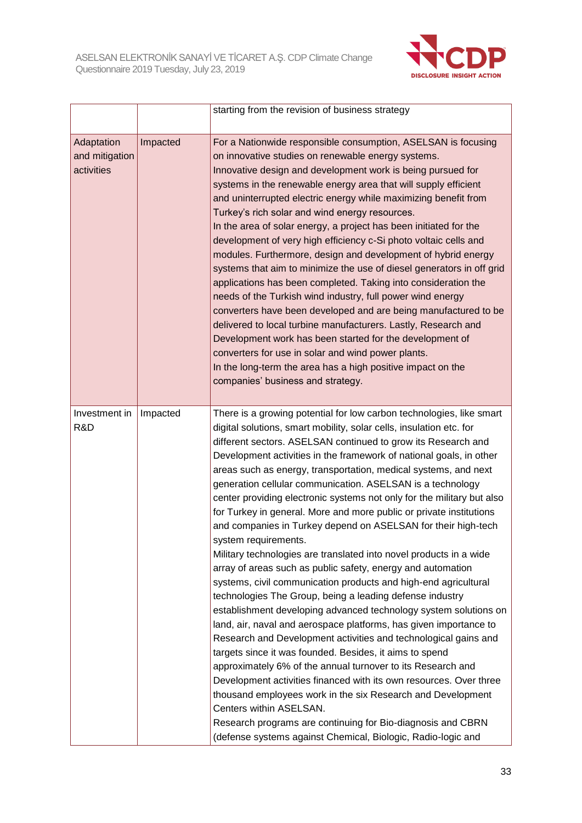

|                                            |          | starting from the revision of business strategy                                                                                                                                                                                                                                                                                                                                                                                                                                                                                                                                                                                                                                                                                                                                                                                                                                                                                                                                                                                                                                                                                                                                                                                                                                                                                                                                                                                                                                                                                                                         |
|--------------------------------------------|----------|-------------------------------------------------------------------------------------------------------------------------------------------------------------------------------------------------------------------------------------------------------------------------------------------------------------------------------------------------------------------------------------------------------------------------------------------------------------------------------------------------------------------------------------------------------------------------------------------------------------------------------------------------------------------------------------------------------------------------------------------------------------------------------------------------------------------------------------------------------------------------------------------------------------------------------------------------------------------------------------------------------------------------------------------------------------------------------------------------------------------------------------------------------------------------------------------------------------------------------------------------------------------------------------------------------------------------------------------------------------------------------------------------------------------------------------------------------------------------------------------------------------------------------------------------------------------------|
| Adaptation<br>and mitigation<br>activities | Impacted | For a Nationwide responsible consumption, ASELSAN is focusing<br>on innovative studies on renewable energy systems.<br>Innovative design and development work is being pursued for<br>systems in the renewable energy area that will supply efficient<br>and uninterrupted electric energy while maximizing benefit from<br>Turkey's rich solar and wind energy resources.<br>In the area of solar energy, a project has been initiated for the<br>development of very high efficiency c-Si photo voltaic cells and<br>modules. Furthermore, design and development of hybrid energy<br>systems that aim to minimize the use of diesel generators in off grid<br>applications has been completed. Taking into consideration the<br>needs of the Turkish wind industry, full power wind energy<br>converters have been developed and are being manufactured to be<br>delivered to local turbine manufacturers. Lastly, Research and<br>Development work has been started for the development of<br>converters for use in solar and wind power plants.<br>In the long-term the area has a high positive impact on the<br>companies' business and strategy.                                                                                                                                                                                                                                                                                                                                                                                                                |
| Investment in<br>R&D                       | Impacted | There is a growing potential for low carbon technologies, like smart<br>digital solutions, smart mobility, solar cells, insulation etc. for<br>different sectors. ASELSAN continued to grow its Research and<br>Development activities in the framework of national goals, in other<br>areas such as energy, transportation, medical systems, and next<br>generation cellular communication. ASELSAN is a technology<br>center providing electronic systems not only for the military but also<br>for Turkey in general. More and more public or private institutions<br>and companies in Turkey depend on ASELSAN for their high-tech<br>svstem requirements.<br>Military technologies are translated into novel products in a wide<br>array of areas such as public safety, energy and automation<br>systems, civil communication products and high-end agricultural<br>technologies The Group, being a leading defense industry<br>establishment developing advanced technology system solutions on<br>land, air, naval and aerospace platforms, has given importance to<br>Research and Development activities and technological gains and<br>targets since it was founded. Besides, it aims to spend<br>approximately 6% of the annual turnover to its Research and<br>Development activities financed with its own resources. Over three<br>thousand employees work in the six Research and Development<br>Centers within ASELSAN.<br>Research programs are continuing for Bio-diagnosis and CBRN<br>(defense systems against Chemical, Biologic, Radio-logic and |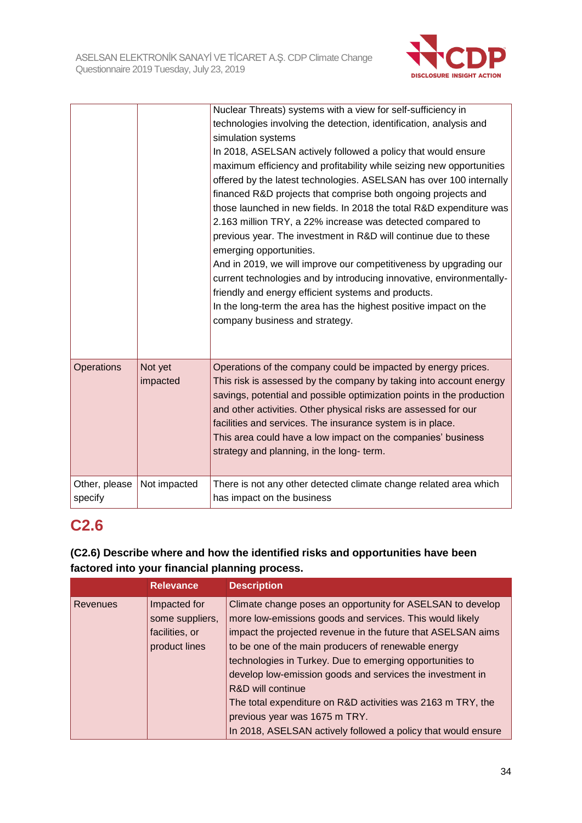

|                          |                     | Nuclear Threats) systems with a view for self-sufficiency in<br>technologies involving the detection, identification, analysis and<br>simulation systems<br>In 2018, ASELSAN actively followed a policy that would ensure<br>maximum efficiency and profitability while seizing new opportunities<br>offered by the latest technologies. ASELSAN has over 100 internally<br>financed R&D projects that comprise both ongoing projects and<br>those launched in new fields. In 2018 the total R&D expenditure was<br>2.163 million TRY, a 22% increase was detected compared to<br>previous year. The investment in R&D will continue due to these<br>emerging opportunities.<br>And in 2019, we will improve our competitiveness by upgrading our<br>current technologies and by introducing innovative, environmentally- |
|--------------------------|---------------------|---------------------------------------------------------------------------------------------------------------------------------------------------------------------------------------------------------------------------------------------------------------------------------------------------------------------------------------------------------------------------------------------------------------------------------------------------------------------------------------------------------------------------------------------------------------------------------------------------------------------------------------------------------------------------------------------------------------------------------------------------------------------------------------------------------------------------|
|                          |                     | friendly and energy efficient systems and products.<br>In the long-term the area has the highest positive impact on the<br>company business and strategy.                                                                                                                                                                                                                                                                                                                                                                                                                                                                                                                                                                                                                                                                 |
| <b>Operations</b>        | Not yet<br>impacted | Operations of the company could be impacted by energy prices.<br>This risk is assessed by the company by taking into account energy<br>savings, potential and possible optimization points in the production<br>and other activities. Other physical risks are assessed for our<br>facilities and services. The insurance system is in place.<br>This area could have a low impact on the companies' business<br>strategy and planning, in the long- term.                                                                                                                                                                                                                                                                                                                                                                |
| Other, please<br>specify | Not impacted        | There is not any other detected climate change related area which<br>has impact on the business                                                                                                                                                                                                                                                                                                                                                                                                                                                                                                                                                                                                                                                                                                                           |

## **C2.6**

## **(C2.6) Describe where and how the identified risks and opportunities have been factored into your financial planning process.**

|                 | <b>Relevance</b>                                                   | <b>Description</b>                                                                                                                                                                                                                                                                                                                                                                                                                                         |
|-----------------|--------------------------------------------------------------------|------------------------------------------------------------------------------------------------------------------------------------------------------------------------------------------------------------------------------------------------------------------------------------------------------------------------------------------------------------------------------------------------------------------------------------------------------------|
| <b>Revenues</b> | Impacted for<br>some suppliers,<br>facilities, or<br>product lines | Climate change poses an opportunity for ASELSAN to develop<br>more low-emissions goods and services. This would likely<br>impact the projected revenue in the future that ASELSAN aims<br>to be one of the main producers of renewable energy<br>technologies in Turkey. Due to emerging opportunities to<br>develop low-emission goods and services the investment in<br>R&D will continue<br>The total expenditure on R&D activities was 2163 m TRY, the |
|                 |                                                                    | previous year was 1675 m TRY.                                                                                                                                                                                                                                                                                                                                                                                                                              |
|                 |                                                                    | In 2018, ASELSAN actively followed a policy that would ensure                                                                                                                                                                                                                                                                                                                                                                                              |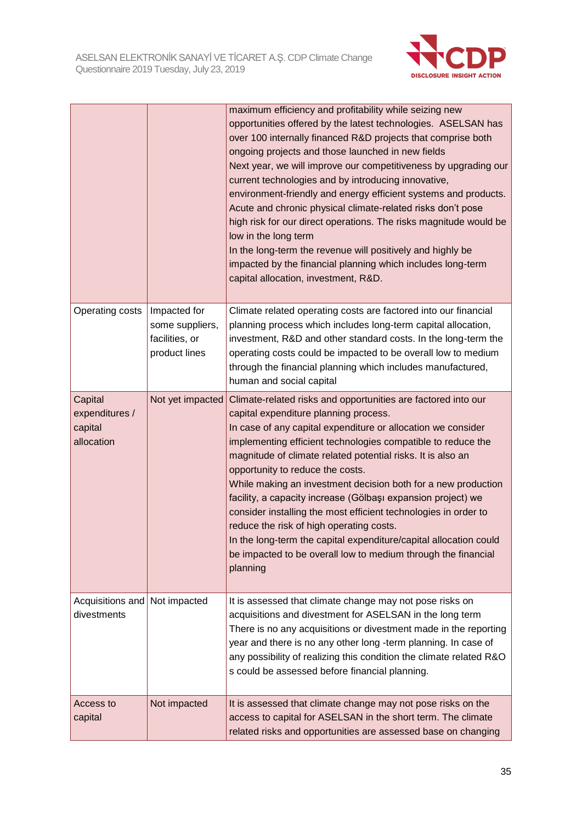

|                                                    |                                                                    | maximum efficiency and profitability while seizing new<br>opportunities offered by the latest technologies. ASELSAN has<br>over 100 internally financed R&D projects that comprise both<br>ongoing projects and those launched in new fields<br>Next year, we will improve our competitiveness by upgrading our<br>current technologies and by introducing innovative,<br>environment-friendly and energy efficient systems and products.<br>Acute and chronic physical climate-related risks don't pose<br>high risk for our direct operations. The risks magnitude would be<br>low in the long term<br>In the long-term the revenue will positively and highly be<br>impacted by the financial planning which includes long-term<br>capital allocation, investment, R&D. |
|----------------------------------------------------|--------------------------------------------------------------------|----------------------------------------------------------------------------------------------------------------------------------------------------------------------------------------------------------------------------------------------------------------------------------------------------------------------------------------------------------------------------------------------------------------------------------------------------------------------------------------------------------------------------------------------------------------------------------------------------------------------------------------------------------------------------------------------------------------------------------------------------------------------------|
| Operating costs                                    | Impacted for<br>some suppliers,<br>facilities, or<br>product lines | Climate related operating costs are factored into our financial<br>planning process which includes long-term capital allocation,<br>investment, R&D and other standard costs. In the long-term the<br>operating costs could be impacted to be overall low to medium<br>through the financial planning which includes manufactured,<br>human and social capital                                                                                                                                                                                                                                                                                                                                                                                                             |
| Capital<br>expenditures /<br>capital<br>allocation | Not yet impacted                                                   | Climate-related risks and opportunities are factored into our<br>capital expenditure planning process.<br>In case of any capital expenditure or allocation we consider<br>implementing efficient technologies compatible to reduce the<br>magnitude of climate related potential risks. It is also an<br>opportunity to reduce the costs.<br>While making an investment decision both for a new production<br>facility, a capacity increase (Gölbaşı expansion project) we<br>consider installing the most efficient technologies in order to<br>reduce the risk of high operating costs.<br>In the long-term the capital expenditure/capital allocation could<br>be impacted to be overall low to medium through the financial<br>planning                                |
| Acquisitions and<br>divestments                    | Not impacted                                                       | It is assessed that climate change may not pose risks on<br>acquisitions and divestment for ASELSAN in the long term<br>There is no any acquisitions or divestment made in the reporting<br>year and there is no any other long -term planning. In case of<br>any possibility of realizing this condition the climate related R&O<br>s could be assessed before financial planning.                                                                                                                                                                                                                                                                                                                                                                                        |
| Access to<br>capital                               | Not impacted                                                       | It is assessed that climate change may not pose risks on the<br>access to capital for ASELSAN in the short term. The climate<br>related risks and opportunities are assessed base on changing                                                                                                                                                                                                                                                                                                                                                                                                                                                                                                                                                                              |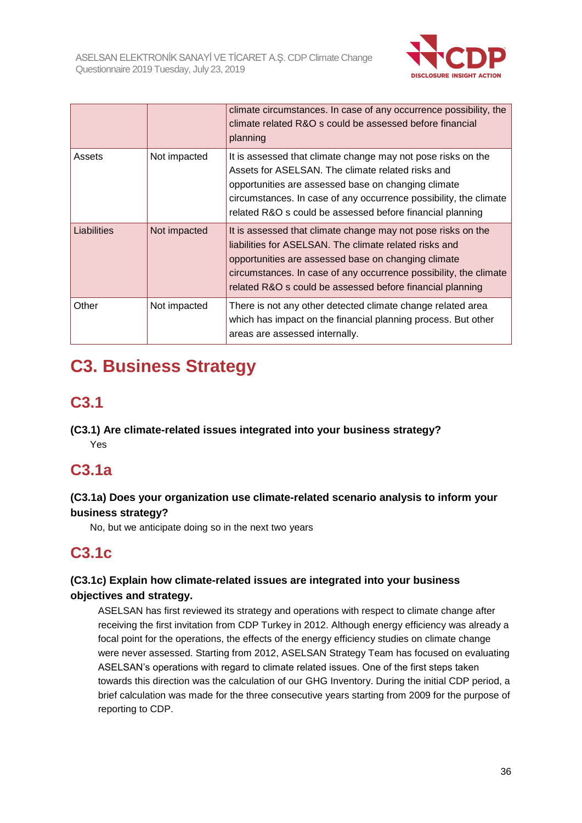

|             |              | climate circumstances. In case of any occurrence possibility, the<br>climate related R&O s could be assessed before financial<br>planning                                                                                                                                                                       |
|-------------|--------------|-----------------------------------------------------------------------------------------------------------------------------------------------------------------------------------------------------------------------------------------------------------------------------------------------------------------|
| Assets      | Not impacted | It is assessed that climate change may not pose risks on the<br>Assets for ASELSAN. The climate related risks and<br>opportunities are assessed base on changing climate<br>circumstances. In case of any occurrence possibility, the climate<br>related R&O s could be assessed before financial planning      |
| Liabilities | Not impacted | It is assessed that climate change may not pose risks on the<br>liabilities for ASELSAN. The climate related risks and<br>opportunities are assessed base on changing climate<br>circumstances. In case of any occurrence possibility, the climate<br>related R&O s could be assessed before financial planning |
| Other       | Not impacted | There is not any other detected climate change related area<br>which has impact on the financial planning process. But other<br>areas are assessed internally.                                                                                                                                                  |

# **C3. Business Strategy**

## **C3.1**

**(C3.1) Are climate-related issues integrated into your business strategy?** Yes

## **C3.1a**

## **(C3.1a) Does your organization use climate-related scenario analysis to inform your business strategy?**

No, but we anticipate doing so in the next two years

# **C3.1c**

## **(C3.1c) Explain how climate-related issues are integrated into your business objectives and strategy.**

ASELSAN has first reviewed its strategy and operations with respect to climate change after receiving the first invitation from CDP Turkey in 2012. Although energy efficiency was already a focal point for the operations, the effects of the energy efficiency studies on climate change were never assessed. Starting from 2012, ASELSAN Strategy Team has focused on evaluating ASELSAN's operations with regard to climate related issues. One of the first steps taken towards this direction was the calculation of our GHG Inventory. During the initial CDP period, a brief calculation was made for the three consecutive years starting from 2009 for the purpose of reporting to CDP.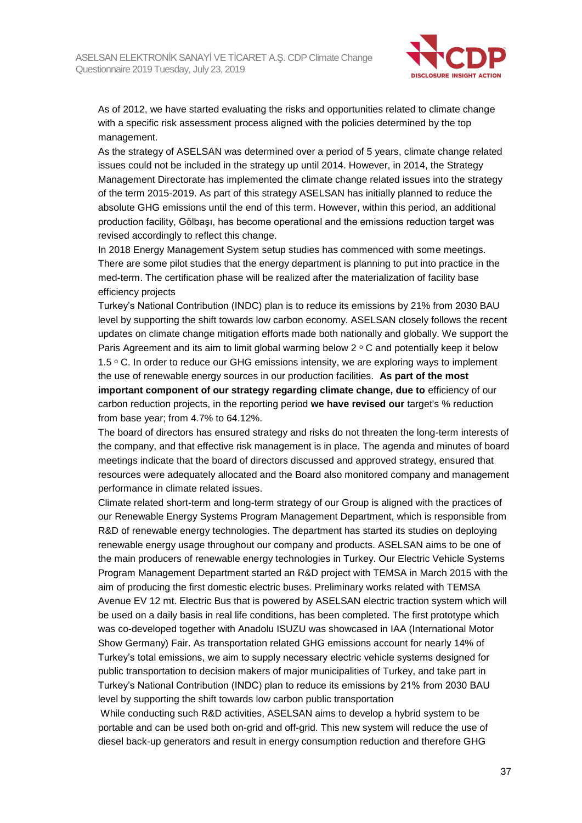

As of 2012, we have started evaluating the risks and opportunities related to climate change with a specific risk assessment process aligned with the policies determined by the top management.

As the strategy of ASELSAN was determined over a period of 5 years, climate change related issues could not be included in the strategy up until 2014. However, in 2014, the Strategy Management Directorate has implemented the climate change related issues into the strategy of the term 2015-2019. As part of this strategy ASELSAN has initially planned to reduce the absolute GHG emissions until the end of this term. However, within this period, an additional production facility, Gölbaşı, has become operational and the emissions reduction target was revised accordingly to reflect this change.

In 2018 Energy Management System setup studies has commenced with some meetings. There are some pilot studies that the energy department is planning to put into practice in the med-term. The certification phase will be realized after the materialization of facility base efficiency projects

Turkey's National Contribution (INDC) plan is to reduce its emissions by 21% from 2030 BAU level by supporting the shift towards low carbon economy. ASELSAN closely follows the recent updates on climate change mitigation efforts made both nationally and globally. We support the Paris Agreement and its aim to limit global warming below  $2 \circ C$  and potentially keep it below 1.5 ° C. In order to reduce our GHG emissions intensity, we are exploring ways to implement the use of renewable energy sources in our production facilities. **As part of the most important component of our strategy regarding climate change, due to** efficiency of our carbon reduction projects, in the reporting period **we have revised our** target's % reduction from base year; from 4.7% to 64.12%.

The board of directors has ensured strategy and risks do not threaten the long-term interests of the company, and that effective risk management is in place. The agenda and minutes of board meetings indicate that the board of directors discussed and approved strategy, ensured that resources were adequately allocated and the Board also monitored company and management performance in climate related issues.

Climate related short-term and long-term strategy of our Group is aligned with the practices of our Renewable Energy Systems Program Management Department, which is responsible from R&D of renewable energy technologies. The department has started its studies on deploying renewable energy usage throughout our company and products. ASELSAN aims to be one of the main producers of renewable energy technologies in Turkey. Our Electric Vehicle Systems Program Management Department started an R&D project with TEMSA in March 2015 with the aim of producing the first domestic electric buses. Preliminary works related with TEMSA Avenue EV 12 mt. Electric Bus that is powered by ASELSAN electric traction system which will be used on a daily basis in real life conditions, has been completed. The first prototype which was co-developed together with Anadolu ISUZU was showcased in IAA (International Motor Show Germany) Fair. As transportation related GHG emissions account for nearly 14% of Turkey's total emissions, we aim to supply necessary electric vehicle systems designed for public transportation to decision makers of major municipalities of Turkey, and take part in Turkey's National Contribution (INDC) plan to reduce its emissions by 21% from 2030 BAU level by supporting the shift towards low carbon public transportation

While conducting such R&D activities, ASELSAN aims to develop a hybrid system to be portable and can be used both on-grid and off-grid. This new system will reduce the use of diesel back-up generators and result in energy consumption reduction and therefore GHG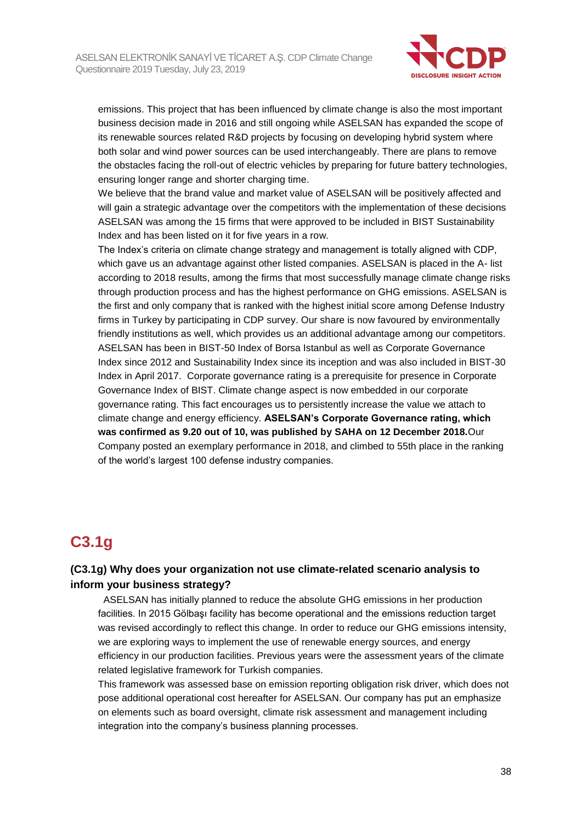

emissions. This project that has been influenced by climate change is also the most important business decision made in 2016 and still ongoing while ASELSAN has expanded the scope of its renewable sources related R&D projects by focusing on developing hybrid system where both solar and wind power sources can be used interchangeably. There are plans to remove the obstacles facing the roll-out of electric vehicles by preparing for future battery technologies, ensuring longer range and shorter charging time.

We believe that the brand value and market value of ASELSAN will be positively affected and will gain a strategic advantage over the competitors with the implementation of these decisions ASELSAN was among the 15 firms that were approved to be included in BIST Sustainability Index and has been listed on it for five years in a row.

The Index's criteria on climate change strategy and management is totally aligned with CDP, which gave us an advantage against other listed companies. ASELSAN is placed in the A- list according to 2018 results, among the firms that most successfully manage climate change risks through production process and has the highest performance on GHG emissions. ASELSAN is the first and only company that is ranked with the highest initial score among Defense Industry firms in Turkey by participating in CDP survey. Our share is now favoured by environmentally friendly institutions as well, which provides us an additional advantage among our competitors. ASELSAN has been in BIST-50 Index of Borsa Istanbul as well as Corporate Governance Index since 2012 and Sustainability Index since its inception and was also included in BIST-30 Index in April 2017. Corporate governance rating is a prerequisite for presence in Corporate Governance Index of BIST. Climate change aspect is now embedded in our corporate governance rating. This fact encourages us to persistently increase the value we attach to climate change and energy efficiency. **ASELSAN's Corporate Governance rating, which was confirmed as 9.20 out of 10, was published by SAHA on 12 December 2018.**Our Company posted an exemplary performance in 2018, and climbed to 55th place in the ranking of the world's largest 100 defense industry companies.

## **C3.1g**

## **(C3.1g) Why does your organization not use climate-related scenario analysis to inform your business strategy?**

 ASELSAN has initially planned to reduce the absolute GHG emissions in her production facilities. In 2015 Gölbaşı facility has become operational and the emissions reduction target was revised accordingly to reflect this change. In order to reduce our GHG emissions intensity, we are exploring ways to implement the use of renewable energy sources, and energy efficiency in our production facilities. Previous years were the assessment years of the climate related legislative framework for Turkish companies.

This framework was assessed base on emission reporting obligation risk driver, which does not pose additional operational cost hereafter for ASELSAN. Our company has put an emphasize on elements such as board oversight, climate risk assessment and management including integration into the company's business planning processes.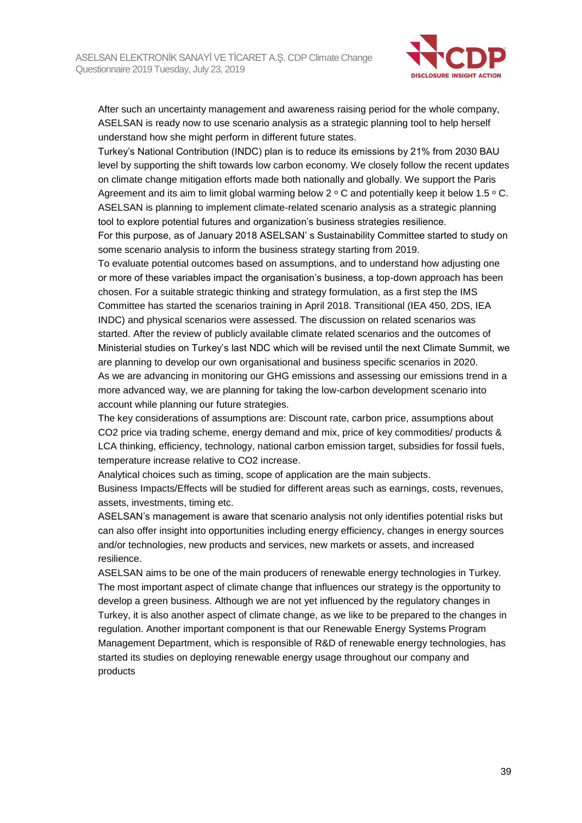

After such an uncertainty management and awareness raising period for the whole company, ASELSAN is ready now to use scenario analysis as a strategic planning tool to help herself understand how she might perform in different future states.

Turkey's National Contribution (INDC) plan is to reduce its emissions by 21% from 2030 BAU level by supporting the shift towards low carbon economy. We closely follow the recent updates on climate change mitigation efforts made both nationally and globally. We support the Paris Agreement and its aim to limit global warming below  $2 \circ C$  and potentially keep it below 1.5  $\circ C$ . ASELSAN is planning to implement climate-related scenario analysis as a strategic planning tool to explore potential futures and organization's business strategies resilience.

For this purpose, as of January 2018 ASELSAN' s Sustainability Committee started to study on some scenario analysis to inform the business strategy starting from 2019.

To evaluate potential outcomes based on assumptions, and to understand how adjusting one or more of these variables impact the organisation's business, a top-down approach has been chosen. For a suitable strategic thinking and strategy formulation, as a first step the IMS Committee has started the scenarios training in April 2018. Transitional (IEA 450, 2DS, IEA INDC) and physical scenarios were assessed. The discussion on related scenarios was started. After the review of publicly available climate related scenarios and the outcomes of Ministerial studies on Turkey's last NDC which will be revised until the next Climate Summit, we are planning to develop our own organisational and business specific scenarios in 2020. As we are advancing in monitoring our GHG emissions and assessing our emissions trend in a more advanced way, we are planning for taking the low-carbon development scenario into account while planning our future strategies.

The key considerations of assumptions are: Discount rate, carbon price, assumptions about CO2 price via trading scheme, energy demand and mix, price of key commodities/ products & LCA thinking, efficiency, technology, national carbon emission target, subsidies for fossil fuels, temperature increase relative to CO2 increase.

Analytical choices such as timing, scope of application are the main subjects.

Business Impacts/Effects will be studied for different areas such as earnings, costs, revenues, assets, investments, timing etc.

ASELSAN's management is aware that scenario analysis not only identifies potential risks but can also offer insight into opportunities including energy efficiency, changes in energy sources and/or technologies, new products and services, new markets or assets, and increased resilience.

ASELSAN aims to be one of the main producers of renewable energy technologies in Turkey. The most important aspect of climate change that influences our strategy is the opportunity to develop a green business. Although we are not yet influenced by the regulatory changes in Turkey, it is also another aspect of climate change, as we like to be prepared to the changes in regulation. Another important component is that our Renewable Energy Systems Program Management Department, which is responsible of R&D of renewable energy technologies, has started its studies on deploying renewable energy usage throughout our company and products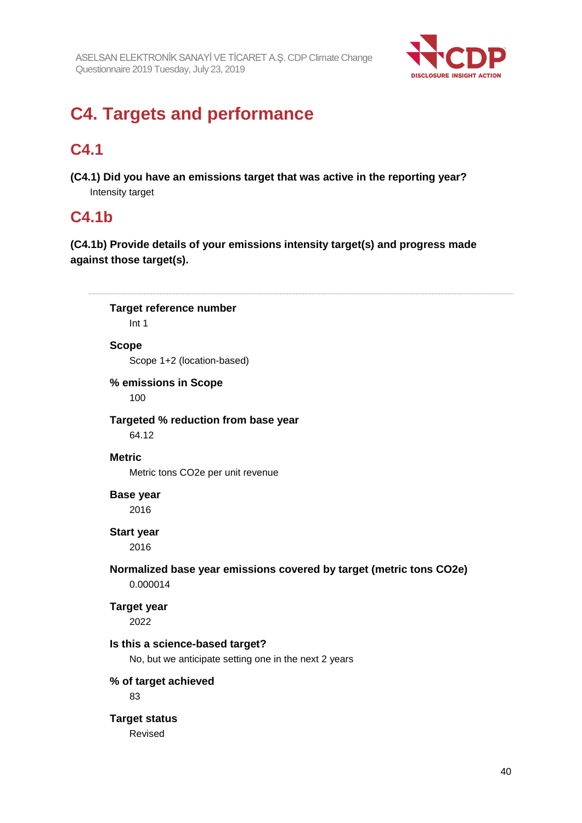

# **C4. Targets and performance**

## **C4.1**

**(C4.1) Did you have an emissions target that was active in the reporting year?** Intensity target

## **C4.1b**

**(C4.1b) Provide details of your emissions intensity target(s) and progress made against those target(s).**

**Target reference number** Int 1 **Scope** Scope 1+2 (location-based) **% emissions in Scope** 100 **Targeted % reduction from base year** 64.12 **Metric** Metric tons CO2e per unit revenue **Base year** 2016 **Start year** 2016 **Normalized base year emissions covered by target (metric tons CO2e)** 0.000014 **Target year** 2022 **Is this a science-based target?** No, but we anticipate setting one in the next 2 years **% of target achieved** 83 **Target status** Revised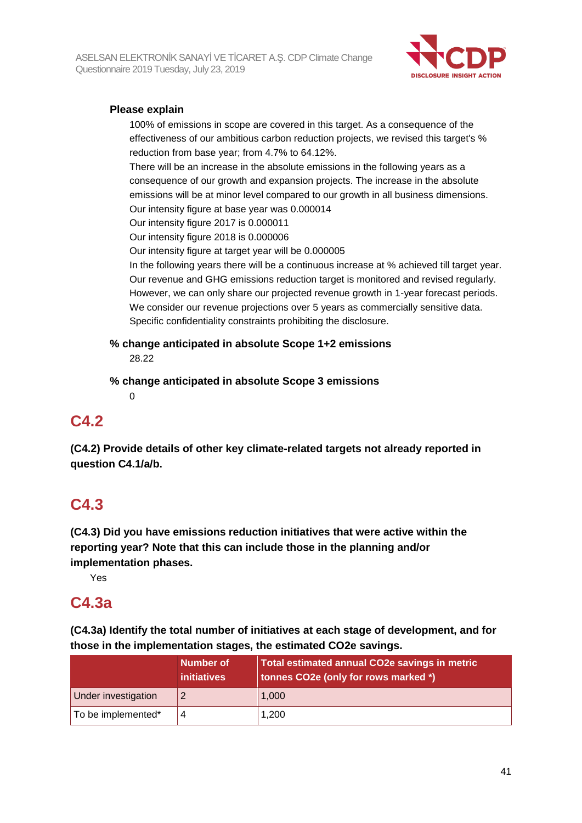

## **Please explain**

100% of emissions in scope are covered in this target. As a consequence of the effectiveness of our ambitious carbon reduction projects, we revised this target's % reduction from base year; from 4.7% to 64.12%.

There will be an increase in the absolute emissions in the following years as a consequence of our growth and expansion projects. The increase in the absolute emissions will be at minor level compared to our growth in all business dimensions. Our intensity figure at base year was 0.000014

Our intensity figure 2017 is 0.000011

Our intensity figure 2018 is 0.000006

Our intensity figure at target year will be 0.000005

In the following years there will be a continuous increase at % achieved till target year. Our revenue and GHG emissions reduction target is monitored and revised regularly. However, we can only share our projected revenue growth in 1-year forecast periods. We consider our revenue projections over 5 years as commercially sensitive data. Specific confidentiality constraints prohibiting the disclosure.

**% change anticipated in absolute Scope 1+2 emissions** 28.22

**% change anticipated in absolute Scope 3 emissions**

 $\Omega$ 

## **C4.2**

**(C4.2) Provide details of other key climate-related targets not already reported in question C4.1/a/b.**

## **C4.3**

**(C4.3) Did you have emissions reduction initiatives that were active within the reporting year? Note that this can include those in the planning and/or implementation phases.**

Yes

## **C4.3a**

**(C4.3a) Identify the total number of initiatives at each stage of development, and for those in the implementation stages, the estimated CO2e savings.**

|                     | Number of<br><i>initiatives</i> | Total estimated annual CO2e savings in metric<br>tonnes CO2e (only for rows marked *) |
|---------------------|---------------------------------|---------------------------------------------------------------------------------------|
| Under investigation |                                 | 1,000                                                                                 |
| To be implemented*  |                                 | 1,200                                                                                 |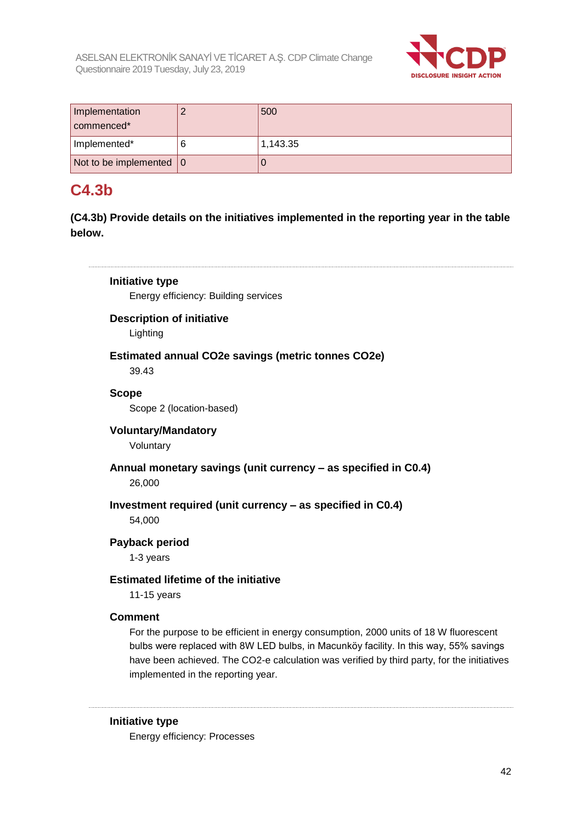

| Implementation<br>commenced*      | 500      |
|-----------------------------------|----------|
| Implemented*                      | 1,143.35 |
| Not to be implemented $ 0\rangle$ |          |

## **C4.3b**

**(C4.3b) Provide details on the initiatives implemented in the reporting year in the table below.**

## **Initiative type** Energy efficiency: Building services **Description of initiative** Lighting **Estimated annual CO2e savings (metric tonnes CO2e)** 39.43 **Scope** Scope 2 (location-based) **Voluntary/Mandatory** Voluntary **Annual monetary savings (unit currency – as specified in C0.4)** 26,000 **Investment required (unit currency – as specified in C0.4)** 54,000 **Payback period** 1-3 years **Estimated lifetime of the initiative** 11-15 years **Comment** For the purpose to be efficient in energy consumption, 2000 units of 18 W fluorescent bulbs were replaced with 8W LED bulbs, in Macunköy facility. In this way, 55% savings have been achieved. The CO2-e calculation was verified by third party, for the initiatives implemented in the reporting year.

### **Initiative type**

Energy efficiency: Processes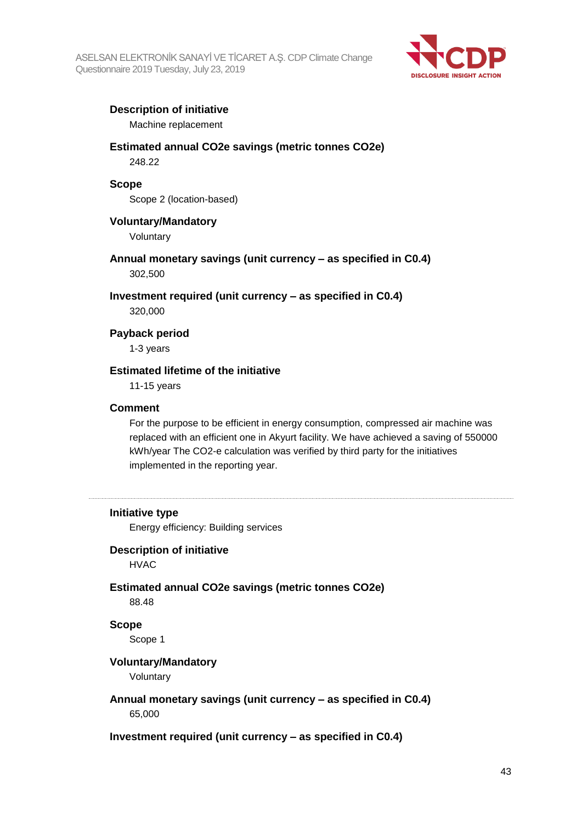

## **Description of initiative**

Machine replacement

## **Estimated annual CO2e savings (metric tonnes CO2e)**

248.22

#### **Scope**

Scope 2 (location-based)

#### **Voluntary/Mandatory**

Voluntary

**Annual monetary savings (unit currency – as specified in C0.4)** 302,500

**Investment required (unit currency – as specified in C0.4)**

320,000

### **Payback period**

1-3 years

#### **Estimated lifetime of the initiative**

11-15 years

#### **Comment**

For the purpose to be efficient in energy consumption, compressed air machine was replaced with an efficient one in Akyurt facility. We have achieved a saving of 550000 kWh/year The CO2-e calculation was verified by third party for the initiatives implemented in the reporting year.

#### **Initiative type**

Energy efficiency: Building services

## **Description of initiative**

HVAC

## **Estimated annual CO2e savings (metric tonnes CO2e)** 88.48

**Scope**

Scope 1

#### **Voluntary/Mandatory**

Voluntary

## **Annual monetary savings (unit currency – as specified in C0.4)**

65,000

#### **Investment required (unit currency – as specified in C0.4)**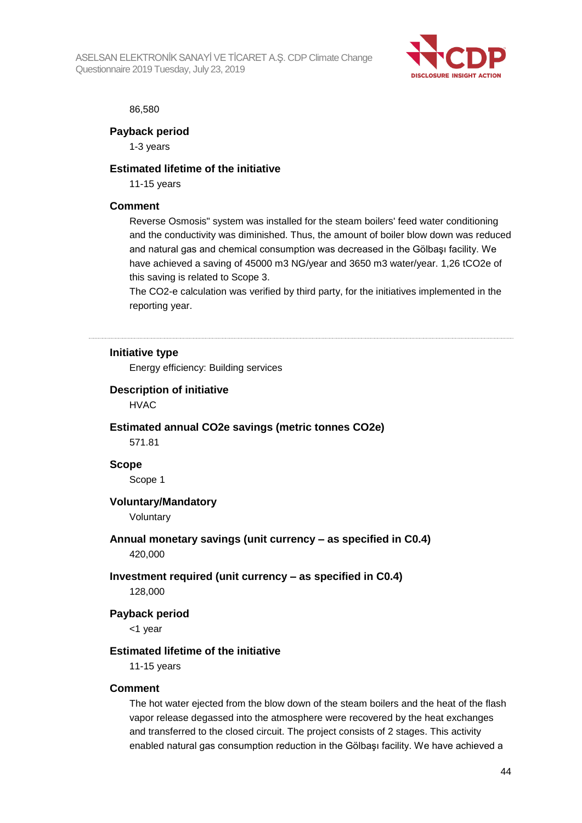ASELSAN ELEKTRONİK SANAYİ VE TİCARET A.Ş. CDP Climate Change Questionnaire 2019 Tuesday, July 23, 2019



#### 86,580

**Payback period**

1-3 years

#### **Estimated lifetime of the initiative**

11-15 years

#### **Comment**

Reverse Osmosis" system was installed for the steam boilers' feed water conditioning and the conductivity was diminished. Thus, the amount of boiler blow down was reduced and natural gas and chemical consumption was decreased in the Gölbaşı facility. We have achieved a saving of 45000 m3 NG/year and 3650 m3 water/year. 1,26 tCO2e of this saving is related to Scope 3.

The CO2-e calculation was verified by third party, for the initiatives implemented in the reporting year.

## **Initiative type**

Energy efficiency: Building services

#### **Description of initiative**

HVAC

#### **Estimated annual CO2e savings (metric tonnes CO2e)**

571.81

### **Scope**

Scope 1

#### **Voluntary/Mandatory**

Voluntary

## **Annual monetary savings (unit currency – as specified in C0.4)** 420,000

## **Investment required (unit currency – as specified in C0.4)**

128,000

#### **Payback period**

<1 year

#### **Estimated lifetime of the initiative**

11-15 years

#### **Comment**

The hot water ejected from the blow down of the steam boilers and the heat of the flash vapor release degassed into the atmosphere were recovered by the heat exchanges and transferred to the closed circuit. The project consists of 2 stages. This activity enabled natural gas consumption reduction in the Gölbaşı facility. We have achieved a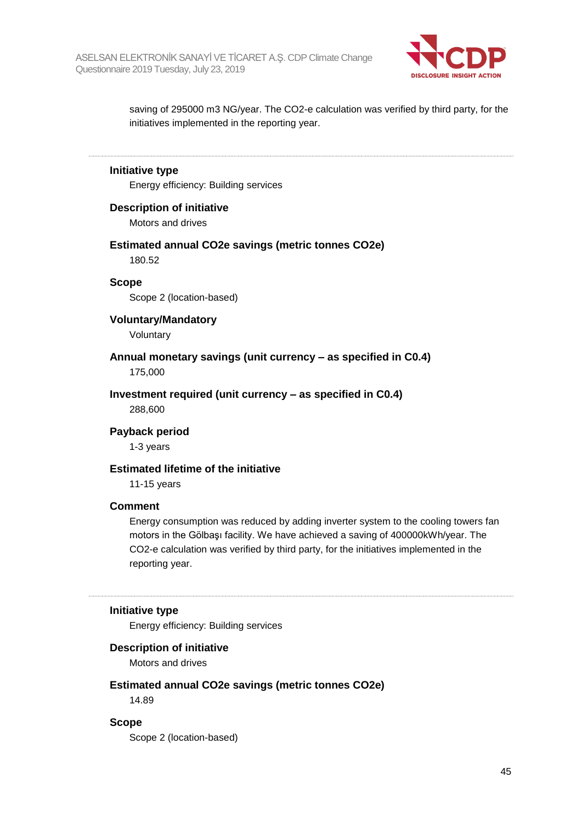

saving of 295000 m3 NG/year. The CO2-e calculation was verified by third party, for the initiatives implemented in the reporting year.

## **Initiative type**

Energy efficiency: Building services

#### **Description of initiative**

Motors and drives

#### **Estimated annual CO2e savings (metric tonnes CO2e)** 180.52

#### **Scope**

Scope 2 (location-based)

#### **Voluntary/Mandatory**

Voluntary

#### **Annual monetary savings (unit currency – as specified in C0.4)** 175,000

#### **Investment required (unit currency – as specified in C0.4)**

288,600

#### **Payback period**

1-3 years

#### **Estimated lifetime of the initiative**

11-15 years

#### **Comment**

Energy consumption was reduced by adding inverter system to the cooling towers fan motors in the Gölbaşı facility. We have achieved a saving of 400000kWh/year. The CO2-e calculation was verified by third party, for the initiatives implemented in the reporting year.

#### **Initiative type**

Energy efficiency: Building services

#### **Description of initiative**

Motors and drives

#### **Estimated annual CO2e savings (metric tonnes CO2e)**

14.89

#### **Scope**

Scope 2 (location-based)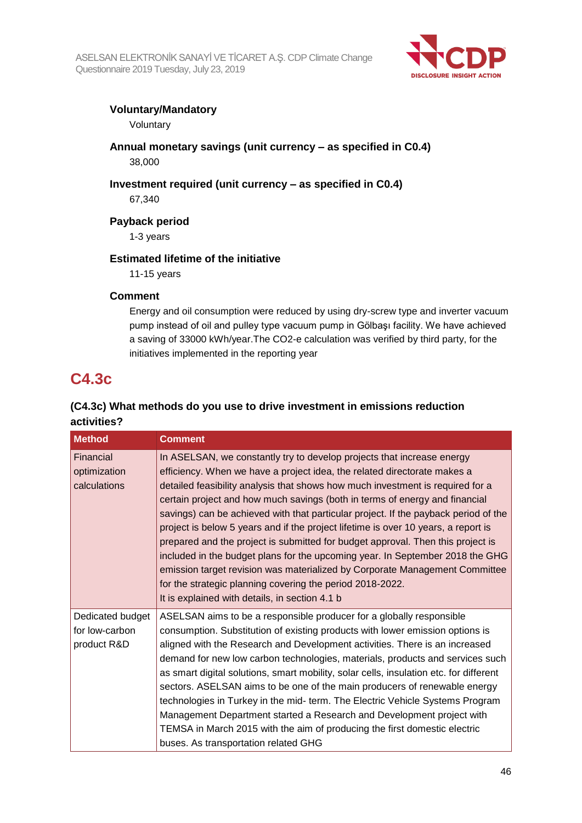

## **Voluntary/Mandatory**

Voluntary

**Annual monetary savings (unit currency – as specified in C0.4)** 38,000

**Investment required (unit currency – as specified in C0.4)**

67,340

**Payback period**

1-3 years

## **Estimated lifetime of the initiative**

11-15 years

## **Comment**

Energy and oil consumption were reduced by using dry-screw type and inverter vacuum pump instead of oil and pulley type vacuum pump in Gölbaşı facility. We have achieved a saving of 33000 kWh/year.The CO2-e calculation was verified by third party, for the initiatives implemented in the reporting year

## **C4.3c**

## **(C4.3c) What methods do you use to drive investment in emissions reduction activities?**

| <b>Method</b>                                     | <b>Comment</b>                                                                                                                                                                                                                                                                                                                                                                                                                                                                                                                                                                                                                                                                                                                                                                                                                                                     |
|---------------------------------------------------|--------------------------------------------------------------------------------------------------------------------------------------------------------------------------------------------------------------------------------------------------------------------------------------------------------------------------------------------------------------------------------------------------------------------------------------------------------------------------------------------------------------------------------------------------------------------------------------------------------------------------------------------------------------------------------------------------------------------------------------------------------------------------------------------------------------------------------------------------------------------|
| Financial<br>optimization<br>calculations         | In ASELSAN, we constantly try to develop projects that increase energy<br>efficiency. When we have a project idea, the related directorate makes a<br>detailed feasibility analysis that shows how much investment is required for a<br>certain project and how much savings (both in terms of energy and financial<br>savings) can be achieved with that particular project. If the payback period of the<br>project is below 5 years and if the project lifetime is over 10 years, a report is<br>prepared and the project is submitted for budget approval. Then this project is<br>included in the budget plans for the upcoming year. In September 2018 the GHG<br>emission target revision was materialized by Corporate Management Committee<br>for the strategic planning covering the period 2018-2022.<br>It is explained with details, in section 4.1 b |
| Dedicated budget<br>for low-carbon<br>product R&D | ASELSAN aims to be a responsible producer for a globally responsible<br>consumption. Substitution of existing products with lower emission options is<br>aligned with the Research and Development activities. There is an increased<br>demand for new low carbon technologies, materials, products and services such<br>as smart digital solutions, smart mobility, solar cells, insulation etc. for different<br>sectors. ASELSAN aims to be one of the main producers of renewable energy<br>technologies in Turkey in the mid- term. The Electric Vehicle Systems Program<br>Management Department started a Research and Development project with<br>TEMSA in March 2015 with the aim of producing the first domestic electric<br>buses. As transportation related GHG                                                                                        |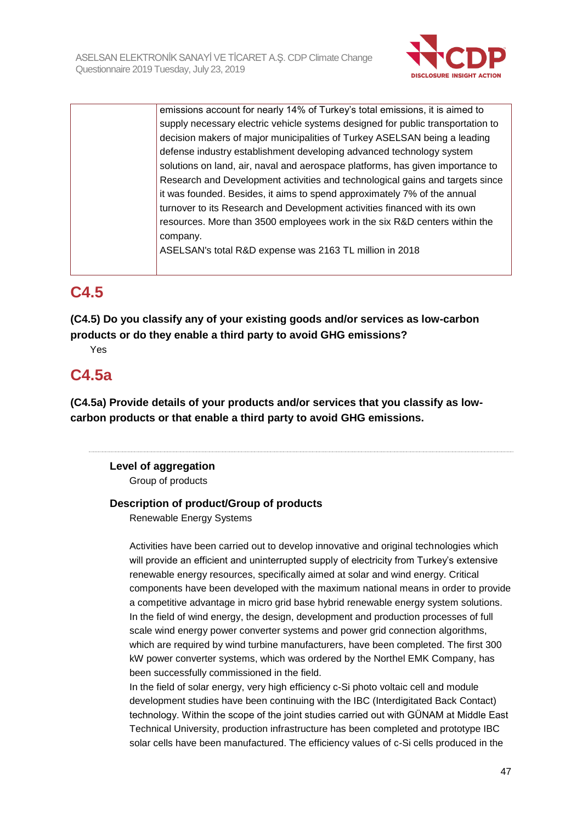

emissions account for nearly 14% of Turkey's total emissions, it is aimed to supply necessary electric vehicle systems designed for public transportation to decision makers of major municipalities of Turkey ASELSAN being a leading defense industry establishment developing advanced technology system solutions on land, air, naval and aerospace platforms, has given importance to Research and Development activities and technological gains and targets since it was founded. Besides, it aims to spend approximately 7% of the annual turnover to its Research and Development activities financed with its own resources. More than 3500 employees work in the six R&D centers within the company. ASELSAN's total R&D expense was 2163 TL million in 2018

## **C4.5**

**(C4.5) Do you classify any of your existing goods and/or services as low-carbon products or do they enable a third party to avoid GHG emissions?**

Yes

## **C4.5a**

**(C4.5a) Provide details of your products and/or services that you classify as lowcarbon products or that enable a third party to avoid GHG emissions.**

## **Level of aggregation** Group of products

## **Description of product/Group of products**

Renewable Energy Systems

Activities have been carried out to develop innovative and original technologies which will provide an efficient and uninterrupted supply of electricity from Turkey's extensive renewable energy resources, specifically aimed at solar and wind energy. Critical components have been developed with the maximum national means in order to provide a competitive advantage in micro grid base hybrid renewable energy system solutions. In the field of wind energy, the design, development and production processes of full scale wind energy power converter systems and power grid connection algorithms, which are required by wind turbine manufacturers, have been completed. The first 300 kW power converter systems, which was ordered by the Northel EMK Company, has been successfully commissioned in the field.

In the field of solar energy, very high efficiency c-Si photo voltaic cell and module development studies have been continuing with the IBC (Interdigitated Back Contact) technology. Within the scope of the joint studies carried out with GÜNAM at Middle East Technical University, production infrastructure has been completed and prototype IBC solar cells have been manufactured. The efficiency values of c-Si cells produced in the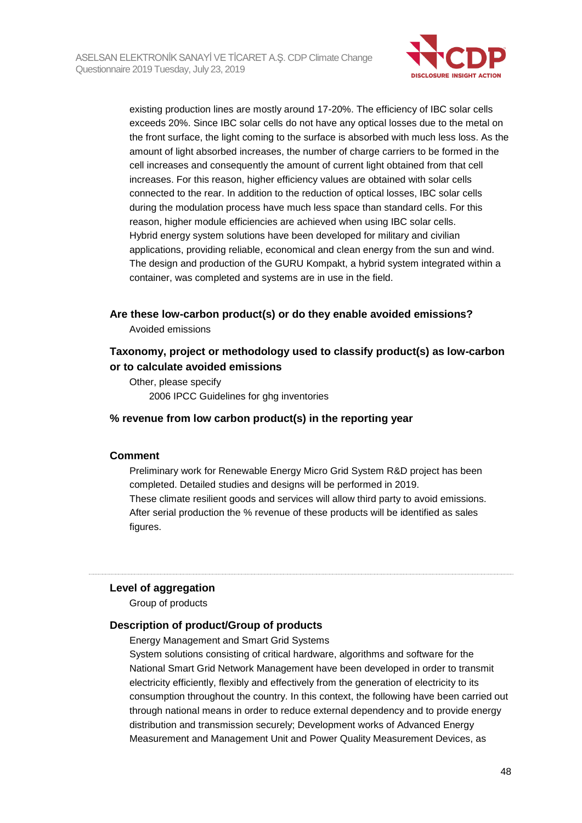

existing production lines are mostly around 17-20%. The efficiency of IBC solar cells exceeds 20%. Since IBC solar cells do not have any optical losses due to the metal on the front surface, the light coming to the surface is absorbed with much less loss. As the amount of light absorbed increases, the number of charge carriers to be formed in the cell increases and consequently the amount of current light obtained from that cell increases. For this reason, higher efficiency values are obtained with solar cells connected to the rear. In addition to the reduction of optical losses, IBC solar cells during the modulation process have much less space than standard cells. For this reason, higher module efficiencies are achieved when using IBC solar cells. Hybrid energy system solutions have been developed for military and civilian applications, providing reliable, economical and clean energy from the sun and wind. The design and production of the GURU Kompakt, a hybrid system integrated within a container, was completed and systems are in use in the field.

## **Are these low-carbon product(s) or do they enable avoided emissions?**

Avoided emissions

## **Taxonomy, project or methodology used to classify product(s) as low-carbon or to calculate avoided emissions**

Other, please specify 2006 IPCC Guidelines for ghg inventories

## **% revenue from low carbon product(s) in the reporting year**

#### **Comment**

Preliminary work for Renewable Energy Micro Grid System R&D project has been completed. Detailed studies and designs will be performed in 2019. These climate resilient goods and services will allow third party to avoid emissions. After serial production the % revenue of these products will be identified as sales figures.

#### **Level of aggregation**

Group of products

### **Description of product/Group of products**

Energy Management and Smart Grid Systems

System solutions consisting of critical hardware, algorithms and software for the National Smart Grid Network Management have been developed in order to transmit electricity efficiently, flexibly and effectively from the generation of electricity to its consumption throughout the country. In this context, the following have been carried out through national means in order to reduce external dependency and to provide energy distribution and transmission securely; Development works of Advanced Energy Measurement and Management Unit and Power Quality Measurement Devices, as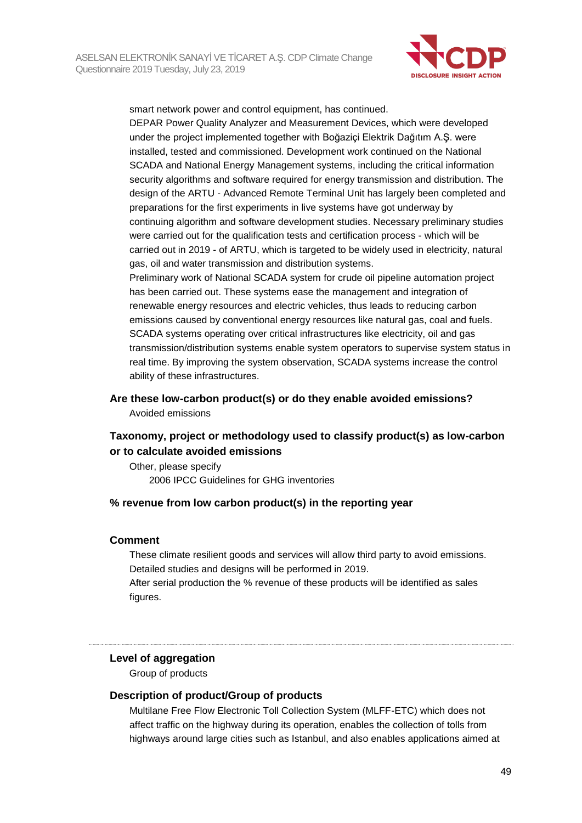

smart network power and control equipment, has continued. DEPAR Power Quality Analyzer and Measurement Devices, which were developed under the project implemented together with Boğaziçi Elektrik Dağıtım A.Ş. were installed, tested and commissioned. Development work continued on the National SCADA and National Energy Management systems, including the critical information security algorithms and software required for energy transmission and distribution. The design of the ARTU - Advanced Remote Terminal Unit has largely been completed and preparations for the first experiments in live systems have got underway by continuing algorithm and software development studies. Necessary preliminary studies were carried out for the qualification tests and certification process - which will be carried out in 2019 - of ARTU, which is targeted to be widely used in electricity, natural gas, oil and water transmission and distribution systems.

Preliminary work of National SCADA system for crude oil pipeline automation project has been carried out. These systems ease the management and integration of renewable energy resources and electric vehicles, thus leads to reducing carbon emissions caused by conventional energy resources like natural gas, coal and fuels. SCADA systems operating over critical infrastructures like electricity, oil and gas transmission/distribution systems enable system operators to supervise system status in real time. By improving the system observation, SCADA systems increase the control ability of these infrastructures.

**Are these low-carbon product(s) or do they enable avoided emissions?** Avoided emissions

## **Taxonomy, project or methodology used to classify product(s) as low-carbon or to calculate avoided emissions**

Other, please specify 2006 IPCC Guidelines for GHG inventories

#### **% revenue from low carbon product(s) in the reporting year**

#### **Comment**

These climate resilient goods and services will allow third party to avoid emissions. Detailed studies and designs will be performed in 2019. After serial production the % revenue of these products will be identified as sales figures.

#### **Level of aggregation**

Group of products

## **Description of product/Group of products**

Multilane Free Flow Electronic Toll Collection System (MLFF-ETC) which does not affect traffic on the highway during its operation, enables the collection of tolls from highways around large cities such as Istanbul, and also enables applications aimed at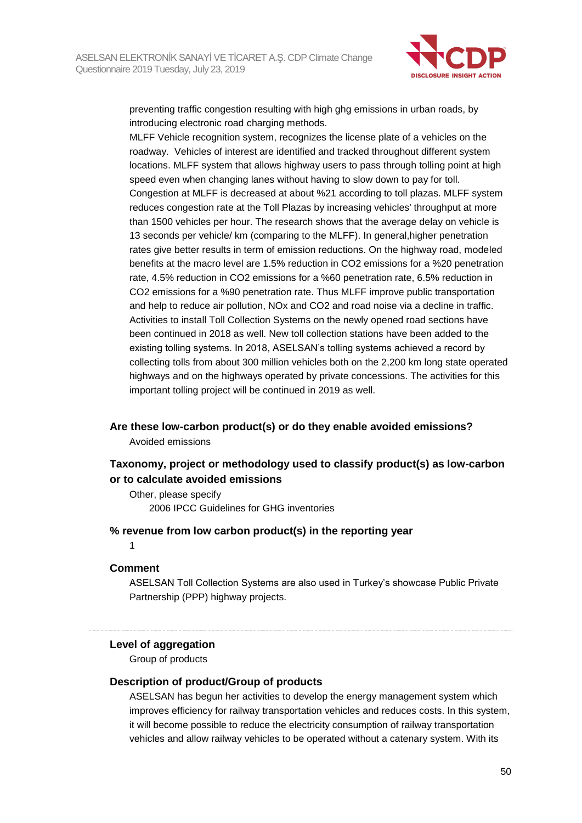

preventing traffic congestion resulting with high ghg emissions in urban roads, by introducing electronic road charging methods.

MLFF Vehicle recognition system, recognizes the license plate of a vehicles on the roadway. Vehicles of interest are identified and tracked throughout different system locations. MLFF system that allows highway users to pass through tolling point at high speed even when changing lanes without having to slow down to pay for toll. Congestion at MLFF is decreased at about %21 according to toll plazas. MLFF system reduces congestion rate at the Toll Plazas by increasing vehicles' throughput at more than 1500 vehicles per hour. The research shows that the average delay on vehicle is 13 seconds per vehicle/ km (comparing to the MLFF). In general,higher penetration rates give better results in term of emission reductions. On the highway road, modeled benefits at the macro level are 1.5% reduction in CO2 emissions for a %20 penetration rate, 4.5% reduction in CO2 emissions for a %60 penetration rate, 6.5% reduction in CO2 emissions for a %90 penetration rate. Thus MLFF improve public transportation and help to reduce air pollution, NOx and CO2 and road noise via a decline in traffic. Activities to install Toll Collection Systems on the newly opened road sections have been continued in 2018 as well. New toll collection stations have been added to the existing tolling systems. In 2018, ASELSAN's tolling systems achieved a record by collecting tolls from about 300 million vehicles both on the 2,200 km long state operated highways and on the highways operated by private concessions. The activities for this important tolling project will be continued in 2019 as well.

#### **Are these low-carbon product(s) or do they enable avoided emissions?** Avoided emissions

## **Taxonomy, project or methodology used to classify product(s) as low-carbon or to calculate avoided emissions**

Other, please specify 2006 IPCC Guidelines for GHG inventories

#### **% revenue from low carbon product(s) in the reporting year**

1

#### **Comment**

ASELSAN Toll Collection Systems are also used in Turkey's showcase Public Private Partnership (PPP) highway projects.

## **Level of aggregation**

Group of products

## **Description of product/Group of products**

ASELSAN has begun her activities to develop the energy management system which improves efficiency for railway transportation vehicles and reduces costs. In this system, it will become possible to reduce the electricity consumption of railway transportation vehicles and allow railway vehicles to be operated without a catenary system. With its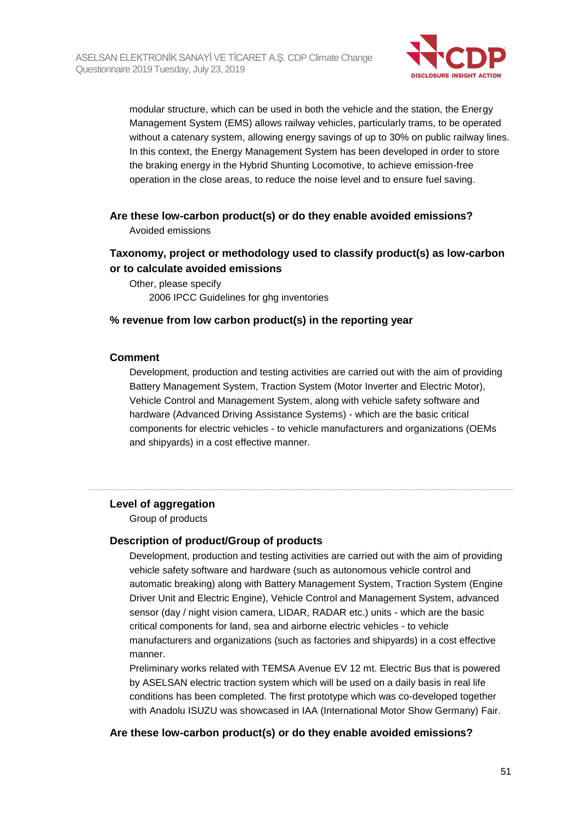

modular structure, which can be used in both the vehicle and the station, the Energy Management System (EMS) allows railway vehicles, particularly trams, to be operated without a catenary system, allowing energy savings of up to 30% on public railway lines. In this context, the Energy Management System has been developed in order to store the braking energy in the Hybrid Shunting Locomotive, to achieve emission-free operation in the close areas, to reduce the noise level and to ensure fuel saving.

## **Are these low-carbon product(s) or do they enable avoided emissions?** Avoided emissions

## **Taxonomy, project or methodology used to classify product(s) as low-carbon or to calculate avoided emissions**

Other, please specify 2006 IPCC Guidelines for ghg inventories

## **% revenue from low carbon product(s) in the reporting year**

## **Comment**

Development, production and testing activities are carried out with the aim of providing Battery Management System, Traction System (Motor Inverter and Electric Motor), Vehicle Control and Management System, along with vehicle safety software and hardware (Advanced Driving Assistance Systems) - which are the basic critical components for electric vehicles - to vehicle manufacturers and organizations (OEMs and shipyards) in a cost effective manner.

## **Level of aggregation**

Group of products

## **Description of product/Group of products**

Development, production and testing activities are carried out with the aim of providing vehicle safety software and hardware (such as autonomous vehicle control and automatic breaking) along with Battery Management System, Traction System (Engine Driver Unit and Electric Engine), Vehicle Control and Management System, advanced sensor (day / night vision camera, LIDAR, RADAR etc.) units - which are the basic critical components for land, sea and airborne electric vehicles - to vehicle manufacturers and organizations (such as factories and shipyards) in a cost effective manner.

Preliminary works related with TEMSA Avenue EV 12 mt. Electric Bus that is powered by ASELSAN electric traction system which will be used on a daily basis in real life conditions has been completed. The first prototype which was co-developed together with Anadolu ISUZU was showcased in IAA (International Motor Show Germany) Fair.

## **Are these low-carbon product(s) or do they enable avoided emissions?**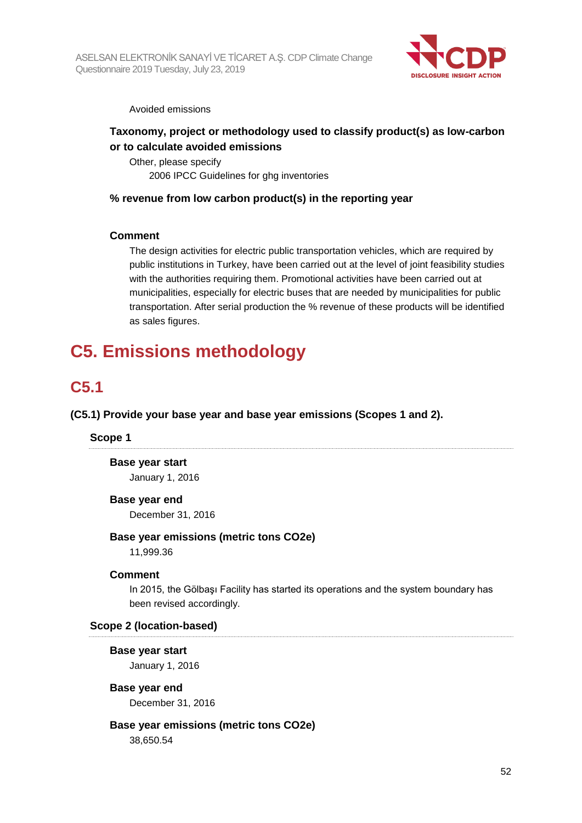

Avoided emissions

## **Taxonomy, project or methodology used to classify product(s) as low-carbon or to calculate avoided emissions**

Other, please specify 2006 IPCC Guidelines for ghg inventories

## **% revenue from low carbon product(s) in the reporting year**

## **Comment**

The design activities for electric public transportation vehicles, which are required by public institutions in Turkey, have been carried out at the level of joint feasibility studies with the authorities requiring them. Promotional activities have been carried out at municipalities, especially for electric buses that are needed by municipalities for public transportation. After serial production the % revenue of these products will be identified as sales figures.

## **C5. Emissions methodology**

## **C5.1**

**(C5.1) Provide your base year and base year emissions (Scopes 1 and 2).**

## **Scope 1**

**Base year start** January 1, 2016

#### **Base year end**

December 31, 2016

## **Base year emissions (metric tons CO2e)**

11,999.36

## **Comment**

In 2015, the Gölbaşı Facility has started its operations and the system boundary has been revised accordingly.

## **Scope 2 (location-based)**

## **Base year start**

January 1, 2016

## **Base year end**

December 31, 2016

## **Base year emissions (metric tons CO2e)**

38,650.54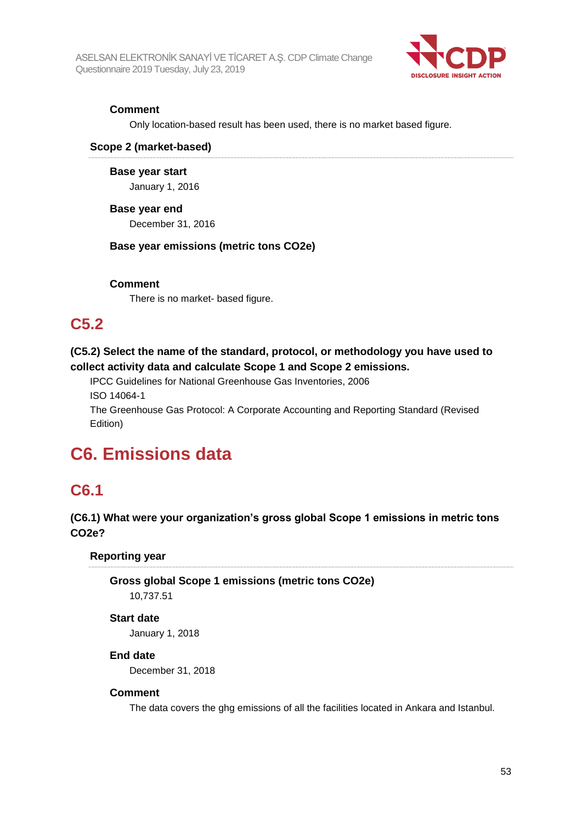

## **Comment**

Only location-based result has been used, there is no market based figure.

#### **Scope 2 (market-based)**

**Base year start** January 1, 2016

#### **Base year end**

December 31, 2016

## **Base year emissions (metric tons CO2e)**

#### **Comment**

There is no market- based figure.

## **C5.2**

## **(C5.2) Select the name of the standard, protocol, or methodology you have used to collect activity data and calculate Scope 1 and Scope 2 emissions.**

IPCC Guidelines for National Greenhouse Gas Inventories, 2006 ISO 14064-1

The Greenhouse Gas Protocol: A Corporate Accounting and Reporting Standard (Revised Edition)

## **C6. Emissions data**

## **C6.1**

## **(C6.1) What were your organization's gross global Scope 1 emissions in metric tons CO2e?**

## **Reporting year**

**Gross global Scope 1 emissions (metric tons CO2e)** 10,737.51

## **Start date**

January 1, 2018

## **End date**

December 31, 2018

#### **Comment**

The data covers the ghg emissions of all the facilities located in Ankara and Istanbul.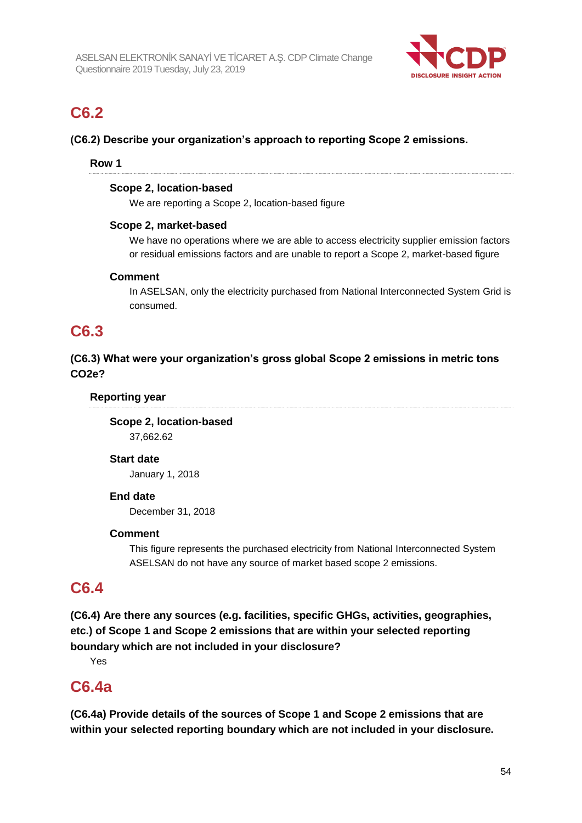

## **C6.2**

## **(C6.2) Describe your organization's approach to reporting Scope 2 emissions.**

## **Row 1**

#### **Scope 2, location-based**

We are reporting a Scope 2, location-based figure

## **Scope 2, market-based**

We have no operations where we are able to access electricity supplier emission factors or residual emissions factors and are unable to report a Scope 2, market-based figure

## **Comment**

In ASELSAN, only the electricity purchased from National Interconnected System Grid is consumed.

## **C6.3**

## **(C6.3) What were your organization's gross global Scope 2 emissions in metric tons CO2e?**

## **Reporting year**

**Scope 2, location-based** 37,662.62

## **Start date**

January 1, 2018

## **End date**

December 31, 2018

## **Comment**

This figure represents the purchased electricity from National Interconnected System ASELSAN do not have any source of market based scope 2 emissions.

## **C6.4**

**(C6.4) Are there any sources (e.g. facilities, specific GHGs, activities, geographies, etc.) of Scope 1 and Scope 2 emissions that are within your selected reporting boundary which are not included in your disclosure?**

Yes

## **C6.4a**

**(C6.4a) Provide details of the sources of Scope 1 and Scope 2 emissions that are within your selected reporting boundary which are not included in your disclosure.**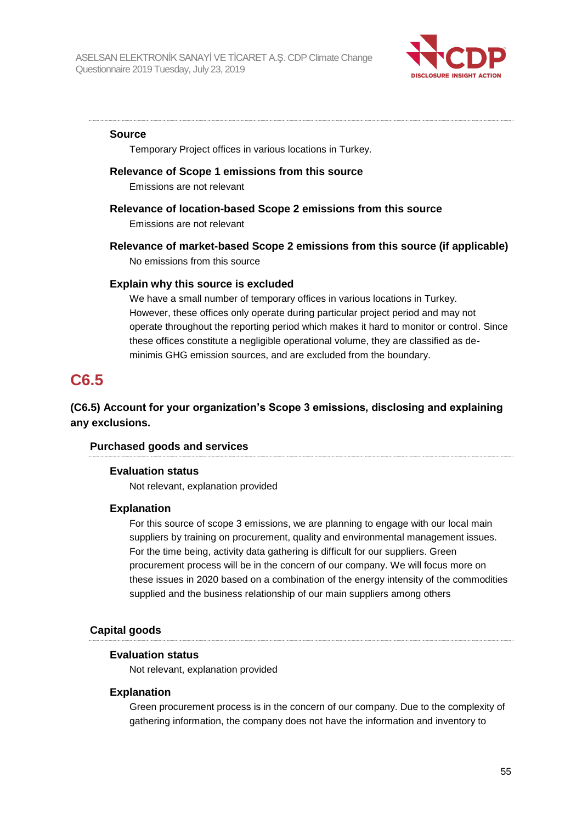

#### **Source**

Temporary Project offices in various locations in Turkey.

#### **Relevance of Scope 1 emissions from this source**

Emissions are not relevant

## **Relevance of location-based Scope 2 emissions from this source**

Emissions are not relevant

## **Relevance of market-based Scope 2 emissions from this source (if applicable)** No emissions from this source

## **Explain why this source is excluded**

We have a small number of temporary offices in various locations in Turkey. However, these offices only operate during particular project period and may not operate throughout the reporting period which makes it hard to monitor or control. Since these offices constitute a negligible operational volume, they are classified as deminimis GHG emission sources, and are excluded from the boundary.

## **C6.5**

## **(C6.5) Account for your organization's Scope 3 emissions, disclosing and explaining any exclusions.**

## **Purchased goods and services**

#### **Evaluation status**

Not relevant, explanation provided

#### **Explanation**

For this source of scope 3 emissions, we are planning to engage with our local main suppliers by training on procurement, quality and environmental management issues. For the time being, activity data gathering is difficult for our suppliers. Green procurement process will be in the concern of our company. We will focus more on these issues in 2020 based on a combination of the energy intensity of the commodities supplied and the business relationship of our main suppliers among others

#### **Capital goods**

#### **Evaluation status**

Not relevant, explanation provided

#### **Explanation**

Green procurement process is in the concern of our company. Due to the complexity of gathering information, the company does not have the information and inventory to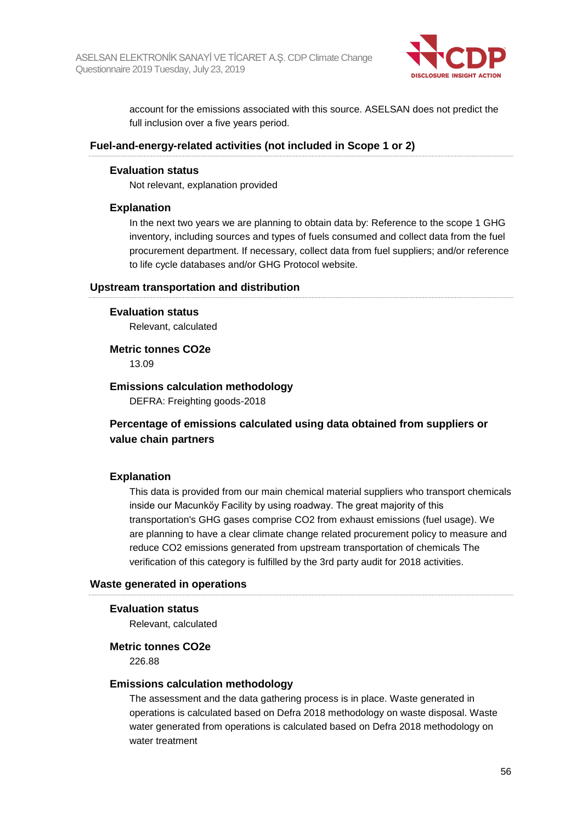

account for the emissions associated with this source. ASELSAN does not predict the full inclusion over a five years period.

#### **Fuel-and-energy-related activities (not included in Scope 1 or 2)**

#### **Evaluation status**

Not relevant, explanation provided

#### **Explanation**

In the next two years we are planning to obtain data by: Reference to the scope 1 GHG inventory, including sources and types of fuels consumed and collect data from the fuel procurement department. If necessary, collect data from fuel suppliers; and/or reference to life cycle databases and/or GHG Protocol website.

#### **Upstream transportation and distribution**

#### **Evaluation status**

Relevant, calculated

#### **Metric tonnes CO2e**

13.09

#### **Emissions calculation methodology**

DEFRA: Freighting goods-2018

## **Percentage of emissions calculated using data obtained from suppliers or value chain partners**

## **Explanation**

This data is provided from our main chemical material suppliers who transport chemicals inside our Macunköy Facility by using roadway. The great majority of this transportation's GHG gases comprise CO2 from exhaust emissions (fuel usage). We are planning to have a clear climate change related procurement policy to measure and reduce CO2 emissions generated from upstream transportation of chemicals The verification of this category is fulfilled by the 3rd party audit for 2018 activities.

#### **Waste generated in operations**

#### **Evaluation status**

Relevant, calculated

#### **Metric tonnes CO2e**

226.88

#### **Emissions calculation methodology**

The assessment and the data gathering process is in place. Waste generated in operations is calculated based on Defra 2018 methodology on waste disposal. Waste water generated from operations is calculated based on Defra 2018 methodology on water treatment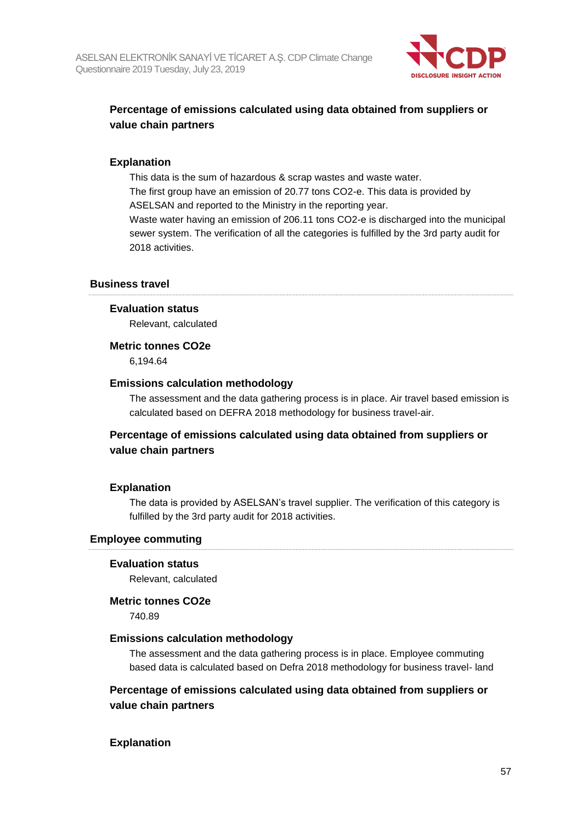

## **Percentage of emissions calculated using data obtained from suppliers or value chain partners**

## **Explanation**

This data is the sum of hazardous & scrap wastes and waste water. The first group have an emission of 20.77 tons CO2-e. This data is provided by ASELSAN and reported to the Ministry in the reporting year.

Waste water having an emission of 206.11 tons CO2-e is discharged into the municipal sewer system. The verification of all the categories is fulfilled by the 3rd party audit for 2018 activities.

#### **Business travel**

#### **Evaluation status**

Relevant, calculated

#### **Metric tonnes CO2e**

6,194.64

#### **Emissions calculation methodology**

The assessment and the data gathering process is in place. Air travel based emission is calculated based on DEFRA 2018 methodology for business travel-air.

## **Percentage of emissions calculated using data obtained from suppliers or value chain partners**

#### **Explanation**

The data is provided by ASELSAN's travel supplier. The verification of this category is fulfilled by the 3rd party audit for 2018 activities.

#### **Employee commuting**

#### **Evaluation status**

Relevant, calculated

#### **Metric tonnes CO2e**

740.89

#### **Emissions calculation methodology**

The assessment and the data gathering process is in place. Employee commuting based data is calculated based on Defra 2018 methodology for business travel- land

## **Percentage of emissions calculated using data obtained from suppliers or value chain partners**

#### **Explanation**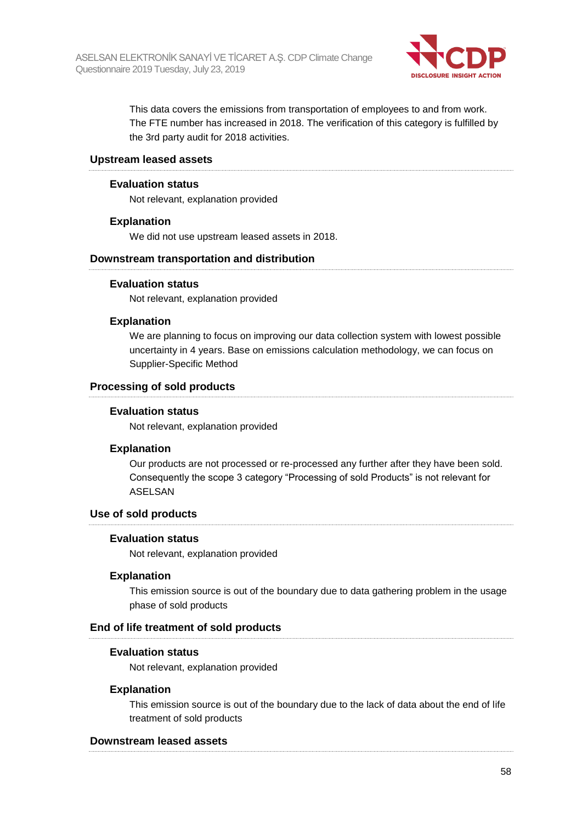

This data covers the emissions from transportation of employees to and from work. The FTE number has increased in 2018. The verification of this category is fulfilled by the 3rd party audit for 2018 activities.

#### **Upstream leased assets**

#### **Evaluation status**

Not relevant, explanation provided

## **Explanation**

We did not use upstream leased assets in 2018.

#### **Downstream transportation and distribution**

#### **Evaluation status**

Not relevant, explanation provided

#### **Explanation**

We are planning to focus on improving our data collection system with lowest possible uncertainty in 4 years. Base on emissions calculation methodology, we can focus on Supplier-Specific Method

## **Processing of sold products**

#### **Evaluation status**

Not relevant, explanation provided

## **Explanation**

Our products are not processed or re-processed any further after they have been sold. Consequently the scope 3 category "Processing of sold Products" is not relevant for ASELSAN

#### **Use of sold products**

#### **Evaluation status**

Not relevant, explanation provided

#### **Explanation**

This emission source is out of the boundary due to data gathering problem in the usage phase of sold products

#### **End of life treatment of sold products**

#### **Evaluation status**

Not relevant, explanation provided

## **Explanation**

This emission source is out of the boundary due to the lack of data about the end of life treatment of sold products

#### **Downstream leased assets**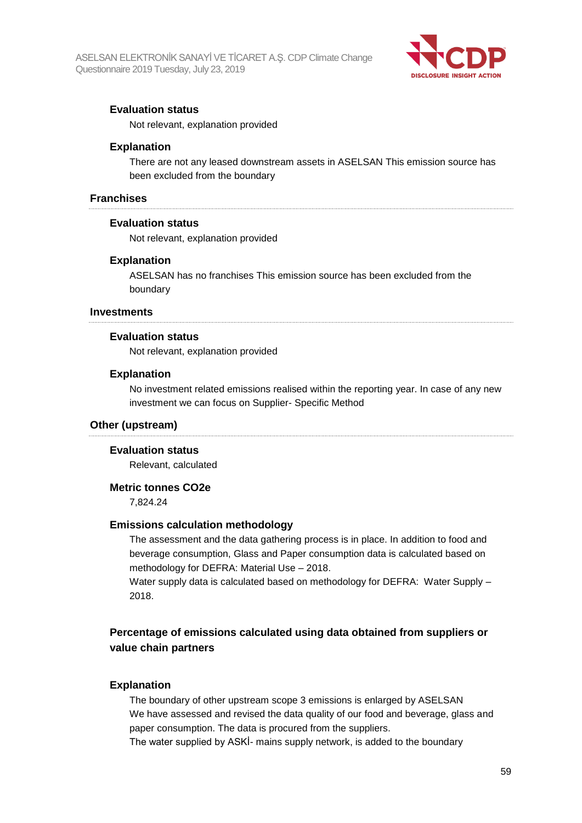

## **Evaluation status**

Not relevant, explanation provided

#### **Explanation**

There are not any leased downstream assets in ASELSAN This emission source has been excluded from the boundary

#### **Franchises**

#### **Evaluation status**

Not relevant, explanation provided

#### **Explanation**

ASELSAN has no franchises This emission source has been excluded from the boundary

#### **Investments**

#### **Evaluation status**

Not relevant, explanation provided

#### **Explanation**

No investment related emissions realised within the reporting year. In case of any new investment we can focus on Supplier- Specific Method

#### **Other (upstream)**

#### **Evaluation status**

Relevant, calculated

### **Metric tonnes CO2e**

7,824.24

#### **Emissions calculation methodology**

The assessment and the data gathering process is in place. In addition to food and beverage consumption, Glass and Paper consumption data is calculated based on methodology for DEFRA: Material Use – 2018.

Water supply data is calculated based on methodology for DEFRA: Water Supply – 2018.

## **Percentage of emissions calculated using data obtained from suppliers or value chain partners**

#### **Explanation**

The boundary of other upstream scope 3 emissions is enlarged by ASELSAN We have assessed and revised the data quality of our food and beverage, glass and paper consumption. The data is procured from the suppliers.

The water supplied by ASKİ- mains supply network, is added to the boundary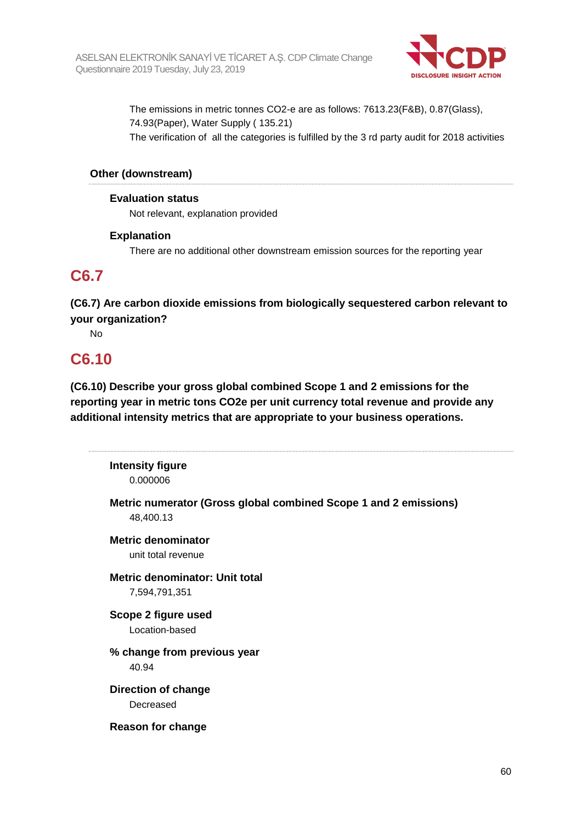

The emissions in metric tonnes CO2-e are as follows: 7613.23(F&B), 0.87(Glass), 74.93(Paper), Water Supply ( 135.21) The verification of all the categories is fulfilled by the 3 rd party audit for 2018 activities

## **Other (downstream)**

## **Evaluation status**

Not relevant, explanation provided

## **Explanation**

There are no additional other downstream emission sources for the reporting year

## **C6.7**

**(C6.7) Are carbon dioxide emissions from biologically sequestered carbon relevant to your organization?**

No

## **C6.10**

**(C6.10) Describe your gross global combined Scope 1 and 2 emissions for the reporting year in metric tons CO2e per unit currency total revenue and provide any additional intensity metrics that are appropriate to your business operations.**

**Intensity figure** 0.000006

**Metric numerator (Gross global combined Scope 1 and 2 emissions)** 48,400.13

**Metric denominator** unit total revenue

**Metric denominator: Unit total** 7,594,791,351

**Scope 2 figure used** Location-based

**% change from previous year** 40.94

**Direction of change** Decreased

**Reason for change**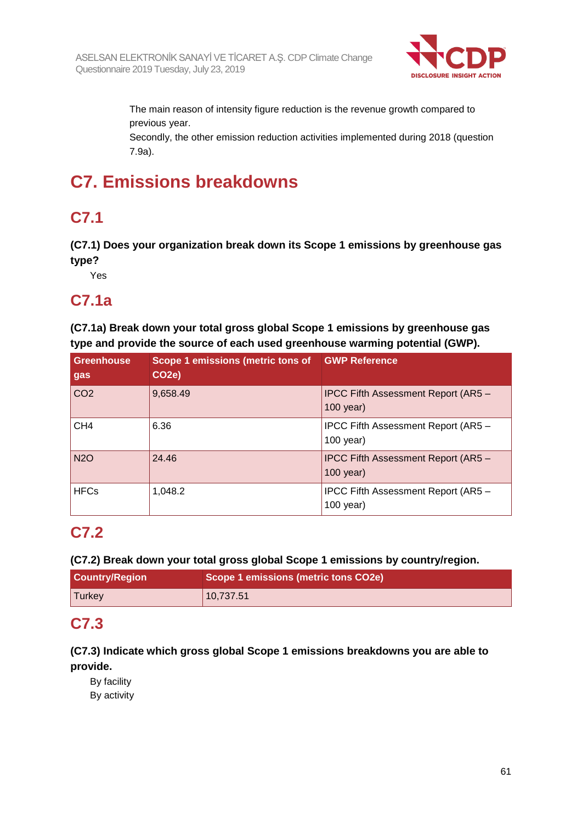

The main reason of intensity figure reduction is the revenue growth compared to previous year.

Secondly, the other emission reduction activities implemented during 2018 (question 7.9a).

# **C7. Emissions breakdowns**

## **C7.1**

**(C7.1) Does your organization break down its Scope 1 emissions by greenhouse gas type?**

Yes

## **C7.1a**

**(C7.1a) Break down your total gross global Scope 1 emissions by greenhouse gas type and provide the source of each used greenhouse warming potential (GWP).**

| <b>Greenhouse</b><br>gas | Scope 1 emissions (metric tons of GWP Reference<br>CO <sub>2</sub> e) |                                                           |
|--------------------------|-----------------------------------------------------------------------|-----------------------------------------------------------|
| CO <sub>2</sub>          | 9,658.49                                                              | IPCC Fifth Assessment Report (AR5 -<br>$100$ year)        |
| CH <sub>4</sub>          | 6.36                                                                  | IPCC Fifth Assessment Report (AR5 -<br>$100$ year)        |
| <b>N2O</b>               | 24.46                                                                 | <b>IPCC Fifth Assessment Report (AR5 -</b><br>$100$ year) |
| <b>HFCs</b>              | 1,048.2                                                               | IPCC Fifth Assessment Report (AR5 -<br>$100$ year)        |

## **C7.2**

**(C7.2) Break down your total gross global Scope 1 emissions by country/region.**

| <b>Country/Region</b> | Scope 1 emissions (metric tons CO2e) |  |
|-----------------------|--------------------------------------|--|
| <b>Turkey</b>         | 10,737.51                            |  |

## **C7.3**

## **(C7.3) Indicate which gross global Scope 1 emissions breakdowns you are able to provide.**

By facility By activity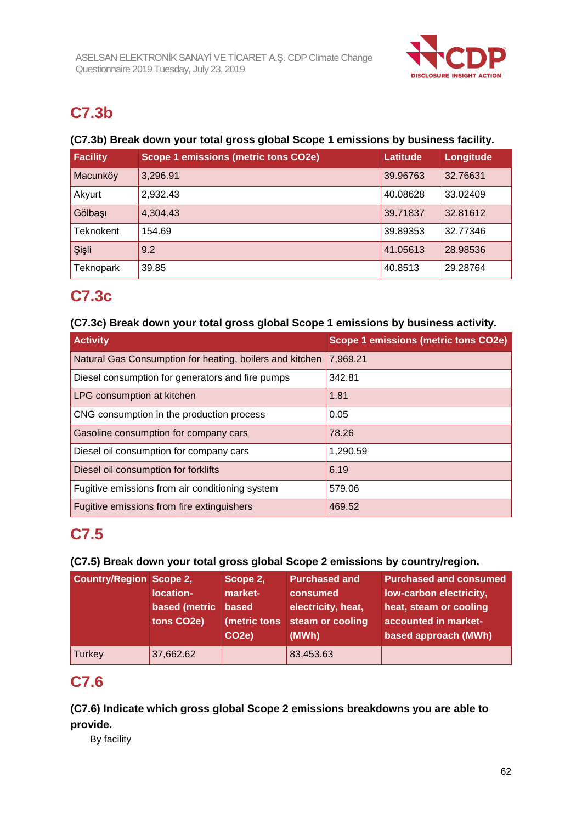

## **C7.3b**

## **(C7.3b) Break down your total gross global Scope 1 emissions by business facility.**

| <b>Facility</b> | <b>Scope 1 emissions (metric tons CO2e)</b> | <b>Latitude</b> | Longitude |
|-----------------|---------------------------------------------|-----------------|-----------|
| Macunköy        | 3,296.91                                    | 39.96763        | 32.76631  |
| Akyurt          | 2,932.43                                    | 40.08628        | 33.02409  |
| Gölbaşı         | 4.304.43                                    | 39.71837        | 32.81612  |
| Teknokent       | 154.69                                      | 39.89353        | 32.77346  |
| Şişli           | 9.2                                         | 41.05613        | 28.98536  |
| Teknopark       | 39.85                                       | 40.8513         | 29.28764  |

## **C7.3c**

## **(C7.3c) Break down your total gross global Scope 1 emissions by business activity.**

| <b>Activity</b>                                          | <b>Scope 1 emissions (metric tons CO2e)</b> |
|----------------------------------------------------------|---------------------------------------------|
| Natural Gas Consumption for heating, boilers and kitchen | 7,969.21                                    |
| Diesel consumption for generators and fire pumps         | 342.81                                      |
| LPG consumption at kitchen                               | 1.81                                        |
| CNG consumption in the production process                | 0.05                                        |
| Gasoline consumption for company cars                    | 78.26                                       |
| Diesel oil consumption for company cars                  | 1,290.59                                    |
| Diesel oil consumption for forklifts                     | 6.19                                        |
| Fugitive emissions from air conditioning system          | 579.06                                      |
| Fugitive emissions from fire extinguishers               | 469.52                                      |

## **C7.5**

## **(C7.5) Break down your total gross global Scope 2 emissions by country/region.**

| <b>Country/Region Scope 2,</b> | location-<br>based (metric<br>tons CO2e) | Scope 2,<br>market-<br>based<br>(metric tons<br>CO <sub>2e</sub> ) | <b>Purchased and</b><br>consumed<br>electricity, heat,<br>steam or cooling<br>(MWh) | <b>Purchased and consumed</b><br>low-carbon electricity,<br>heat, steam or cooling<br>accounted in market-<br>based approach (MWh) |
|--------------------------------|------------------------------------------|--------------------------------------------------------------------|-------------------------------------------------------------------------------------|------------------------------------------------------------------------------------------------------------------------------------|
| Turkey                         | 37,662.62                                |                                                                    | 83,453.63                                                                           |                                                                                                                                    |

## **C7.6**

**(C7.6) Indicate which gross global Scope 2 emissions breakdowns you are able to provide.**

By facility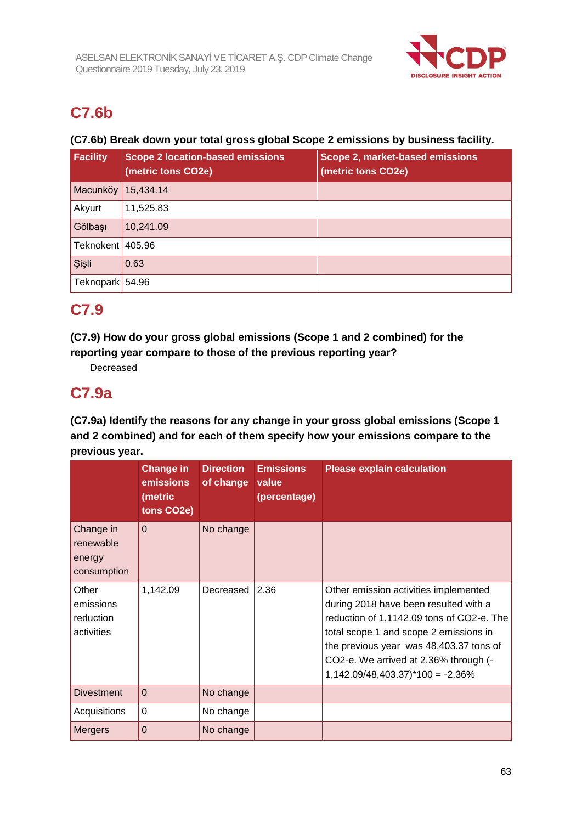

## **C7.6b**

## **(C7.6b) Break down your total gross global Scope 2 emissions by business facility.**

| <b>Facility</b>  | <b>Scope 2 location-based emissions</b><br>(metric tons CO2e) | Scope 2, market-based emissions<br>(metric tons CO2e) |
|------------------|---------------------------------------------------------------|-------------------------------------------------------|
| Macunköy         | 15,434.14                                                     |                                                       |
| Akyurt           | 11,525.83                                                     |                                                       |
| Gölbaşı          | 10,241.09                                                     |                                                       |
| Teknokent 405.96 |                                                               |                                                       |
| Şişli            | 0.63                                                          |                                                       |
| Teknopark 54.96  |                                                               |                                                       |

## **C7.9**

**(C7.9) How do your gross global emissions (Scope 1 and 2 combined) for the reporting year compare to those of the previous reporting year?**

Decreased

## **C7.9a**

**(C7.9a) Identify the reasons for any change in your gross global emissions (Scope 1 and 2 combined) and for each of them specify how your emissions compare to the previous year.**

|                                                 | <b>Change in</b><br>emissions<br>(metric<br>tons CO2e) | <b>Direction</b><br>of change | <b>Emissions</b><br>value<br>(percentage) | <b>Please explain calculation</b>                                                                                                                                                                                                                                                                             |
|-------------------------------------------------|--------------------------------------------------------|-------------------------------|-------------------------------------------|---------------------------------------------------------------------------------------------------------------------------------------------------------------------------------------------------------------------------------------------------------------------------------------------------------------|
| Change in<br>renewable<br>energy<br>consumption | $\Omega$                                               | No change                     |                                           |                                                                                                                                                                                                                                                                                                               |
| Other<br>emissions<br>reduction<br>activities   | 1,142.09                                               | Decreased                     | 2.36                                      | Other emission activities implemented<br>during 2018 have been resulted with a<br>reduction of 1,1142.09 tons of CO2-e. The<br>total scope 1 and scope 2 emissions in<br>the previous year was 48,403.37 tons of<br>CO2-e. We arrived at 2.36% through (-<br>$1,142.09/48,403.37$ <sup>*</sup> $100 = -2.36%$ |
| <b>Divestment</b>                               | $\Omega$                                               | No change                     |                                           |                                                                                                                                                                                                                                                                                                               |
| Acquisitions                                    | $\Omega$                                               | No change                     |                                           |                                                                                                                                                                                                                                                                                                               |
| <b>Mergers</b>                                  | $\Omega$                                               | No change                     |                                           |                                                                                                                                                                                                                                                                                                               |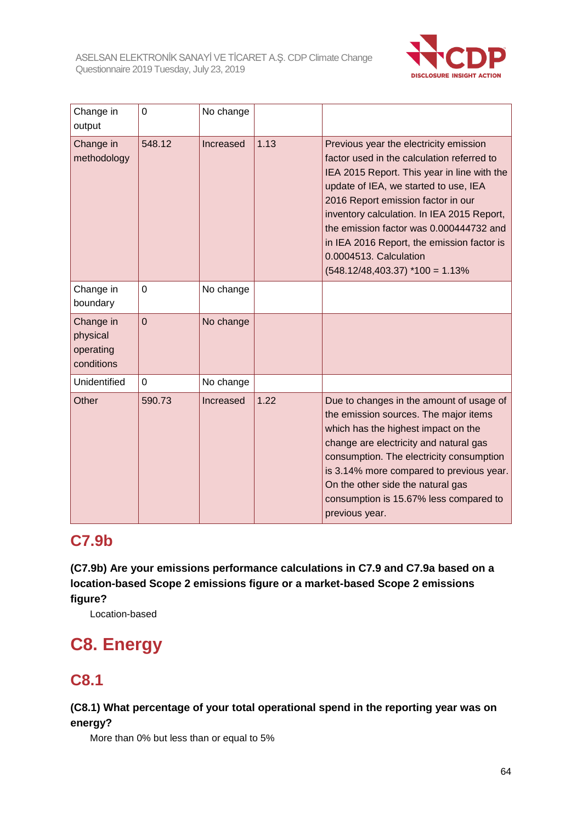

| Change in<br>output                              | $\Omega$       | No change |      |                                                                                                                                                                                                                                                                                                                                                                                                                           |
|--------------------------------------------------|----------------|-----------|------|---------------------------------------------------------------------------------------------------------------------------------------------------------------------------------------------------------------------------------------------------------------------------------------------------------------------------------------------------------------------------------------------------------------------------|
| Change in<br>methodology                         | 548.12         | Increased | 1.13 | Previous year the electricity emission<br>factor used in the calculation referred to<br>IEA 2015 Report. This year in line with the<br>update of IEA, we started to use, IEA<br>2016 Report emission factor in our<br>inventory calculation. In IEA 2015 Report,<br>the emission factor was 0.000444732 and<br>in IEA 2016 Report, the emission factor is<br>0.0004513. Calculation<br>$(548.12/48, 403.37)$ *100 = 1.13% |
| Change in<br>boundary                            | 0              | No change |      |                                                                                                                                                                                                                                                                                                                                                                                                                           |
| Change in<br>physical<br>operating<br>conditions | $\overline{0}$ | No change |      |                                                                                                                                                                                                                                                                                                                                                                                                                           |
| Unidentified                                     | $\Omega$       | No change |      |                                                                                                                                                                                                                                                                                                                                                                                                                           |
| Other                                            | 590.73         | Increased | 1.22 | Due to changes in the amount of usage of<br>the emission sources. The major items<br>which has the highest impact on the<br>change are electricity and natural gas<br>consumption. The electricity consumption<br>is 3.14% more compared to previous year.<br>On the other side the natural gas<br>consumption is 15.67% less compared to<br>previous year.                                                               |

## **C7.9b**

**(C7.9b) Are your emissions performance calculations in C7.9 and C7.9a based on a location-based Scope 2 emissions figure or a market-based Scope 2 emissions figure?**

Location-based

# **C8. Energy**

## **C8.1**

## **(C8.1) What percentage of your total operational spend in the reporting year was on energy?**

More than 0% but less than or equal to 5%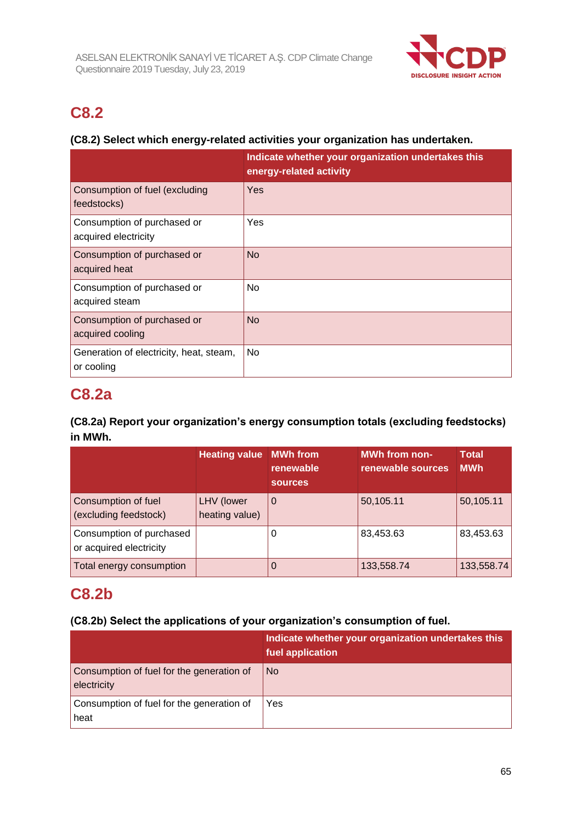

## **C8.2**

## **(C8.2) Select which energy-related activities your organization has undertaken.**

|                                                       | Indicate whether your organization undertakes this<br>energy-related activity |
|-------------------------------------------------------|-------------------------------------------------------------------------------|
| Consumption of fuel (excluding<br>feedstocks)         | Yes                                                                           |
| Consumption of purchased or<br>acquired electricity   | Yes                                                                           |
| Consumption of purchased or<br>acquired heat          | <b>No</b>                                                                     |
| Consumption of purchased or<br>acquired steam         | <b>No</b>                                                                     |
| Consumption of purchased or<br>acquired cooling       | <b>No</b>                                                                     |
| Generation of electricity, heat, steam,<br>or cooling | No                                                                            |

## **C8.2a**

## **(C8.2a) Report your organization's energy consumption totals (excluding feedstocks) in MWh.**

|                                                     | <b>Heating value</b>         | <b>MWh</b> from<br>renewable<br><b>sources</b> | <b>MWh from non-</b><br>renewable sources | <b>Total</b><br><b>MWh</b> |
|-----------------------------------------------------|------------------------------|------------------------------------------------|-------------------------------------------|----------------------------|
| Consumption of fuel<br>(excluding feedstock)        | LHV (lower<br>heating value) | 0                                              | 50,105.11                                 | 50,105.11                  |
| Consumption of purchased<br>or acquired electricity |                              | 0                                              | 83,453.63                                 | 83,453.63                  |
| Total energy consumption                            |                              | 0                                              | 133,558.74                                | 133,558.74                 |

## **C8.2b**

## **(C8.2b) Select the applications of your organization's consumption of fuel.**

|                                                          | Indicate whether your organization undertakes this<br>fuel application |
|----------------------------------------------------------|------------------------------------------------------------------------|
| Consumption of fuel for the generation of<br>electricity | N <sub>o</sub>                                                         |
| Consumption of fuel for the generation of<br>heat        | Yes                                                                    |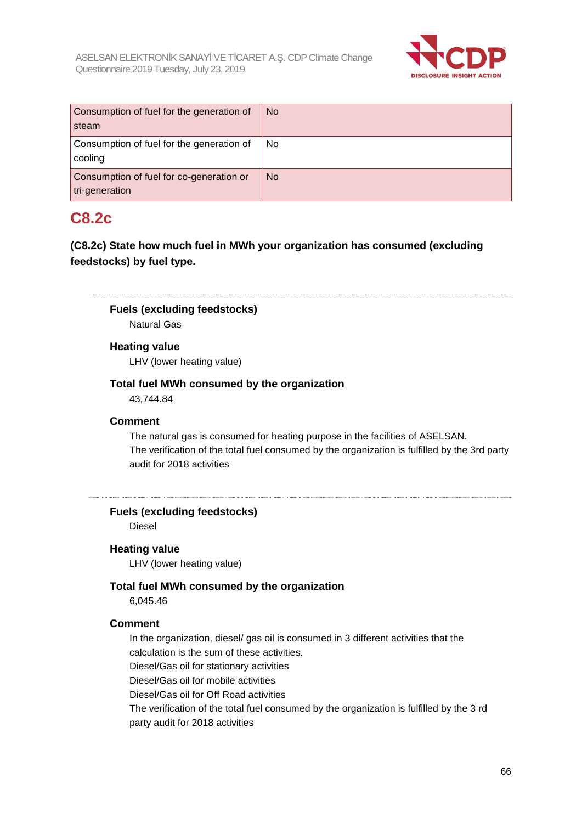

| Consumption of fuel for the generation of<br>steam         | <b>No</b> |
|------------------------------------------------------------|-----------|
| Consumption of fuel for the generation of<br>cooling       | No.       |
| Consumption of fuel for co-generation or<br>tri-generation | <b>No</b> |

## **C8.2c**

**(C8.2c) State how much fuel in MWh your organization has consumed (excluding feedstocks) by fuel type.**

**Fuels (excluding feedstocks)**

Natural Gas

## **Heating value**

LHV (lower heating value)

## **Total fuel MWh consumed by the organization**

43,744.84

#### **Comment**

The natural gas is consumed for heating purpose in the facilities of ASELSAN. The verification of the total fuel consumed by the organization is fulfilled by the 3rd party audit for 2018 activities

## **Fuels (excluding feedstocks)**

Diesel

#### **Heating value**

LHV (lower heating value)

## **Total fuel MWh consumed by the organization**

6,045.46

#### **Comment**

In the organization, diesel/ gas oil is consumed in 3 different activities that the calculation is the sum of these activities.

Diesel/Gas oil for stationary activities

Diesel/Gas oil for mobile activities

Diesel/Gas oil for Off Road activities

The verification of the total fuel consumed by the organization is fulfilled by the 3 rd party audit for 2018 activities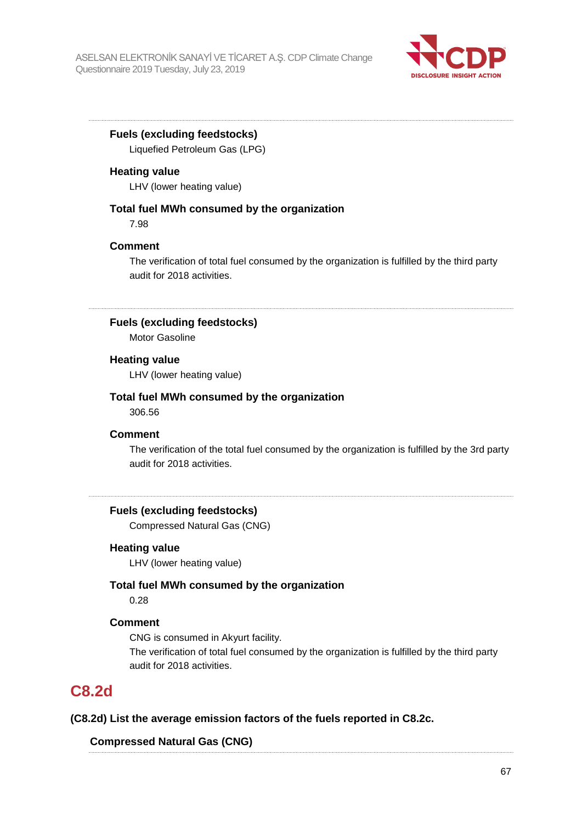

## **Fuels (excluding feedstocks)** Liquefied Petroleum Gas (LPG)

**Heating value**

LHV (lower heating value)

## **Total fuel MWh consumed by the organization**

7.98

## **Comment**

The verification of total fuel consumed by the organization is fulfilled by the third party audit for 2018 activities.

## **Fuels (excluding feedstocks)**

Motor Gasoline

## **Heating value**

LHV (lower heating value)

## **Total fuel MWh consumed by the organization**

306.56

## **Comment**

The verification of the total fuel consumed by the organization is fulfilled by the 3rd party audit for 2018 activities.

## **Fuels (excluding feedstocks)**

Compressed Natural Gas (CNG)

## **Heating value**

LHV (lower heating value)

## **Total fuel MWh consumed by the organization**

0.28

## **Comment**

CNG is consumed in Akyurt facility. The verification of total fuel consumed by the organization is fulfilled by the third party audit for 2018 activities.

## **C8.2d**

## **(C8.2d) List the average emission factors of the fuels reported in C8.2c.**

## **Compressed Natural Gas (CNG)**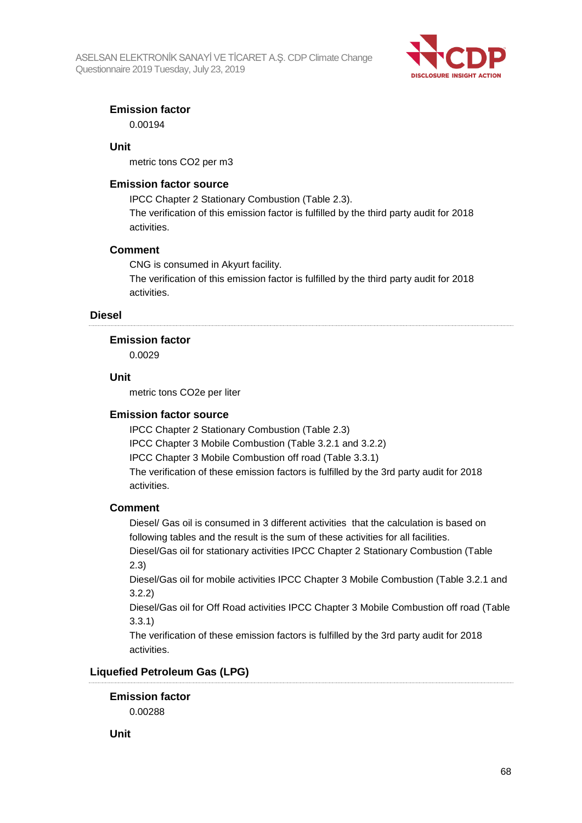

## **Emission factor**

0.00194

## **Unit**

metric tons CO2 per m3

## **Emission factor source**

IPCC Chapter 2 Stationary Combustion (Table 2.3). The verification of this emission factor is fulfilled by the third party audit for 2018 activities.

## **Comment**

CNG is consumed in Akyurt facility. The verification of this emission factor is fulfilled by the third party audit for 2018 activities.

## **Diesel**

#### **Emission factor**

0.0029

## **Unit**

metric tons CO2e per liter

## **Emission factor source**

IPCC Chapter 2 Stationary Combustion (Table 2.3) IPCC Chapter 3 Mobile Combustion (Table 3.2.1 and 3.2.2) IPCC Chapter 3 Mobile Combustion off road (Table 3.3.1) The verification of these emission factors is fulfilled by the 3rd party audit for 2018 activities.

## **Comment**

Diesel/ Gas oil is consumed in 3 different activities that the calculation is based on following tables and the result is the sum of these activities for all facilities.

Diesel/Gas oil for stationary activities IPCC Chapter 2 Stationary Combustion (Table 2.3)

Diesel/Gas oil for mobile activities IPCC Chapter 3 Mobile Combustion (Table 3.2.1 and 3.2.2)

Diesel/Gas oil for Off Road activities IPCC Chapter 3 Mobile Combustion off road (Table 3.3.1)

The verification of these emission factors is fulfilled by the 3rd party audit for 2018 activities.

## **Liquefied Petroleum Gas (LPG)**

**Emission factor**

0.00288

**Unit**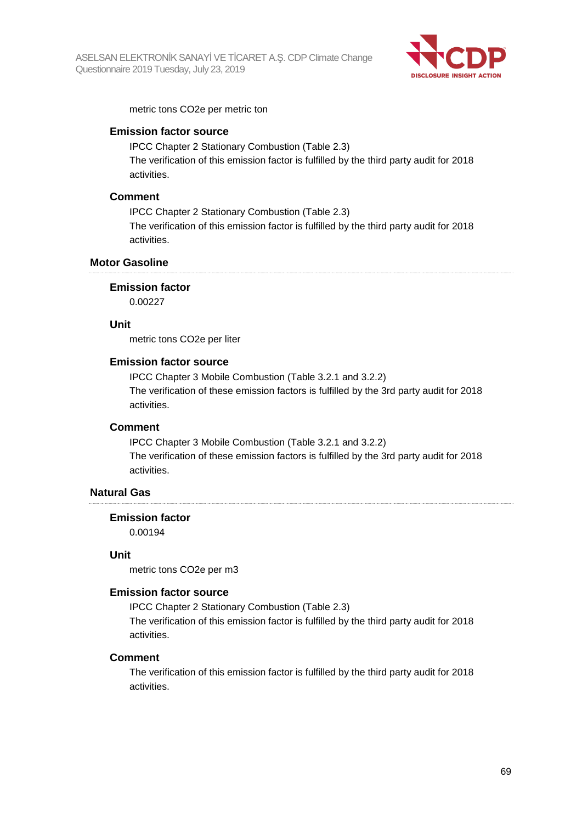

metric tons CO2e per metric ton

### **Emission factor source**

IPCC Chapter 2 Stationary Combustion (Table 2.3) The verification of this emission factor is fulfilled by the third party audit for 2018 activities.

#### **Comment**

IPCC Chapter 2 Stationary Combustion (Table 2.3) The verification of this emission factor is fulfilled by the third party audit for 2018 activities.

## **Motor Gasoline**

#### **Emission factor**

0.00227

#### **Unit**

metric tons CO2e per liter

#### **Emission factor source**

IPCC Chapter 3 Mobile Combustion (Table 3.2.1 and 3.2.2) The verification of these emission factors is fulfilled by the 3rd party audit for 2018 activities.

## **Comment**

IPCC Chapter 3 Mobile Combustion (Table 3.2.1 and 3.2.2) The verification of these emission factors is fulfilled by the 3rd party audit for 2018 activities.

## **Natural Gas**

#### **Emission factor**

0.00194

#### **Unit**

metric tons CO2e per m3

#### **Emission factor source**

IPCC Chapter 2 Stationary Combustion (Table 2.3) The verification of this emission factor is fulfilled by the third party audit for 2018

activities.

#### **Comment**

The verification of this emission factor is fulfilled by the third party audit for 2018 activities.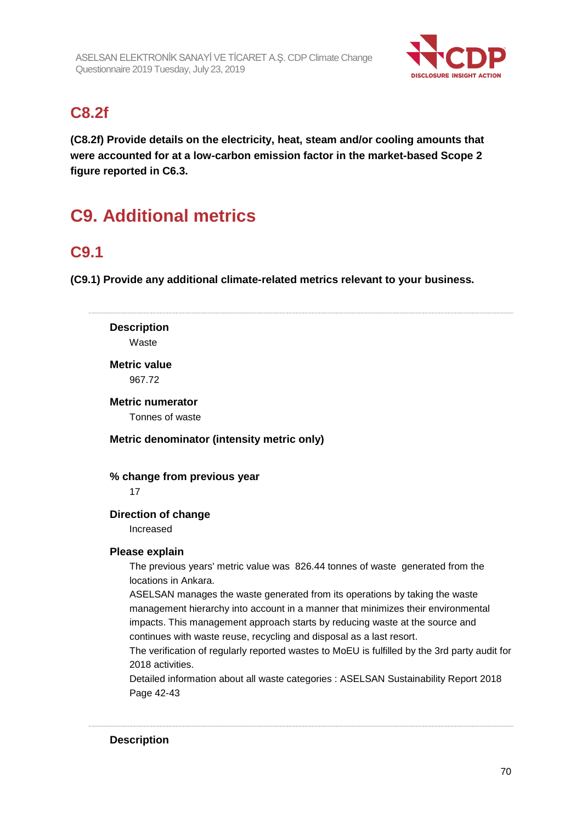

## **C8.2f**

**(C8.2f) Provide details on the electricity, heat, steam and/or cooling amounts that were accounted for at a low-carbon emission factor in the market-based Scope 2 figure reported in C6.3.**

# **C9. Additional metrics**

## **C9.1**

**(C9.1) Provide any additional climate-related metrics relevant to your business.**

**Description** Waste **Metric value** 967.72 **Metric numerator** Tonnes of waste **Metric denominator (intensity metric only) % change from previous year** 17 **Direction of change** Increased **Please explain** The previous years' metric value was 826.44 tonnes of waste generated from the locations in Ankara. ASELSAN manages the waste generated from its operations by taking the waste management hierarchy into account in a manner that minimizes their environmental impacts. This management approach starts by reducing waste at the source and continues with waste reuse, recycling and disposal as a last resort. The verification of regularly reported wastes to MoEU is fulfilled by the 3rd party audit for 2018 activities. Detailed information about all waste categories : ASELSAN Sustainability Report 2018 Page 42-43

## **Description**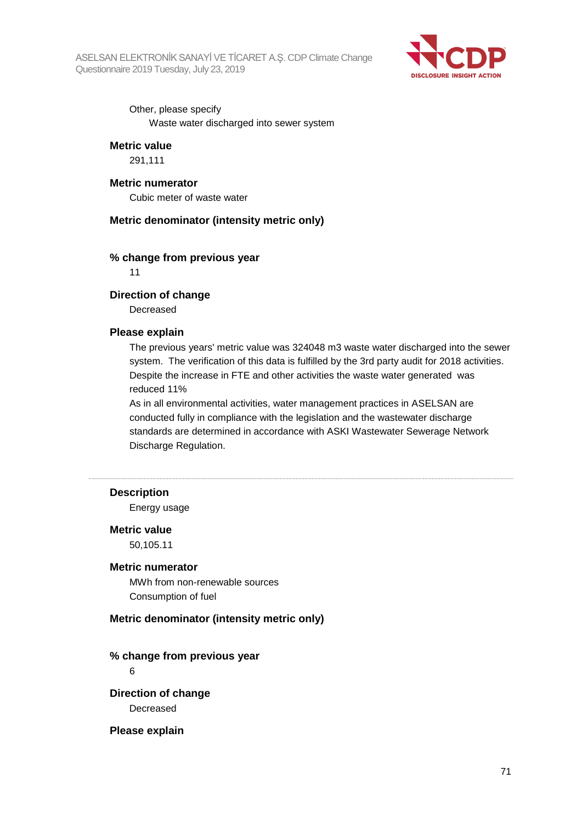

Other, please specify Waste water discharged into sewer system

#### **Metric value**

291,111

### **Metric numerator**

Cubic meter of waste water

## **Metric denominator (intensity metric only)**

#### **% change from previous year**

11

#### **Direction of change**

Decreased

#### **Please explain**

The previous years' metric value was 324048 m3 waste water discharged into the sewer system. The verification of this data is fulfilled by the 3rd party audit for 2018 activities. Despite the increase in FTE and other activities the waste water generated was reduced 11%

As in all environmental activities, water management practices in ASELSAN are conducted fully in compliance with the legislation and the wastewater discharge standards are determined in accordance with ASKI Wastewater Sewerage Network Discharge Regulation.

## **Description**

Energy usage

#### **Metric value**

50,105.11

#### **Metric numerator**

MWh from non-renewable sources Consumption of fuel

#### **Metric denominator (intensity metric only)**

#### **% change from previous year**

6

**Direction of change** Decreased

#### **Please explain**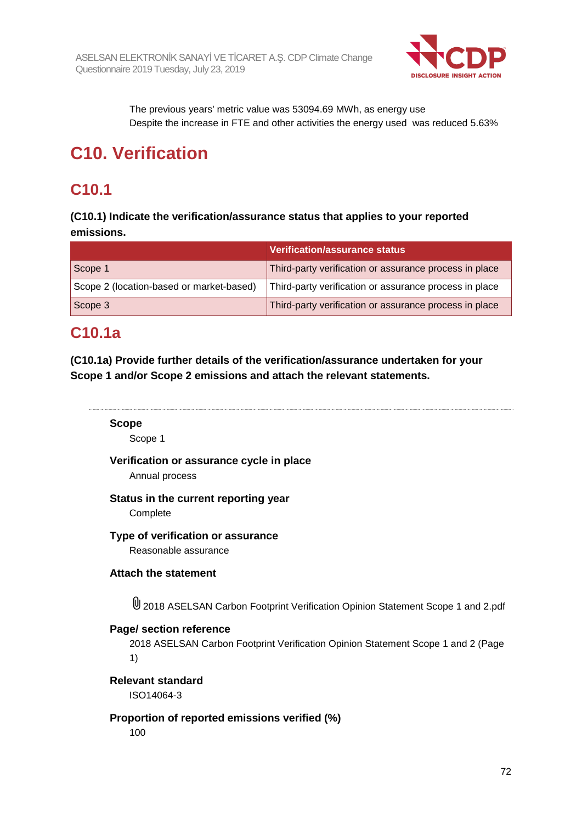

The previous years' metric value was 53094.69 MWh, as energy use Despite the increase in FTE and other activities the energy used was reduced 5.63%

# **C10. Verification**

## **C10.1**

**(C10.1) Indicate the verification/assurance status that applies to your reported emissions.**

|                                          | Verification/assurance status                          |
|------------------------------------------|--------------------------------------------------------|
| Scope 1                                  | Third-party verification or assurance process in place |
| Scope 2 (location-based or market-based) | Third-party verification or assurance process in place |
| Scope 3                                  | Third-party verification or assurance process in place |

## **C10.1a**

**(C10.1a) Provide further details of the verification/assurance undertaken for your Scope 1 and/or Scope 2 emissions and attach the relevant statements.**

## **Scope**

Scope 1

## **Verification or assurance cycle in place**

Annual process

## **Status in the current reporting year**

**Complete** 

## **Type of verification or assurance**

Reasonable assurance

## **Attach the statement**

2018 ASELSAN Carbon Footprint Verification Opinion Statement Scope 1 and 2.pdf

## **Page/ section reference**

2018 ASELSAN Carbon Footprint Verification Opinion Statement Scope 1 and 2 (Page 1)

**Relevant standard** ISO14064-3

## **Proportion of reported emissions verified (%)**

100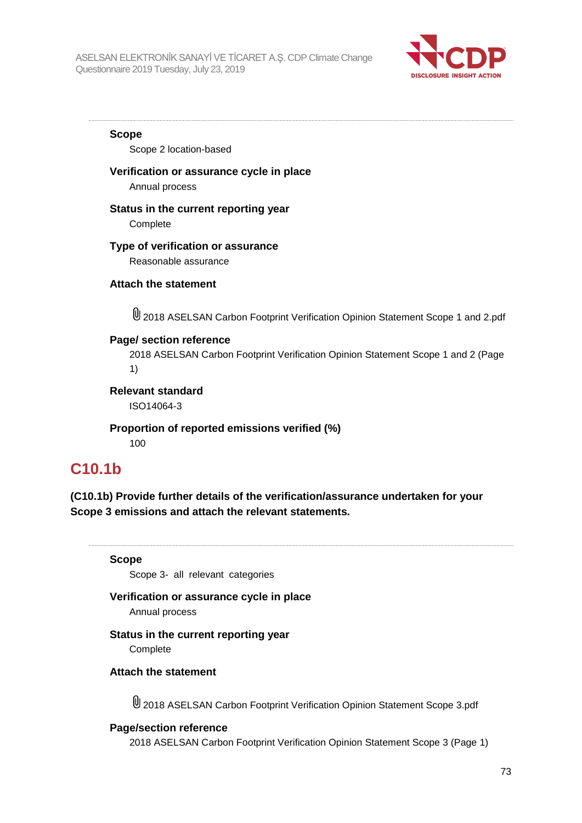

**Scope**

Scope 2 location-based

### **Verification or assurance cycle in place**

Annual process

### **Status in the current reporting year**

**Complete** 

### **Type of verification or assurance**

Reasonable assurance

### **Attach the statement**

2018 ASELSAN Carbon Footprint Verification Opinion Statement Scope 1 and 2.pdf

### **Page/ section reference**

2018 ASELSAN Carbon Footprint Verification Opinion Statement Scope 1 and 2 (Page 1)

**Relevant standard**

ISO14064-3

**Proportion of reported emissions verified (%)** 100

## **C10.1b**

**(C10.1b) Provide further details of the verification/assurance undertaken for your Scope 3 emissions and attach the relevant statements.**

**Scope**

Scope 3- all relevant categories

### **Verification or assurance cycle in place**

Annual process

### **Status in the current reporting year**

**Complete** 

### **Attach the statement**

2018 ASELSAN Carbon Footprint Verification Opinion Statement Scope 3.pdf

### **Page/section reference**

2018 ASELSAN Carbon Footprint Verification Opinion Statement Scope 3 (Page 1)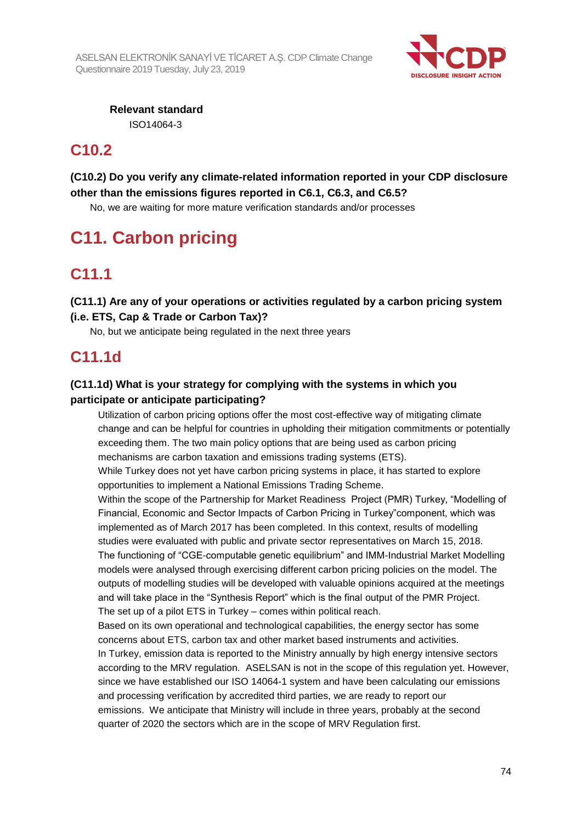

**Relevant standard** ISO14064-3

# **C10.2**

## **(C10.2) Do you verify any climate-related information reported in your CDP disclosure other than the emissions figures reported in C6.1, C6.3, and C6.5?**

No, we are waiting for more mature verification standards and/or processes

# **C11. Carbon pricing**

# **C11.1**

**(C11.1) Are any of your operations or activities regulated by a carbon pricing system (i.e. ETS, Cap & Trade or Carbon Tax)?**

No, but we anticipate being regulated in the next three years

# **C11.1d**

## **(C11.1d) What is your strategy for complying with the systems in which you participate or anticipate participating?**

Utilization of carbon pricing options offer the most cost-effective way of mitigating climate change and can be helpful for countries in upholding their mitigation commitments or potentially exceeding them. The two main policy options that are being used as carbon pricing mechanisms are carbon taxation and emissions trading systems (ETS).

While Turkey does not yet have carbon pricing systems in place, it has started to explore opportunities to implement a National Emissions Trading Scheme.

Within the scope of the Partnership for Market Readiness Project (PMR) Turkey, "Modelling of Financial, Economic and Sector Impacts of Carbon Pricing in Turkey"component, which was implemented as of March 2017 has been completed. In this context, results of modelling studies were evaluated with public and private sector representatives on March 15, 2018.

The functioning of "CGE-computable genetic equilibrium" and IMM-Industrial Market Modelling models were analysed through exercising different carbon pricing policies on the model. The outputs of modelling studies will be developed with valuable opinions acquired at the meetings and will take place in the "Synthesis Report" which is the final output of the PMR Project. The set up of a pilot ETS in Turkey – comes within political reach.

Based on its own operational and technological capabilities, the energy sector has some concerns about ETS, carbon tax and other market based instruments and activities.

In Turkey, emission data is reported to the Ministry annually by high energy intensive sectors according to the MRV regulation. ASELSAN is not in the scope of this regulation yet. However, since we have established our ISO 14064-1 system and have been calculating our emissions and processing verification by accredited third parties, we are ready to report our emissions. We anticipate that Ministry will include in three years, probably at the second quarter of 2020 the sectors which are in the scope of MRV Regulation first.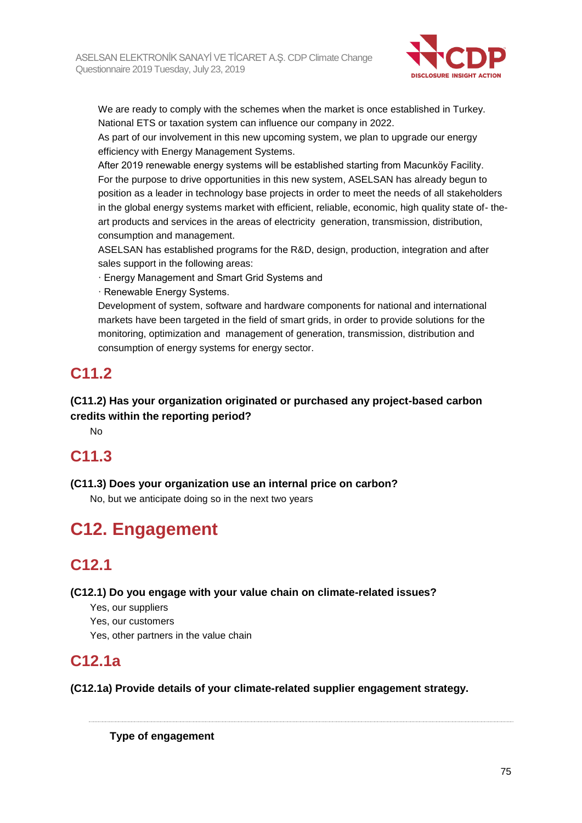

We are ready to comply with the schemes when the market is once established in Turkey. National ETS or taxation system can influence our company in 2022.

As part of our involvement in this new upcoming system, we plan to upgrade our energy efficiency with Energy Management Systems.

After 2019 renewable energy systems will be established starting from Macunköy Facility. For the purpose to drive opportunities in this new system, ASELSAN has already begun to position as a leader in technology base projects in order to meet the needs of all stakeholders in the global energy systems market with efficient, reliable, economic, high quality state of- theart products and services in the areas of electricity generation, transmission, distribution, consumption and management.

ASELSAN has established programs for the R&D, design, production, integration and after sales support in the following areas:

· Energy Management and Smart Grid Systems and

· Renewable Energy Systems.

Development of system, software and hardware components for national and international markets have been targeted in the field of smart grids, in order to provide solutions for the monitoring, optimization and management of generation, transmission, distribution and consumption of energy systems for energy sector.

# **C11.2**

## **(C11.2) Has your organization originated or purchased any project-based carbon credits within the reporting period?**

No

# **C11.3**

**(C11.3) Does your organization use an internal price on carbon?**

No, but we anticipate doing so in the next two years

# **C12. Engagement**

# **C12.1**

**(C12.1) Do you engage with your value chain on climate-related issues?**

Yes, our suppliers

Yes, our customers

Yes, other partners in the value chain

# **C12.1a**

**(C12.1a) Provide details of your climate-related supplier engagement strategy.**

**Type of engagement**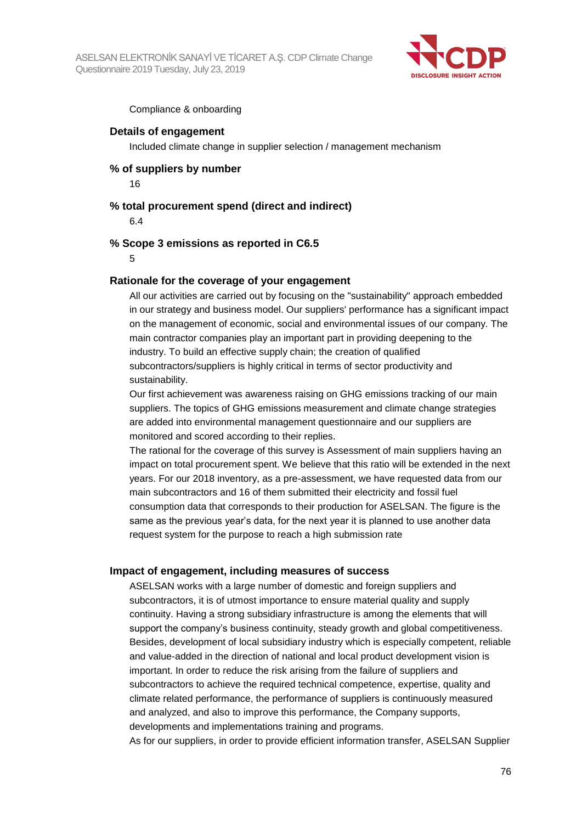

Compliance & onboarding

### **Details of engagement**

Included climate change in supplier selection / management mechanism

## **% of suppliers by number**

16

### **% total procurement spend (direct and indirect)**

6.4

### **% Scope 3 emissions as reported in C6.5**

5

### **Rationale for the coverage of your engagement**

All our activities are carried out by focusing on the "sustainability" approach embedded in our strategy and business model. Our suppliers' performance has a significant impact on the management of economic, social and environmental issues of our company. The main contractor companies play an important part in providing deepening to the industry. To build an effective supply chain; the creation of qualified subcontractors/suppliers is highly critical in terms of sector productivity and sustainability.

Our first achievement was awareness raising on GHG emissions tracking of our main suppliers. The topics of GHG emissions measurement and climate change strategies are added into environmental management questionnaire and our suppliers are monitored and scored according to their replies.

The rational for the coverage of this survey is Assessment of main suppliers having an impact on total procurement spent. We believe that this ratio will be extended in the next years. For our 2018 inventory, as a pre-assessment, we have requested data from our main subcontractors and 16 of them submitted their electricity and fossil fuel consumption data that corresponds to their production for ASELSAN. The figure is the same as the previous year's data, for the next year it is planned to use another data request system for the purpose to reach a high submission rate

### **Impact of engagement, including measures of success**

ASELSAN works with a large number of domestic and foreign suppliers and subcontractors, it is of utmost importance to ensure material quality and supply continuity. Having a strong subsidiary infrastructure is among the elements that will support the company's business continuity, steady growth and global competitiveness. Besides, development of local subsidiary industry which is especially competent, reliable and value-added in the direction of national and local product development vision is important. In order to reduce the risk arising from the failure of suppliers and subcontractors to achieve the required technical competence, expertise, quality and climate related performance, the performance of suppliers is continuously measured and analyzed, and also to improve this performance, the Company supports, developments and implementations training and programs.

As for our suppliers, in order to provide efficient information transfer, ASELSAN Supplier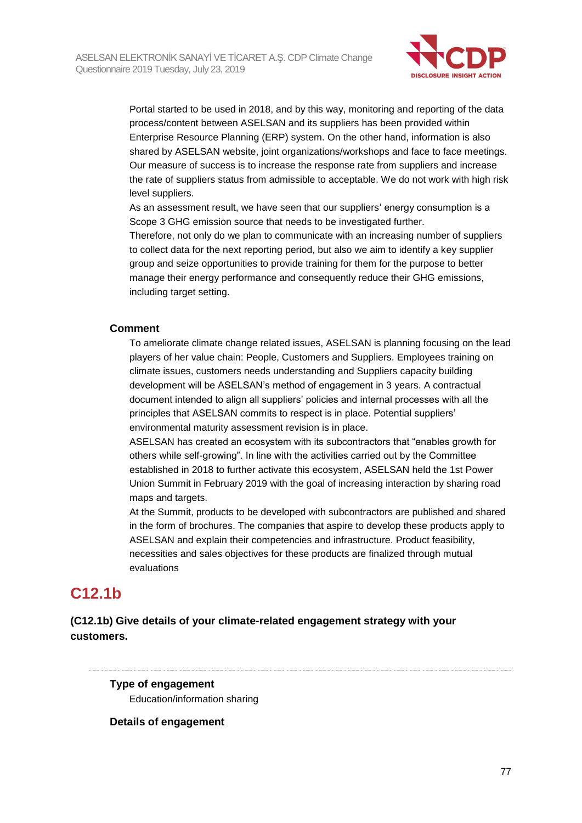

Portal started to be used in 2018, and by this way, monitoring and reporting of the data process/content between ASELSAN and its suppliers has been provided within Enterprise Resource Planning (ERP) system. On the other hand, information is also shared by ASELSAN website, joint organizations/workshops and face to face meetings. Our measure of success is to increase the response rate from suppliers and increase the rate of suppliers status from admissible to acceptable. We do not work with high risk level suppliers.

As an assessment result, we have seen that our suppliers' energy consumption is a Scope 3 GHG emission source that needs to be investigated further.

Therefore, not only do we plan to communicate with an increasing number of suppliers to collect data for the next reporting period, but also we aim to identify a key supplier group and seize opportunities to provide training for them for the purpose to better manage their energy performance and consequently reduce their GHG emissions, including target setting.

### **Comment**

To ameliorate climate change related issues, ASELSAN is planning focusing on the lead players of her value chain: People, Customers and Suppliers. Employees training on climate issues, customers needs understanding and Suppliers capacity building development will be ASELSAN's method of engagement in 3 years. A contractual document intended to align all suppliers' policies and internal processes with all the principles that ASELSAN commits to respect is in place. Potential suppliers' environmental maturity assessment revision is in place.

ASELSAN has created an ecosystem with its subcontractors that "enables growth for others while self-growing". In line with the activities carried out by the Committee established in 2018 to further activate this ecosystem, ASELSAN held the 1st Power Union Summit in February 2019 with the goal of increasing interaction by sharing road maps and targets.

At the Summit, products to be developed with subcontractors are published and shared in the form of brochures. The companies that aspire to develop these products apply to ASELSAN and explain their competencies and infrastructure. Product feasibility, necessities and sales objectives for these products are finalized through mutual evaluations

# **C12.1b**

## **(C12.1b) Give details of your climate-related engagement strategy with your customers.**

**Type of engagement** Education/information sharing

**Details of engagement**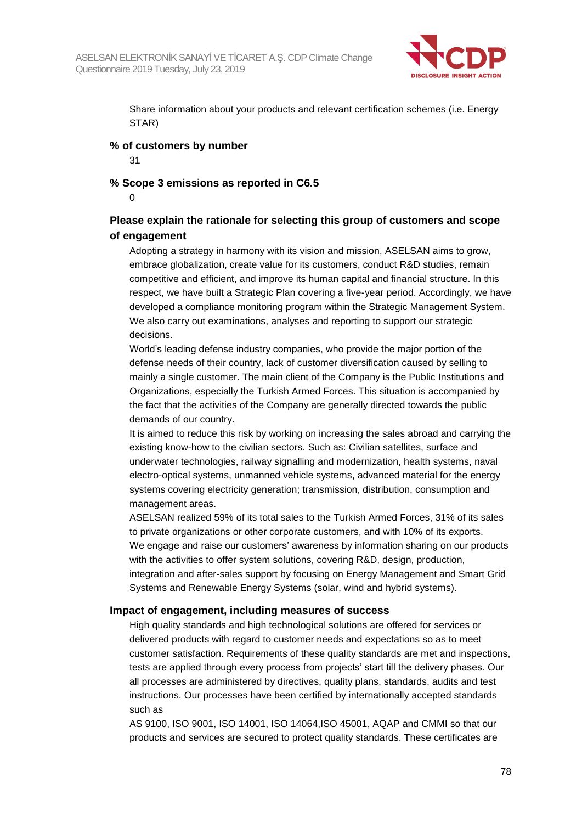

Share information about your products and relevant certification schemes (i.e. Energy STAR)

### **% of customers by number**

31

### **% Scope 3 emissions as reported in C6.5**

0

## **Please explain the rationale for selecting this group of customers and scope of engagement**

Adopting a strategy in harmony with its vision and mission, ASELSAN aims to grow, embrace globalization, create value for its customers, conduct R&D studies, remain competitive and efficient, and improve its human capital and financial structure. In this respect, we have built a Strategic Plan covering a five-year period. Accordingly, we have developed a compliance monitoring program within the Strategic Management System. We also carry out examinations, analyses and reporting to support our strategic decisions.

World's leading defense industry companies, who provide the major portion of the defense needs of their country, lack of customer diversification caused by selling to mainly a single customer. The main client of the Company is the Public Institutions and Organizations, especially the Turkish Armed Forces. This situation is accompanied by the fact that the activities of the Company are generally directed towards the public demands of our country.

It is aimed to reduce this risk by working on increasing the sales abroad and carrying the existing know-how to the civilian sectors. Such as: Civilian satellites, surface and underwater technologies, railway signalling and modernization, health systems, naval electro-optical systems, unmanned vehicle systems, advanced material for the energy systems covering electricity generation; transmission, distribution, consumption and management areas.

ASELSAN realized 59% of its total sales to the Turkish Armed Forces, 31% of its sales to private organizations or other corporate customers, and with 10% of its exports. We engage and raise our customers' awareness by information sharing on our products with the activities to offer system solutions, covering R&D, design, production, integration and after-sales support by focusing on Energy Management and Smart Grid Systems and Renewable Energy Systems (solar, wind and hybrid systems).

### **Impact of engagement, including measures of success**

High quality standards and high technological solutions are offered for services or delivered products with regard to customer needs and expectations so as to meet customer satisfaction. Requirements of these quality standards are met and inspections, tests are applied through every process from projects' start till the delivery phases. Our all processes are administered by directives, quality plans, standards, audits and test instructions. Our processes have been certified by internationally accepted standards such as

AS 9100, ISO 9001, ISO 14001, ISO 14064,ISO 45001, AQAP and CMMI so that our products and services are secured to protect quality standards. These certificates are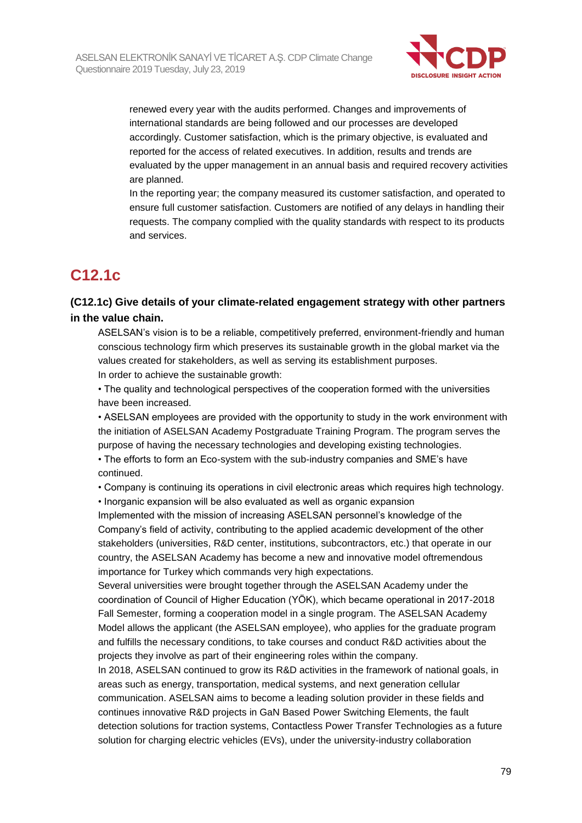

renewed every year with the audits performed. Changes and improvements of international standards are being followed and our processes are developed accordingly. Customer satisfaction, which is the primary objective, is evaluated and reported for the access of related executives. In addition, results and trends are evaluated by the upper management in an annual basis and required recovery activities are planned.

In the reporting year; the company measured its customer satisfaction, and operated to ensure full customer satisfaction. Customers are notified of any delays in handling their requests. The company complied with the quality standards with respect to its products and services.

# **C12.1c**

## **(C12.1c) Give details of your climate-related engagement strategy with other partners in the value chain.**

ASELSAN's vision is to be a reliable, competitively preferred, environment-friendly and human conscious technology firm which preserves its sustainable growth in the global market via the values created for stakeholders, as well as serving its establishment purposes. In order to achieve the sustainable growth:

• The quality and technological perspectives of the cooperation formed with the universities have been increased.

• ASELSAN employees are provided with the opportunity to study in the work environment with the initiation of ASELSAN Academy Postgraduate Training Program. The program serves the purpose of having the necessary technologies and developing existing technologies.

• The efforts to form an Eco-system with the sub-industry companies and SME's have continued.

• Company is continuing its operations in civil electronic areas which requires high technology.

• Inorganic expansion will be also evaluated as well as organic expansion Implemented with the mission of increasing ASELSAN personnel's knowledge of the Company's field of activity, contributing to the applied academic development of the other stakeholders (universities, R&D center, institutions, subcontractors, etc.) that operate in our country, the ASELSAN Academy has become a new and innovative model oftremendous importance for Turkey which commands very high expectations.

Several universities were brought together through the ASELSAN Academy under the coordination of Council of Higher Education (YÖK), which became operational in 2017-2018 Fall Semester, forming a cooperation model in a single program. The ASELSAN Academy Model allows the applicant (the ASELSAN employee), who applies for the graduate program and fulfills the necessary conditions, to take courses and conduct R&D activities about the projects they involve as part of their engineering roles within the company.

In 2018, ASELSAN continued to grow its R&D activities in the framework of national goals, in areas such as energy, transportation, medical systems, and next generation cellular communication. ASELSAN aims to become a leading solution provider in these fields and continues innovative R&D projects in GaN Based Power Switching Elements, the fault detection solutions for traction systems, Contactless Power Transfer Technologies as a future solution for charging electric vehicles (EVs), under the university-industry collaboration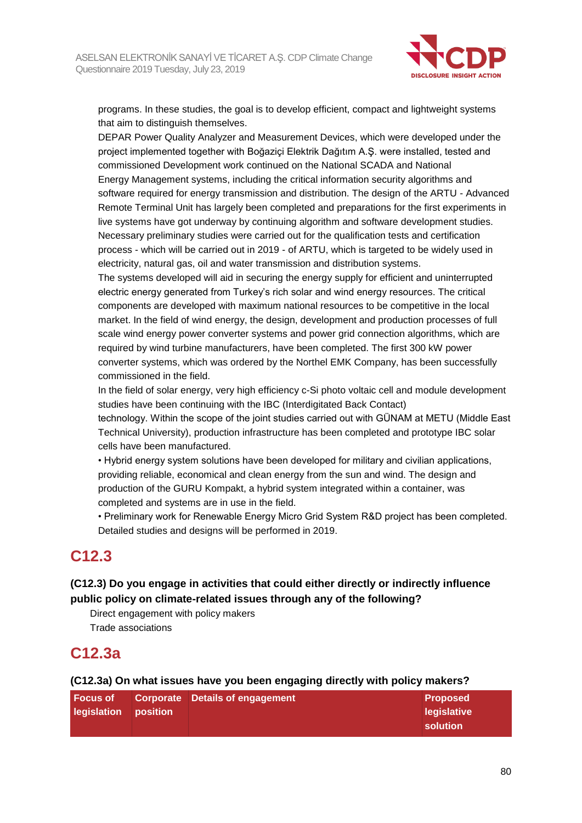

programs. In these studies, the goal is to develop efficient, compact and lightweight systems that aim to distinguish themselves.

DEPAR Power Quality Analyzer and Measurement Devices, which were developed under the project implemented together with Boğaziçi Elektrik Dağıtım A.Ş. were installed, tested and commissioned Development work continued on the National SCADA and National Energy Management systems, including the critical information security algorithms and software required for energy transmission and distribution. The design of the ARTU - Advanced Remote Terminal Unit has largely been completed and preparations for the first experiments in live systems have got underway by continuing algorithm and software development studies. Necessary preliminary studies were carried out for the qualification tests and certification process - which will be carried out in 2019 - of ARTU, which is targeted to be widely used in electricity, natural gas, oil and water transmission and distribution systems.

The systems developed will aid in securing the energy supply for efficient and uninterrupted electric energy generated from Turkey's rich solar and wind energy resources. The critical components are developed with maximum national resources to be competitive in the local market. In the field of wind energy, the design, development and production processes of full scale wind energy power converter systems and power grid connection algorithms, which are required by wind turbine manufacturers, have been completed. The first 300 kW power converter systems, which was ordered by the Northel EMK Company, has been successfully commissioned in the field.

In the field of solar energy, very high efficiency c-Si photo voltaic cell and module development studies have been continuing with the IBC (Interdigitated Back Contact)

technology. Within the scope of the joint studies carried out with GÜNAM at METU (Middle East Technical University), production infrastructure has been completed and prototype IBC solar cells have been manufactured.

• Hybrid energy system solutions have been developed for military and civilian applications, providing reliable, economical and clean energy from the sun and wind. The design and production of the GURU Kompakt, a hybrid system integrated within a container, was completed and systems are in use in the field.

• Preliminary work for Renewable Energy Micro Grid System R&D project has been completed. Detailed studies and designs will be performed in 2019.

# **C12.3**

## **(C12.3) Do you engage in activities that could either directly or indirectly influence public policy on climate-related issues through any of the following?**

Direct engagement with policy makers Trade associations

# **C12.3a**

### **(C12.3a) On what issues have you been engaging directly with policy makers?**

| l Focus of           | <b>Corporate Details of engagement</b> | <b>Proposed</b> |
|----------------------|----------------------------------------|-----------------|
| legislation position |                                        | legislative     |
|                      |                                        | solution        |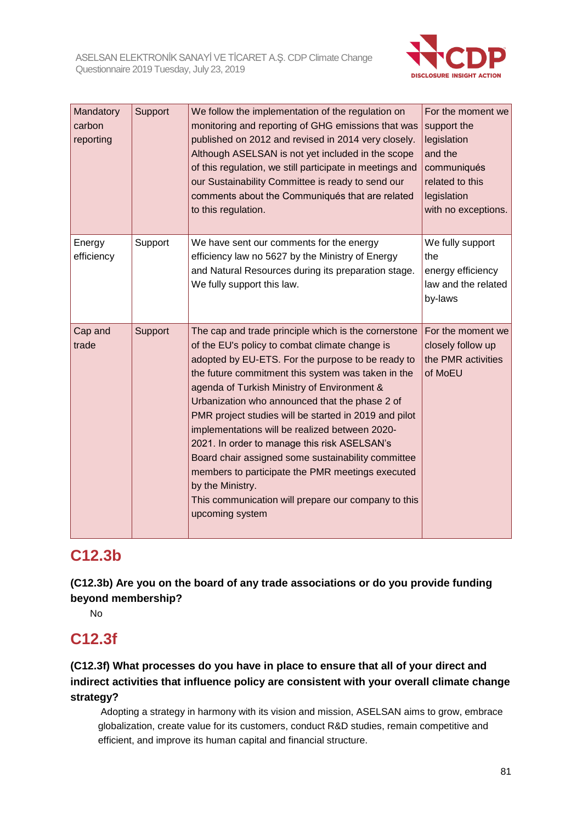

| Mandatory<br>carbon<br>reporting | Support | We follow the implementation of the regulation on<br>monitoring and reporting of GHG emissions that was<br>published on 2012 and revised in 2014 very closely.<br>Although ASELSAN is not yet included in the scope<br>of this regulation, we still participate in meetings and<br>our Sustainability Committee is ready to send our<br>comments about the Communiqués that are related<br>to this regulation.                                                                                                                                                                                                                                                                        | For the moment we<br>support the<br>legislation<br>and the<br>communiqués<br>related to this<br>legislation<br>with no exceptions. |
|----------------------------------|---------|---------------------------------------------------------------------------------------------------------------------------------------------------------------------------------------------------------------------------------------------------------------------------------------------------------------------------------------------------------------------------------------------------------------------------------------------------------------------------------------------------------------------------------------------------------------------------------------------------------------------------------------------------------------------------------------|------------------------------------------------------------------------------------------------------------------------------------|
| Energy<br>efficiency             | Support | We have sent our comments for the energy<br>efficiency law no 5627 by the Ministry of Energy<br>and Natural Resources during its preparation stage.<br>We fully support this law.                                                                                                                                                                                                                                                                                                                                                                                                                                                                                                     | We fully support<br>the<br>energy efficiency<br>law and the related<br>by-laws                                                     |
| Cap and<br>trade                 | Support | The cap and trade principle which is the cornerstone<br>of the EU's policy to combat climate change is<br>adopted by EU-ETS. For the purpose to be ready to<br>the future commitment this system was taken in the<br>agenda of Turkish Ministry of Environment &<br>Urbanization who announced that the phase 2 of<br>PMR project studies will be started in 2019 and pilot<br>implementations will be realized between 2020-<br>2021. In order to manage this risk ASELSAN's<br>Board chair assigned some sustainability committee<br>members to participate the PMR meetings executed<br>by the Ministry.<br>This communication will prepare our company to this<br>upcoming system | For the moment we<br>closely follow up<br>the PMR activities<br>of MoEU                                                            |

# **C12.3b**

**(C12.3b) Are you on the board of any trade associations or do you provide funding beyond membership?**

No

# **C12.3f**

## **(C12.3f) What processes do you have in place to ensure that all of your direct and indirect activities that influence policy are consistent with your overall climate change strategy?**

Adopting a strategy in harmony with its vision and mission, ASELSAN aims to grow, embrace globalization, create value for its customers, conduct R&D studies, remain competitive and efficient, and improve its human capital and financial structure.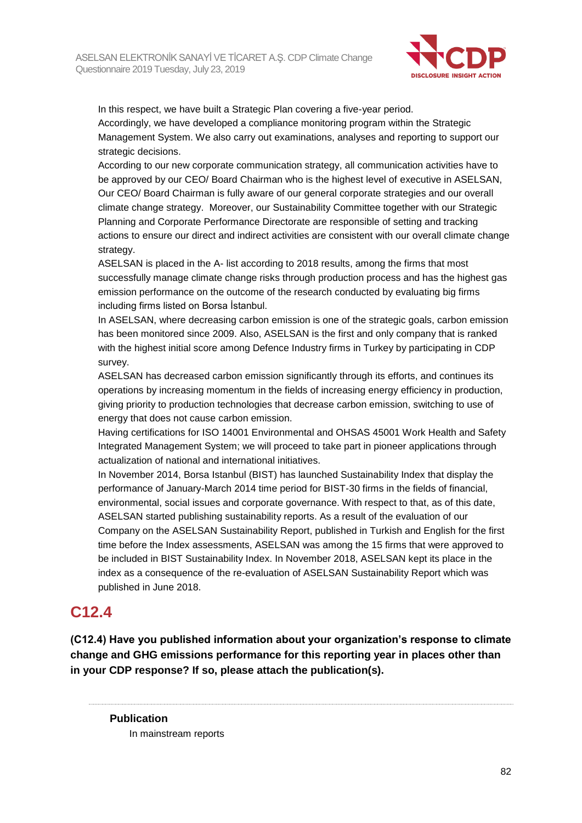

In this respect, we have built a Strategic Plan covering a five-year period. Accordingly, we have developed a compliance monitoring program within the Strategic Management System. We also carry out examinations, analyses and reporting to support our strategic decisions.

According to our new corporate communication strategy, all communication activities have to be approved by our CEO/ Board Chairman who is the highest level of executive in ASELSAN, Our CEO/ Board Chairman is fully aware of our general corporate strategies and our overall climate change strategy. Moreover, our Sustainability Committee together with our Strategic Planning and Corporate Performance Directorate are responsible of setting and tracking actions to ensure our direct and indirect activities are consistent with our overall climate change strategy.

ASELSAN is placed in the A- list according to 2018 results, among the firms that most successfully manage climate change risks through production process and has the highest gas emission performance on the outcome of the research conducted by evaluating big firms including firms listed on Borsa İstanbul.

In ASELSAN, where decreasing carbon emission is one of the strategic goals, carbon emission has been monitored since 2009. Also, ASELSAN is the first and only company that is ranked with the highest initial score among Defence Industry firms in Turkey by participating in CDP survey.

ASELSAN has decreased carbon emission significantly through its efforts, and continues its operations by increasing momentum in the fields of increasing energy efficiency in production, giving priority to production technologies that decrease carbon emission, switching to use of energy that does not cause carbon emission.

Having certifications for ISO 14001 Environmental and OHSAS 45001 Work Health and Safety Integrated Management System; we will proceed to take part in pioneer applications through actualization of national and international initiatives.

In November 2014, Borsa Istanbul (BIST) has launched Sustainability Index that display the performance of January-March 2014 time period for BIST-30 firms in the fields of financial, environmental, social issues and corporate governance. With respect to that, as of this date, ASELSAN started publishing sustainability reports. As a result of the evaluation of our Company on the ASELSAN Sustainability Report, published in Turkish and English for the first time before the Index assessments, ASELSAN was among the 15 firms that were approved to be included in BIST Sustainability Index. In November 2018, ASELSAN kept its place in the index as a consequence of the re-evaluation of ASELSAN Sustainability Report which was published in June 2018.

# **C12.4**

**(C12.4) Have you published information about your organization's response to climate change and GHG emissions performance for this reporting year in places other than in your CDP response? If so, please attach the publication(s).**

**Publication** In mainstream reports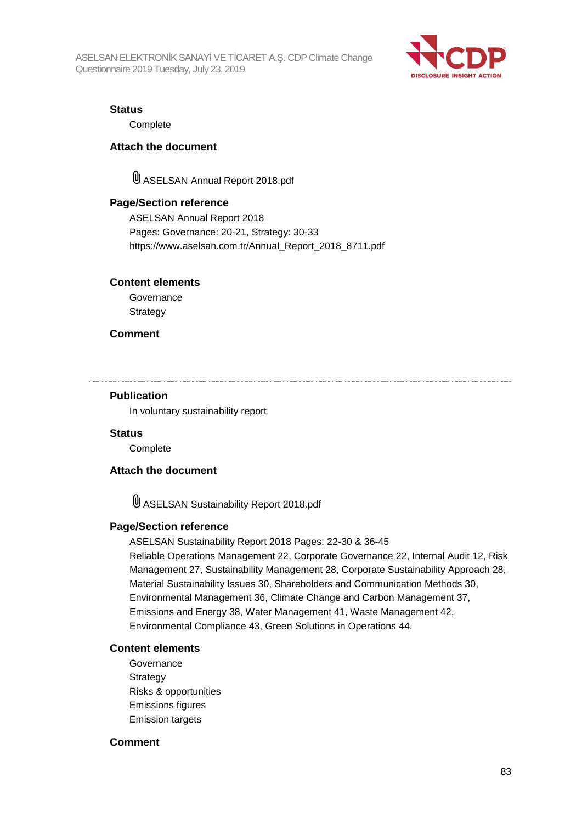ASELSAN ELEKTRONİK SANAYİ VE TİCARET A.Ş. CDP Climate Change Questionnaire 2019 Tuesday, July 23, 2019



### **Status**

**Complete** 

### **Attach the document**

ASELSAN Annual Report 2018.pdf

### **Page/Section reference**

ASELSAN Annual Report 2018 Pages: Governance: 20-21, Strategy: 30-33 https://www.aselsan.com.tr/Annual\_Report\_2018\_8711.pdf

### **Content elements**

**Governance Strategy** 

### **Comment**

#### **Publication**

In voluntary sustainability report

### **Status**

**Complete** 

### **Attach the document**

ASELSAN Sustainability Report 2018.pdf

### **Page/Section reference**

ASELSAN Sustainability Report 2018 Pages: 22-30 & 36-45 Reliable Operations Management 22, Corporate Governance 22, Internal Audit 12, Risk Management 27, Sustainability Management 28, Corporate Sustainability Approach 28, Material Sustainability Issues 30, Shareholders and Communication Methods 30, Environmental Management 36, Climate Change and Carbon Management 37, Emissions and Energy 38, Water Management 41, Waste Management 42, Environmental Compliance 43, Green Solutions in Operations 44.

### **Content elements**

Governance **Strategy** Risks & opportunities Emissions figures Emission targets

### **Comment**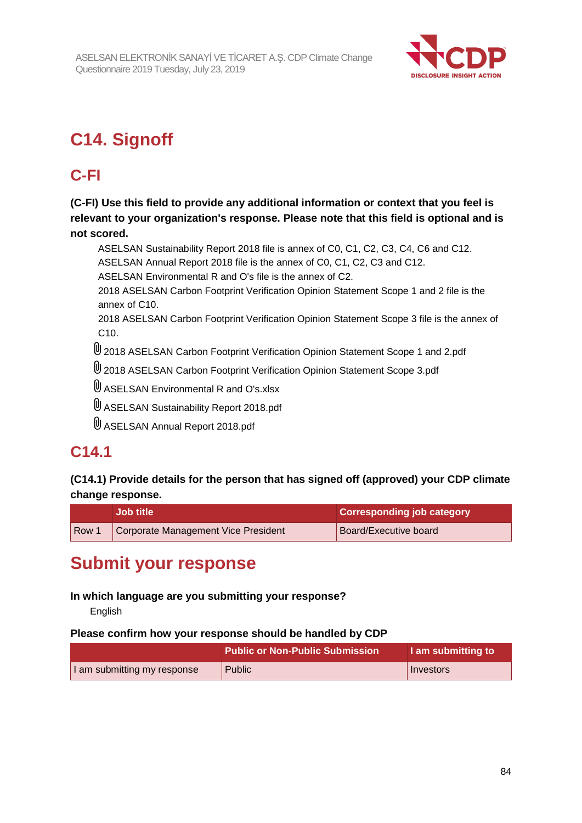

# **C14. Signoff**

# **C-FI**

**(C-FI) Use this field to provide any additional information or context that you feel is relevant to your organization's response. Please note that this field is optional and is not scored.**

ASELSAN Sustainability Report 2018 file is annex of C0, C1, C2, C3, C4, C6 and C12. ASELSAN Annual Report 2018 file is the annex of C0, C1, C2, C3 and C12.

ASELSAN Environmental R and O's file is the annex of C2.

2018 ASELSAN Carbon Footprint Verification Opinion Statement Scope 1 and 2 file is the annex of C10.

2018 ASELSAN Carbon Footprint Verification Opinion Statement Scope 3 file is the annex of C10.

2018 ASELSAN Carbon Footprint Verification Opinion Statement Scope 1 and 2.pdf

- 2018 ASELSAN Carbon Footprint Verification Opinion Statement Scope 3.pdf
- U ASELSAN Environmental R and O's.xlsx
- ASELSAN Sustainability Report 2018.pdf
- ASELSAN Annual Report 2018.pdf

# **C14.1**

## **(C14.1) Provide details for the person that has signed off (approved) your CDP climate change response.**

|       | <b>Job title</b>                    | <b>Corresponding job category</b> |
|-------|-------------------------------------|-----------------------------------|
| Row 1 | Corporate Management Vice President | Board/Executive board             |

# **Submit your response**

## **In which language are you submitting your response?**

English

### **Please confirm how your response should be handled by CDP**

|                             | <b>Public or Non-Public Submission</b> | I am submitting to |
|-----------------------------|----------------------------------------|--------------------|
| I am submitting my response | 'Public                                | Investors          |